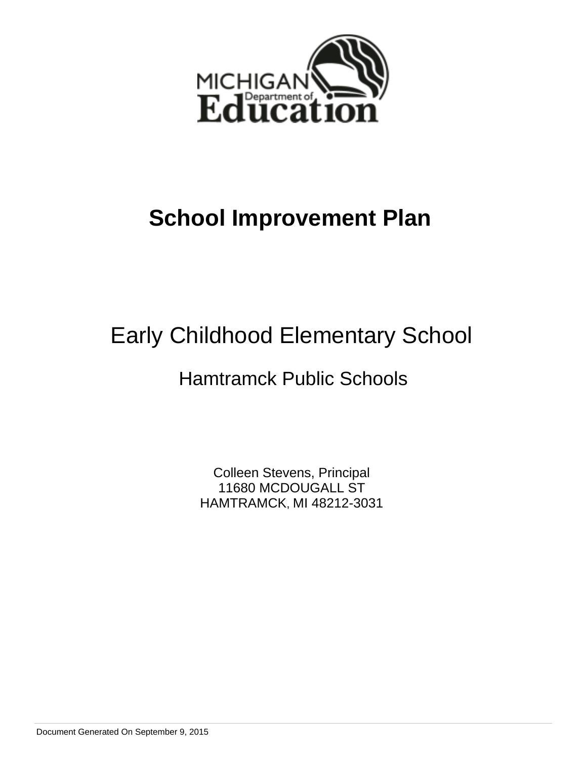

# **School Improvement Plan**

# Early Childhood Elementary School

## Hamtramck Public Schools

Colleen Stevens, Principal 11680 MCDOUGALL ST HAMTRAMCK, MI 48212-3031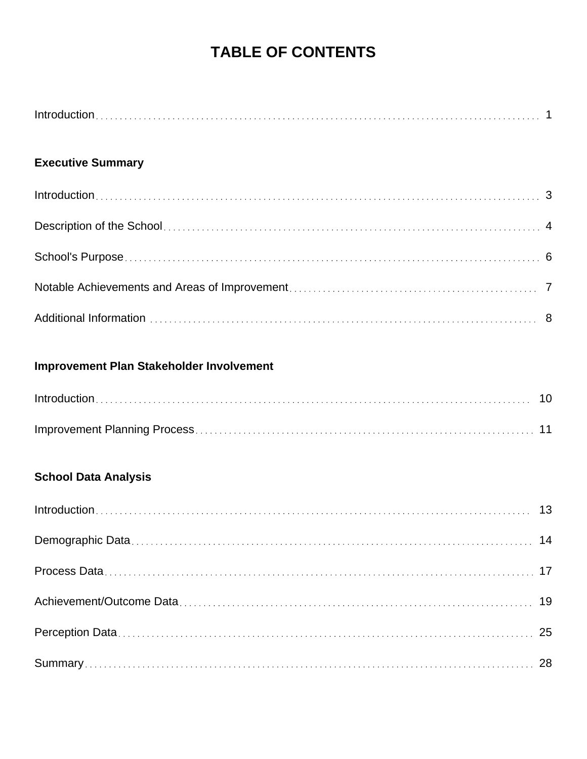## **TABLE OF CONTENTS**

## **Executive Summary**

## **Improvement Plan Stakeholder Involvement**

## **School Data Analysis**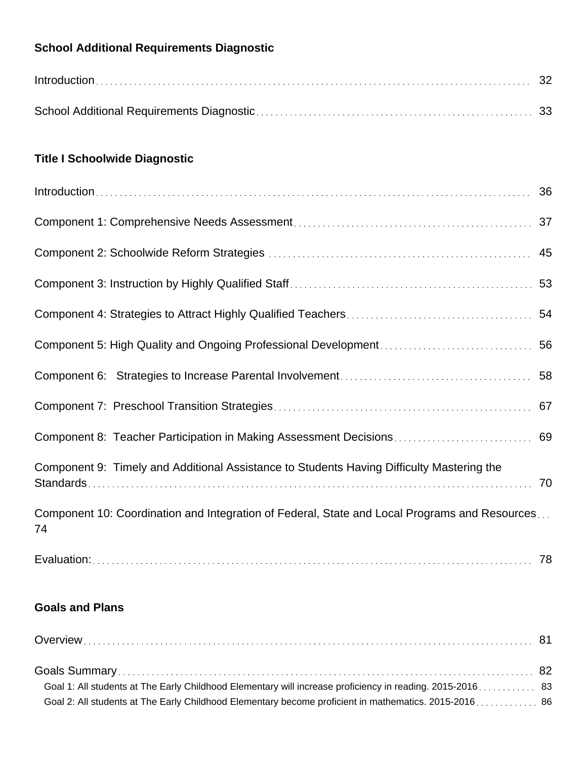## **School Additional Requirements Diagnostic**

| $Introduction \dots 32$ |  |
|-------------------------|--|
|                         |  |

## **Title I Schoolwide Diagnostic**

| Component 9: Timely and Additional Assistance to Students Having Difficulty Mastering the           |  |  |  |
|-----------------------------------------------------------------------------------------------------|--|--|--|
| Component 10: Coordination and Integration of Federal, State and Local Programs and Resources<br>74 |  |  |  |

## Evaluation: 78

## **Goals and Plans**

| Goal 1: All students at The Early Childhood Elementary will increase proficiency in reading. 2015-2016 83 |  |
|-----------------------------------------------------------------------------------------------------------|--|
|                                                                                                           |  |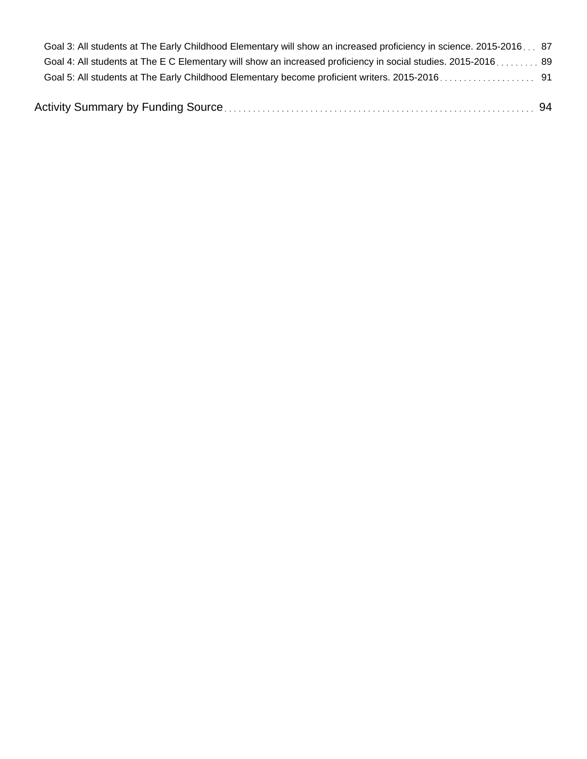| Goal 3: All students at The Early Childhood Elementary will show an increased proficiency in science. 2015-2016 87 |  |
|--------------------------------------------------------------------------------------------------------------------|--|
| Goal 4: All students at The E C Elementary will show an increased proficiency in social studies. 2015-2016 89      |  |
|                                                                                                                    |  |
|                                                                                                                    |  |

|--|--|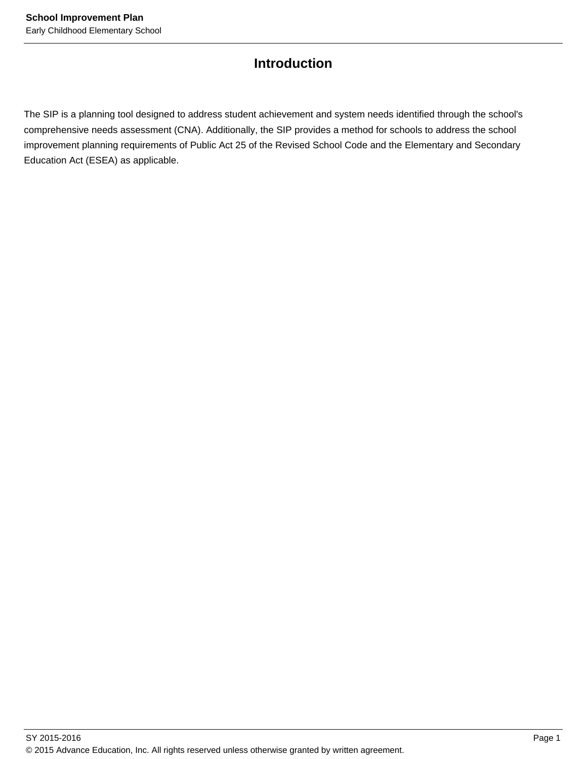## **Introduction**

The SIP is a planning tool designed to address student achievement and system needs identified through the school's comprehensive needs assessment (CNA). Additionally, the SIP provides a method for schools to address the school improvement planning requirements of Public Act 25 of the Revised School Code and the Elementary and Secondary Education Act (ESEA) as applicable.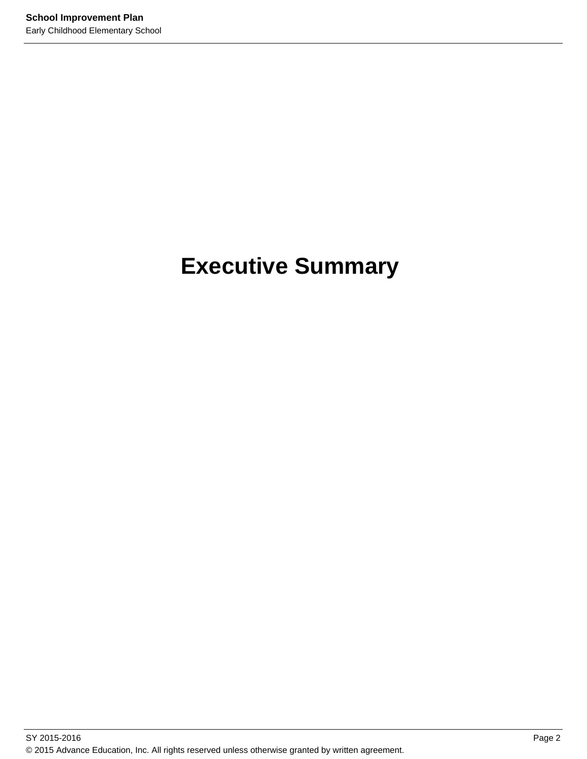# **Executive Summary**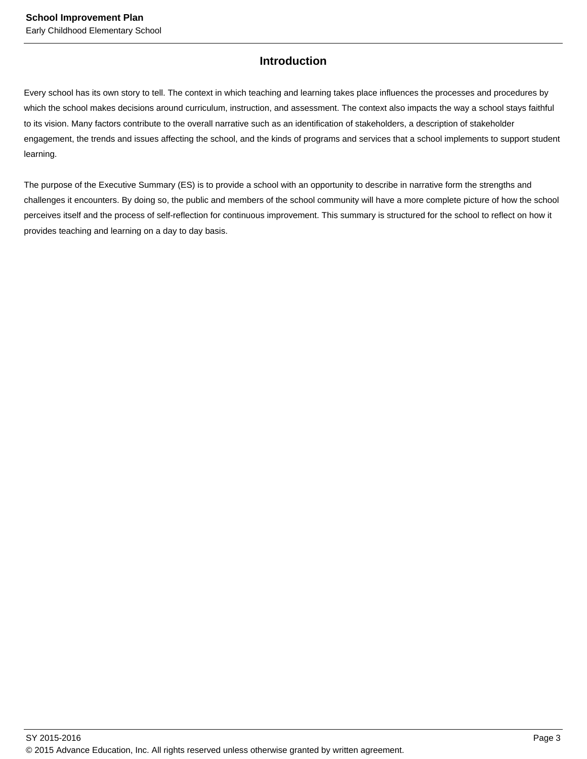## **Introduction**

Every school has its own story to tell. The context in which teaching and learning takes place influences the processes and procedures by which the school makes decisions around curriculum, instruction, and assessment. The context also impacts the way a school stays faithful to its vision. Many factors contribute to the overall narrative such as an identification of stakeholders, a description of stakeholder engagement, the trends and issues affecting the school, and the kinds of programs and services that a school implements to support student learning.

The purpose of the Executive Summary (ES) is to provide a school with an opportunity to describe in narrative form the strengths and challenges it encounters. By doing so, the public and members of the school community will have a more complete picture of how the school perceives itself and the process of self-reflection for continuous improvement. This summary is structured for the school to reflect on how it provides teaching and learning on a day to day basis.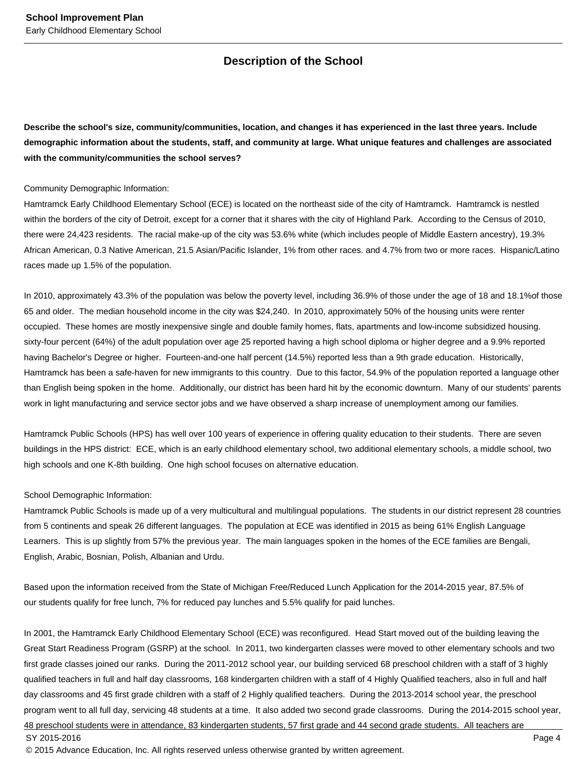## **Description of the School**

**Describe the school's size, community/communities, location, and changes it has experienced in the last three years. Include demographic information about the students, staff, and community at large. What unique features and challenges are associated with the community/communities the school serves?**

#### Community Demographic Information:

Hamtramck Early Childhood Elementary School (ECE) is located on the northeast side of the city of Hamtramck. Hamtramck is nestled within the borders of the city of Detroit, except for a corner that it shares with the city of Highland Park. According to the Census of 2010, there were 24,423 residents. The racial make-up of the city was 53.6% white (which includes people of Middle Eastern ancestry), 19.3% African American, 0.3 Native American, 21.5 Asian/Pacific Islander, 1% from other races. and 4.7% from two or more races. Hispanic/Latino races made up 1.5% of the population.

In 2010, approximately 43.3% of the population was below the poverty level, including 36.9% of those under the age of 18 and 18.1%of those 65 and older. The median household income in the city was \$24,240. In 2010, approximately 50% of the housing units were renter occupied. These homes are mostly inexpensive single and double family homes, flats, apartments and low-income subsidized housing. sixty-four percent (64%) of the adult population over age 25 reported having a high school diploma or higher degree and a 9.9% reported having Bachelor's Degree or higher. Fourteen-and-one half percent (14.5%) reported less than a 9th grade education. Historically, Hamtramck has been a safe-haven for new immigrants to this country. Due to this factor, 54.9% of the population reported a language other than English being spoken in the home. Additionally, our district has been hard hit by the economic downturn. Many of our students' parents work in light manufacturing and service sector jobs and we have observed a sharp increase of unemployment among our families.

Hamtramck Public Schools (HPS) has well over 100 years of experience in offering quality education to their students. There are seven buildings in the HPS district: ECE, which is an early childhood elementary school, two additional elementary schools, a middle school, two high schools and one K-8th building. One high school focuses on alternative education.

#### School Demographic Information:

Hamtramck Public Schools is made up of a very multicultural and multilingual populations. The students in our district represent 28 countries from 5 continents and speak 26 different languages. The population at ECE was identified in 2015 as being 61% English Language Learners. This is up slightly from 57% the previous year. The main languages spoken in the homes of the ECE families are Bengali, English, Arabic, Bosnian, Polish, Albanian and Urdu.

Based upon the information received from the State of Michigan Free/Reduced Lunch Application for the 2014-2015 year, 87.5% of our students qualify for free lunch, 7% for reduced pay lunches and 5.5% qualify for paid lunches.

In 2001, the Hamtramck Early Childhood Elementary School (ECE) was reconfigured. Head Start moved out of the building leaving the Great Start Readiness Program (GSRP) at the school. In 2011, two kindergarten classes were moved to other elementary schools and two first grade classes joined our ranks. During the 2011-2012 school year, our building serviced 68 preschool children with a staff of 3 highly qualified teachers in full and half day classrooms, 168 kindergarten children with a staff of 4 Highly Qualified teachers, also in full and half day classrooms and 45 first grade children with a staff of 2 Highly qualified teachers. During the 2013-2014 school year, the preschool program went to all full day, servicing 48 students at a time. It also added two second grade classrooms. During the 2014-2015 school year, 48 preschool students were in attendance, 83 kindergarten students, 57 first grade and 44 second grade students. All teachers are SY 2015-2016 Page 4

© 2015 Advance Education, Inc. All rights reserved unless otherwise granted by written agreement.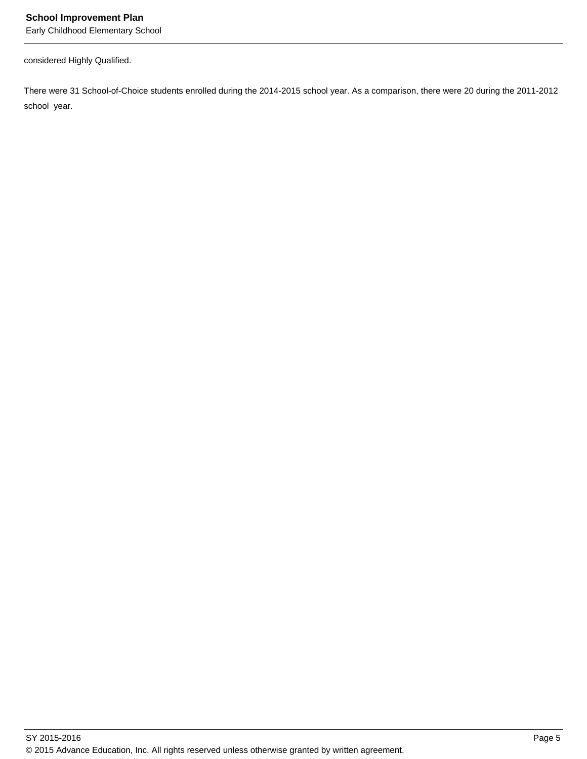considered Highly Qualified.

There were 31 School-of-Choice students enrolled during the 2014-2015 school year. As a comparison, there were 20 during the 2011-2012 school year.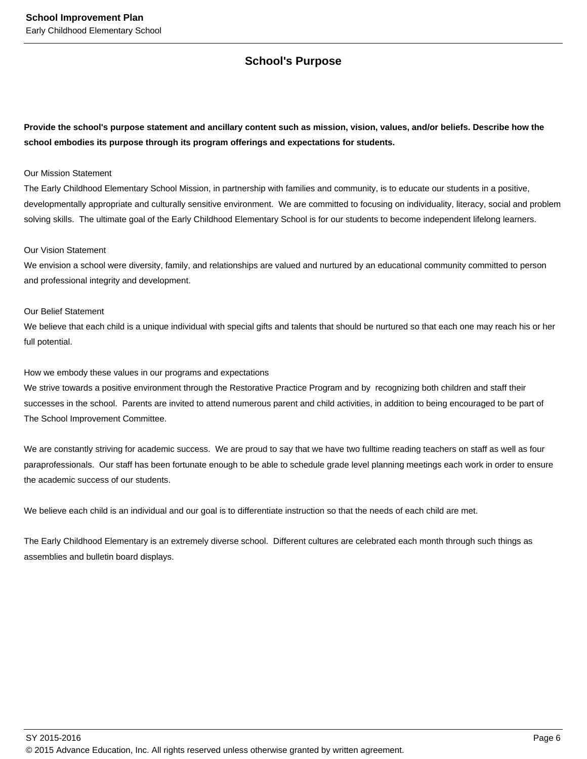## **School's Purpose**

**Provide the school's purpose statement and ancillary content such as mission, vision, values, and/or beliefs. Describe how the school embodies its purpose through its program offerings and expectations for students.**

#### Our Mission Statement

The Early Childhood Elementary School Mission, in partnership with families and community, is to educate our students in a positive, developmentally appropriate and culturally sensitive environment. We are committed to focusing on individuality, literacy, social and problem solving skills. The ultimate goal of the Early Childhood Elementary School is for our students to become independent lifelong learners.

#### Our Vision Statement

We envision a school were diversity, family, and relationships are valued and nurtured by an educational community committed to person and professional integrity and development.

#### Our Belief Statement

We believe that each child is a unique individual with special gifts and talents that should be nurtured so that each one may reach his or her full potential.

#### How we embody these values in our programs and expectations

We strive towards a positive environment through the Restorative Practice Program and by recognizing both children and staff their successes in the school. Parents are invited to attend numerous parent and child activities, in addition to being encouraged to be part of The School Improvement Committee.

We are constantly striving for academic success. We are proud to say that we have two fulltime reading teachers on staff as well as four paraprofessionals. Our staff has been fortunate enough to be able to schedule grade level planning meetings each work in order to ensure the academic success of our students.

We believe each child is an individual and our goal is to differentiate instruction so that the needs of each child are met.

The Early Childhood Elementary is an extremely diverse school. Different cultures are celebrated each month through such things as assemblies and bulletin board displays.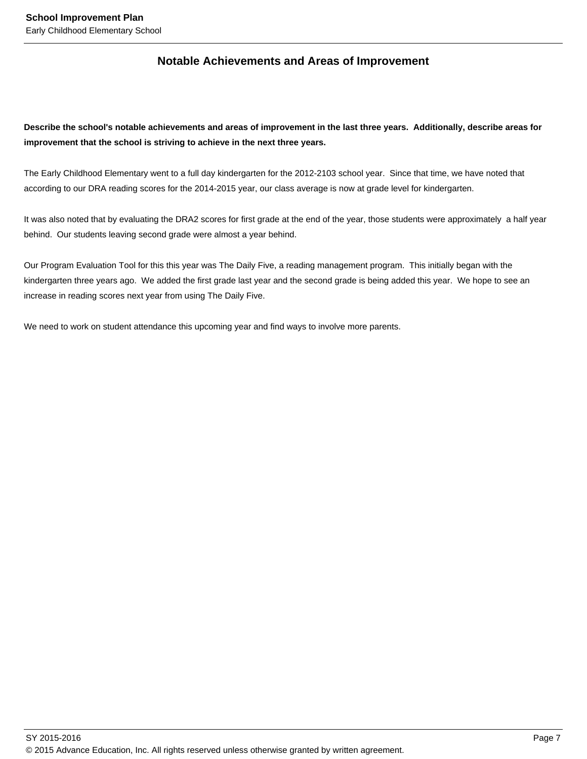## **Notable Achievements and Areas of Improvement**

**Describe the school's notable achievements and areas of improvement in the last three years. Additionally, describe areas for improvement that the school is striving to achieve in the next three years.**

The Early Childhood Elementary went to a full day kindergarten for the 2012-2103 school year. Since that time, we have noted that according to our DRA reading scores for the 2014-2015 year, our class average is now at grade level for kindergarten.

It was also noted that by evaluating the DRA2 scores for first grade at the end of the year, those students were approximately a half year behind. Our students leaving second grade were almost a year behind.

Our Program Evaluation Tool for this this year was The Daily Five, a reading management program. This initially began with the kindergarten three years ago. We added the first grade last year and the second grade is being added this year. We hope to see an increase in reading scores next year from using The Daily Five.

We need to work on student attendance this upcoming year and find ways to involve more parents.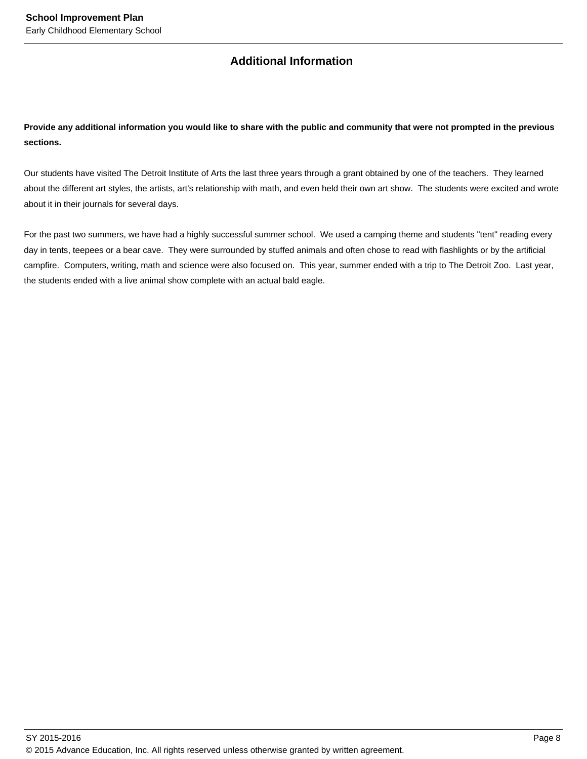## **Additional Information**

**Provide any additional information you would like to share with the public and community that were not prompted in the previous sections.**

Our students have visited The Detroit Institute of Arts the last three years through a grant obtained by one of the teachers. They learned about the different art styles, the artists, art's relationship with math, and even held their own art show. The students were excited and wrote about it in their journals for several days.

For the past two summers, we have had a highly successful summer school. We used a camping theme and students "tent" reading every day in tents, teepees or a bear cave. They were surrounded by stuffed animals and often chose to read with flashlights or by the artificial campfire. Computers, writing, math and science were also focused on. This year, summer ended with a trip to The Detroit Zoo. Last year, the students ended with a live animal show complete with an actual bald eagle.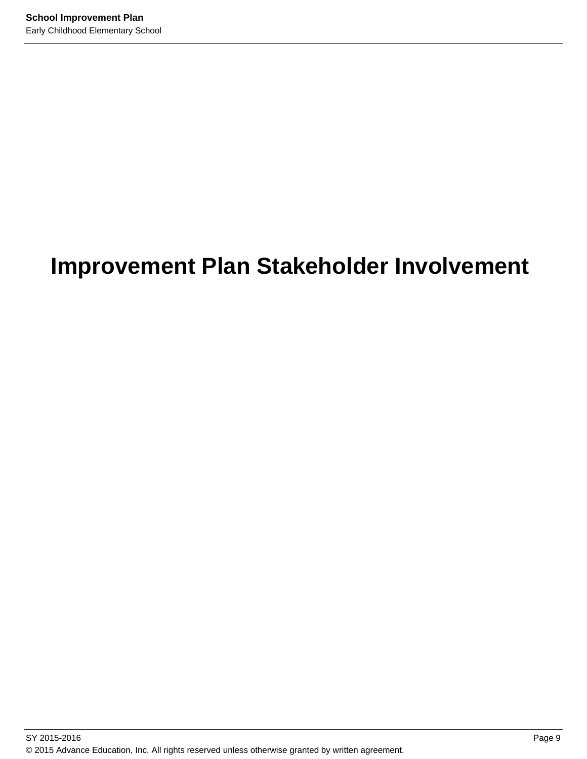# **Improvement Plan Stakeholder Involvement**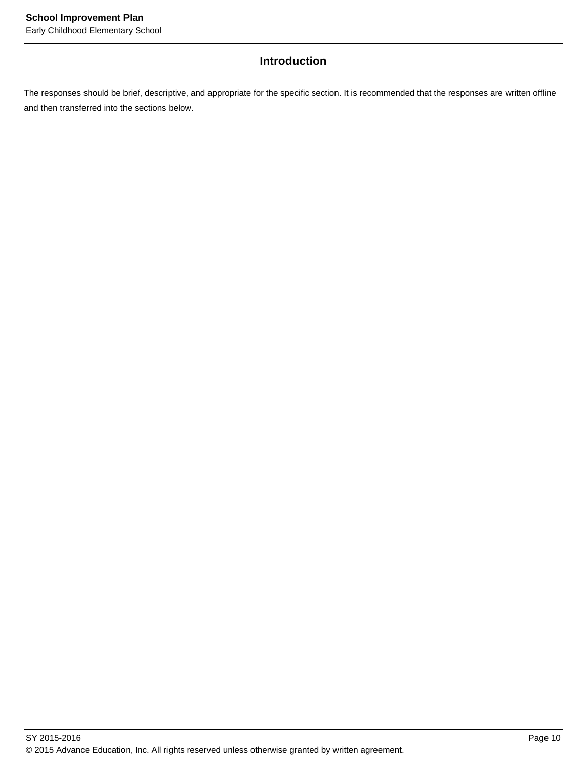## **Introduction**

The responses should be brief, descriptive, and appropriate for the specific section. It is recommended that the responses are written offline and then transferred into the sections below.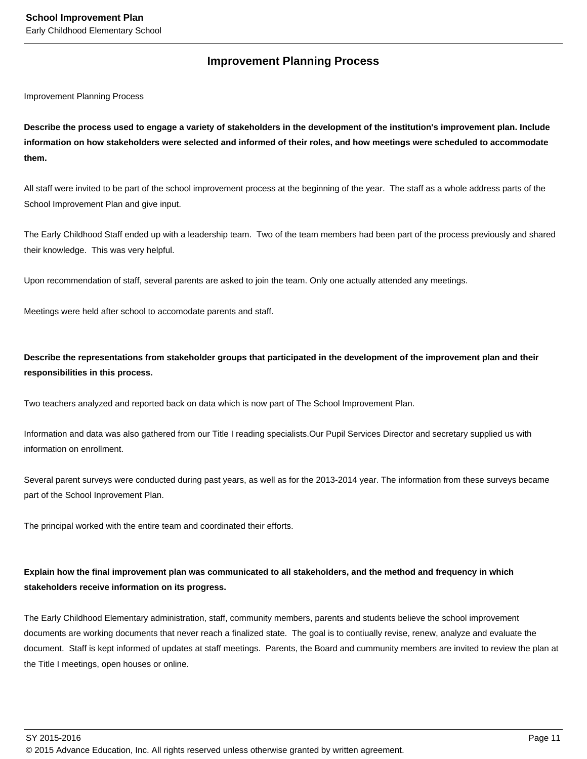## **Improvement Planning Process**

Improvement Planning Process

**Describe the process used to engage a variety of stakeholders in the development of the institution's improvement plan. Include information on how stakeholders were selected and informed of their roles, and how meetings were scheduled to accommodate them.** 

All staff were invited to be part of the school improvement process at the beginning of the year. The staff as a whole address parts of the School Improvement Plan and give input.

The Early Childhood Staff ended up with a leadership team. Two of the team members had been part of the process previously and shared their knowledge. This was very helpful.

Upon recommendation of staff, several parents are asked to join the team. Only one actually attended any meetings.

Meetings were held after school to accomodate parents and staff.

**Describe the representations from stakeholder groups that participated in the development of the improvement plan and their responsibilities in this process.**

Two teachers analyzed and reported back on data which is now part of The School Improvement Plan.

Information and data was also gathered from our Title I reading specialists.Our Pupil Services Director and secretary supplied us with information on enrollment.

Several parent surveys were conducted during past years, as well as for the 2013-2014 year. The information from these surveys became part of the School Inprovement Plan.

The principal worked with the entire team and coordinated their efforts.

## **Explain how the final improvement plan was communicated to all stakeholders, and the method and frequency in which stakeholders receive information on its progress.**

The Early Childhood Elementary administration, staff, community members, parents and students believe the school improvement documents are working documents that never reach a finalized state. The goal is to contiually revise, renew, analyze and evaluate the document. Staff is kept informed of updates at staff meetings. Parents, the Board and cummunity members are invited to review the plan at the Title I meetings, open houses or online.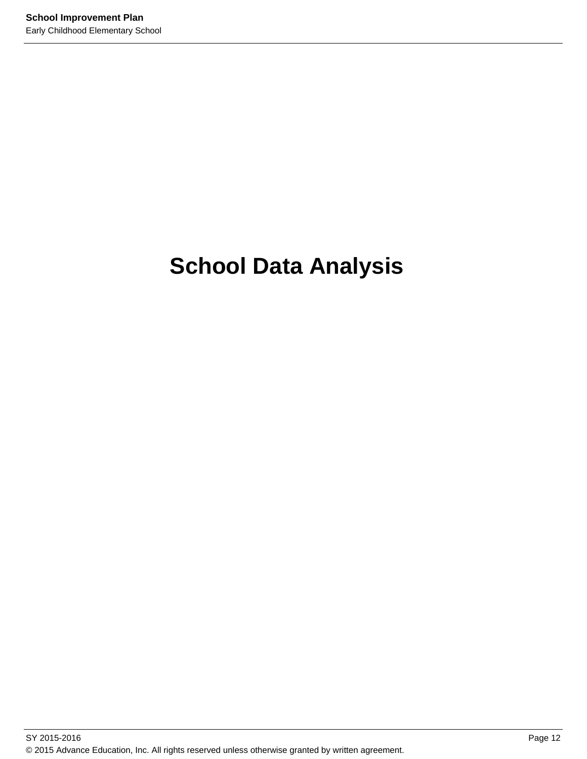# **School Data Analysis**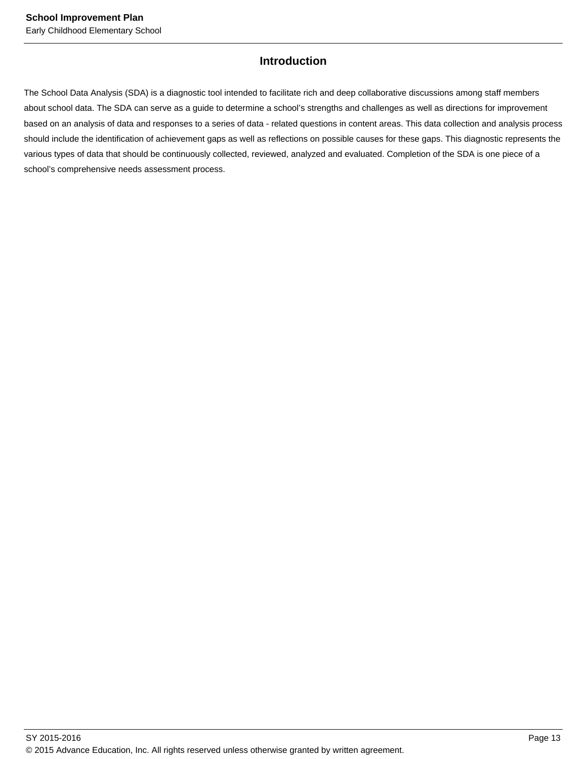## **Introduction**

The School Data Analysis (SDA) is a diagnostic tool intended to facilitate rich and deep collaborative discussions among staff members about school data. The SDA can serve as a guide to determine a school's strengths and challenges as well as directions for improvement based on an analysis of data and responses to a series of data - related questions in content areas. This data collection and analysis process should include the identification of achievement gaps as well as reflections on possible causes for these gaps. This diagnostic represents the various types of data that should be continuously collected, reviewed, analyzed and evaluated. Completion of the SDA is one piece of a school's comprehensive needs assessment process.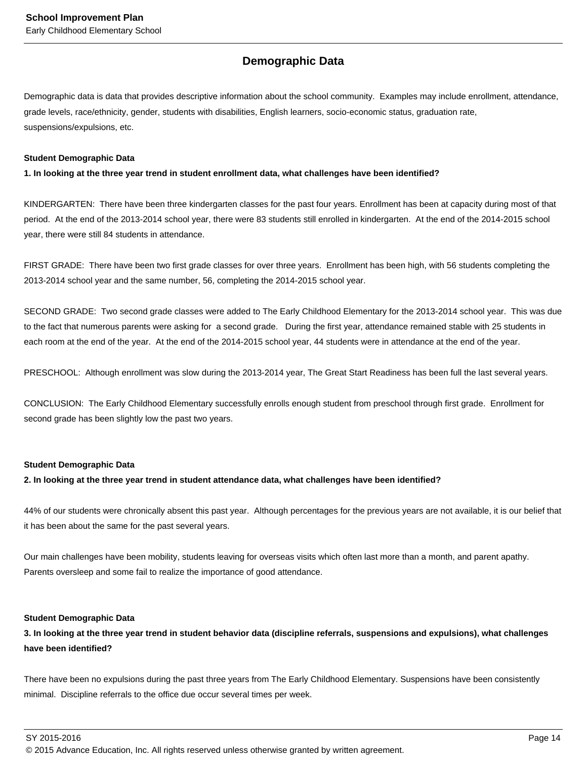## **Demographic Data**

Demographic data is data that provides descriptive information about the school community. Examples may include enrollment, attendance, grade levels, race/ethnicity, gender, students with disabilities, English learners, socio-economic status, graduation rate, suspensions/expulsions, etc.

#### **Student Demographic Data**

#### **1. In looking at the three year trend in student enrollment data, what challenges have been identified?**

KINDERGARTEN: There have been three kindergarten classes for the past four years. Enrollment has been at capacity during most of that period. At the end of the 2013-2014 school year, there were 83 students still enrolled in kindergarten. At the end of the 2014-2015 school year, there were still 84 students in attendance.

FIRST GRADE: There have been two first grade classes for over three years. Enrollment has been high, with 56 students completing the 2013-2014 school year and the same number, 56, completing the 2014-2015 school year.

SECOND GRADE: Two second grade classes were added to The Early Childhood Elementary for the 2013-2014 school year. This was due to the fact that numerous parents were asking for a second grade. During the first year, attendance remained stable with 25 students in each room at the end of the year. At the end of the 2014-2015 school year, 44 students were in attendance at the end of the year.

PRESCHOOL: Although enrollment was slow during the 2013-2014 year, The Great Start Readiness has been full the last several years.

CONCLUSION: The Early Childhood Elementary successfully enrolls enough student from preschool through first grade. Enrollment for second grade has been slightly low the past two years.

#### **Student Demographic Data**

#### **2. In looking at the three year trend in student attendance data, what challenges have been identified?**

44% of our students were chronically absent this past year. Although percentages for the previous years are not available, it is our belief that it has been about the same for the past several years.

Our main challenges have been mobility, students leaving for overseas visits which often last more than a month, and parent apathy. Parents oversleep and some fail to realize the importance of good attendance.

#### **Student Demographic Data**

## **3. In looking at the three year trend in student behavior data (discipline referrals, suspensions and expulsions), what challenges have been identified?**

There have been no expulsions during the past three years from The Early Childhood Elementary. Suspensions have been consistently minimal. Discipline referrals to the office due occur several times per week.

SY 2015-2016 Page 14

<sup>© 2015</sup> Advance Education, Inc. All rights reserved unless otherwise granted by written agreement.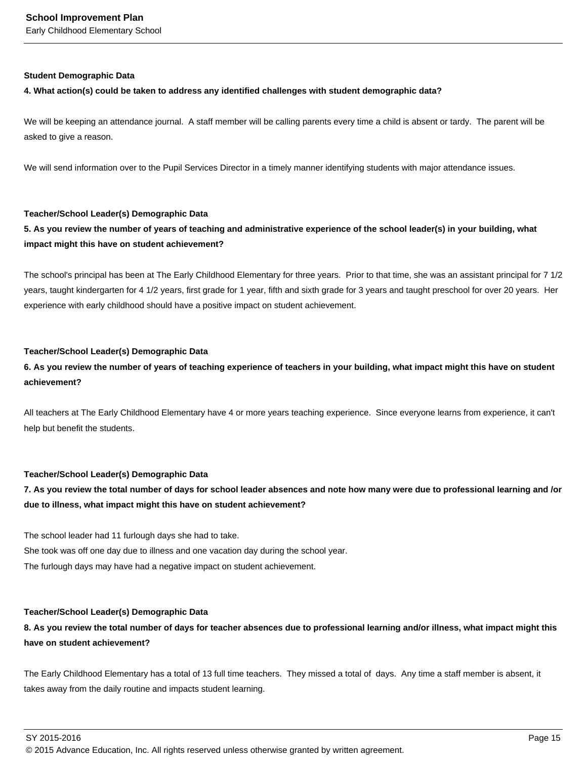#### **Student Demographic Data**

#### **4. What action(s) could be taken to address any identified challenges with student demographic data?**

We will be keeping an attendance journal. A staff member will be calling parents every time a child is absent or tardy. The parent will be asked to give a reason.

We will send information over to the Pupil Services Director in a timely manner identifying students with major attendance issues.

#### **Teacher/School Leader(s) Demographic Data**

## **5. As you review the number of years of teaching and administrative experience of the school leader(s) in your building, what impact might this have on student achievement?**

The school's principal has been at The Early Childhood Elementary for three years. Prior to that time, she was an assistant principal for 7 1/2 years, taught kindergarten for 4 1/2 years, first grade for 1 year, fifth and sixth grade for 3 years and taught preschool for over 20 years. Her experience with early childhood should have a positive impact on student achievement.

#### **Teacher/School Leader(s) Demographic Data**

## **6. As you review the number of years of teaching experience of teachers in your building, what impact might this have on student achievement?**

All teachers at The Early Childhood Elementary have 4 or more years teaching experience. Since everyone learns from experience, it can't help but benefit the students.

#### **Teacher/School Leader(s) Demographic Data**

## **7. As you review the total number of days for school leader absences and note how many were due to professional learning and /or due to illness, what impact might this have on student achievement?**

The school leader had 11 furlough days she had to take.

She took was off one day due to illness and one vacation day during the school year. The furlough days may have had a negative impact on student achievement.

#### **Teacher/School Leader(s) Demographic Data**

## **8. As you review the total number of days for teacher absences due to professional learning and/or illness, what impact might this have on student achievement?**

The Early Childhood Elementary has a total of 13 full time teachers. They missed a total of days. Any time a staff member is absent, it takes away from the daily routine and impacts student learning.

 $\,$  SY 2015-2016  $\,$  Page 15  $\,$ 

<sup>© 2015</sup> Advance Education, Inc. All rights reserved unless otherwise granted by written agreement.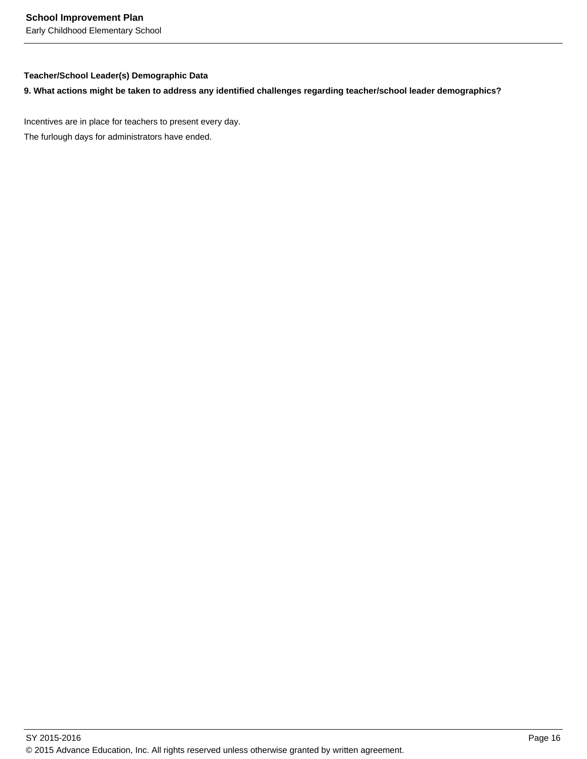#### **Teacher/School Leader(s) Demographic Data**

### **9. What actions might be taken to address any identified challenges regarding teacher/school leader demographics?**

Incentives are in place for teachers to present every day.

The furlough days for administrators have ended.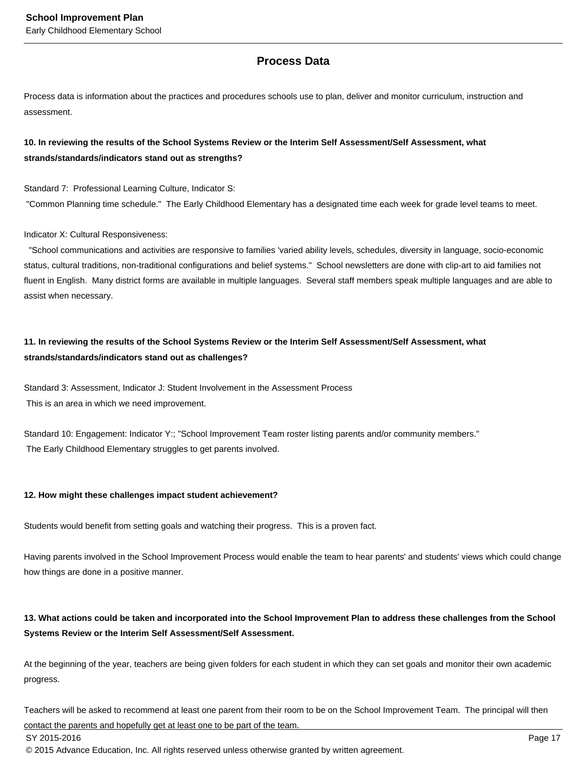## **Process Data**

Process data is information about the practices and procedures schools use to plan, deliver and monitor curriculum, instruction and assessment.

### **10. In reviewing the results of the School Systems Review or the Interim Self Assessment/Self Assessment, what strands/standards/indicators stand out as strengths?**

Standard 7: Professional Learning Culture, Indicator S:

"Common Planning time schedule." The Early Childhood Elementary has a designated time each week for grade level teams to meet.

#### Indicator X: Cultural Responsiveness:

 "School communications and activities are responsive to families 'varied ability levels, schedules, diversity in language, socio-economic status, cultural traditions, non-traditional configurations and belief systems." School newsletters are done with clip-art to aid families not fluent in English. Many district forms are available in multiple languages. Several staff members speak multiple languages and are able to assist when necessary.

## **11. In reviewing the results of the School Systems Review or the Interim Self Assessment/Self Assessment, what strands/standards/indicators stand out as challenges?**

Standard 3: Assessment, Indicator J: Student Involvement in the Assessment Process This is an area in which we need improvement.

Standard 10: Engagement: Indicator Y:; "School Improvement Team roster listing parents and/or community members." The Early Childhood Elementary struggles to get parents involved.

#### **12. How might these challenges impact student achievement?**

Students would benefit from setting goals and watching their progress. This is a proven fact.

Having parents involved in the School Improvement Process would enable the team to hear parents' and students' views which could change how things are done in a positive manner.

### **13. What actions could be taken and incorporated into the School Improvement Plan to address these challenges from the School Systems Review or the Interim Self Assessment/Self Assessment.**

At the beginning of the year, teachers are being given folders for each student in which they can set goals and monitor their own academic progress.

Teachers will be asked to recommend at least one parent from their room to be on the School Improvement Team. The principal will then contact the parents and hopefully get at least one to be part of the team.

© 2015 Advance Education, Inc. All rights reserved unless otherwise granted by written agreement.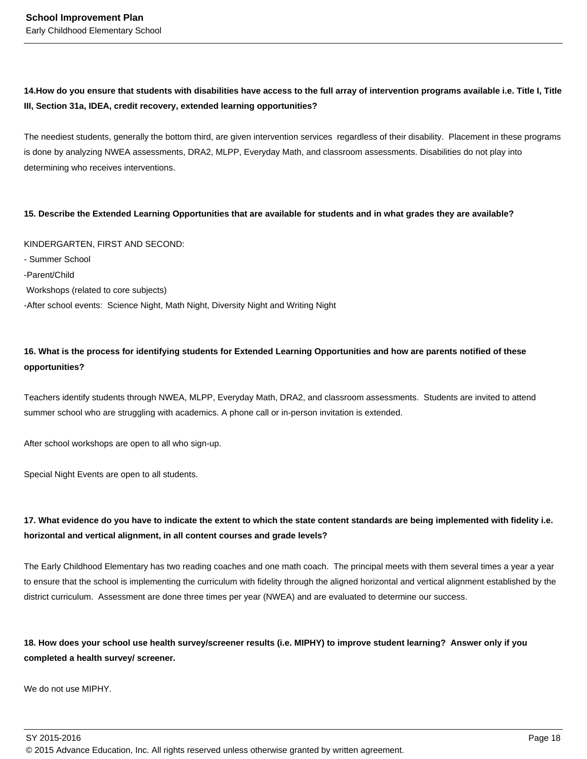## 14. How do you ensure that students with disabilities have access to the full array of intervention programs available i.e. Title I, Title **III, Section 31a, IDEA, credit recovery, extended learning opportunities?**

The neediest students, generally the bottom third, are given intervention services regardless of their disability. Placement in these programs is done by analyzing NWEA assessments, DRA2, MLPP, Everyday Math, and classroom assessments. Disabilities do not play into determining who receives interventions.

#### **15. Describe the Extended Learning Opportunities that are available for students and in what grades they are available?**

KINDERGARTEN, FIRST AND SECOND: - Summer School -Parent/Child Workshops (related to core subjects) -After school events: Science Night, Math Night, Diversity Night and Writing Night

## **16. What is the process for identifying students for Extended Learning Opportunities and how are parents notified of these opportunities?**

Teachers identify students through NWEA, MLPP, Everyday Math, DRA2, and classroom assessments. Students are invited to attend summer school who are struggling with academics. A phone call or in-person invitation is extended.

After school workshops are open to all who sign-up.

Special Night Events are open to all students.

## **17. What evidence do you have to indicate the extent to which the state content standards are being implemented with fidelity i.e. horizontal and vertical alignment, in all content courses and grade levels?**

The Early Childhood Elementary has two reading coaches and one math coach. The principal meets with them several times a year a year to ensure that the school is implementing the curriculum with fidelity through the aligned horizontal and vertical alignment established by the district curriculum. Assessment are done three times per year (NWEA) and are evaluated to determine our success.

## **18. How does your school use health survey/screener results (i.e. MIPHY) to improve student learning? Answer only if you completed a health survey/ screener.**

We do not use MIPHY.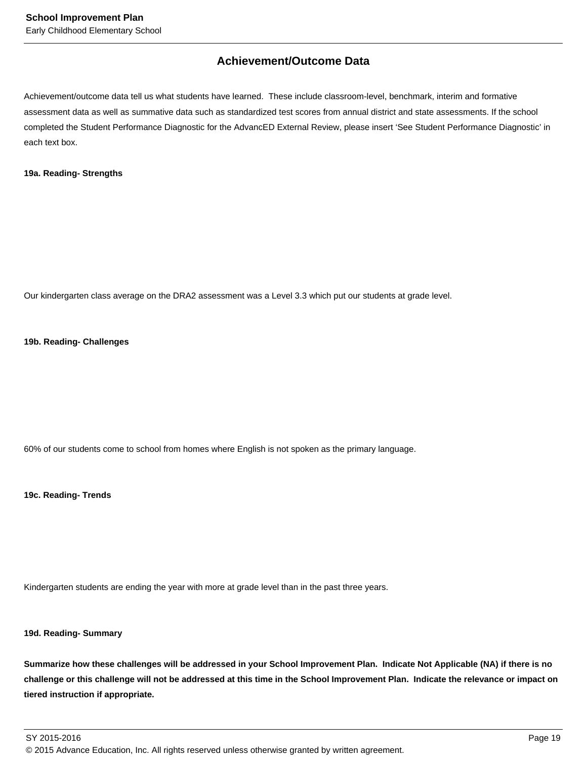## **Achievement/Outcome Data**

Achievement/outcome data tell us what students have learned. These include classroom-level, benchmark, interim and formative assessment data as well as summative data such as standardized test scores from annual district and state assessments. If the school completed the Student Performance Diagnostic for the AdvancED External Review, please insert 'See Student Performance Diagnostic' in each text box.

#### **19a. Reading- Strengths**

Our kindergarten class average on the DRA2 assessment was a Level 3.3 which put our students at grade level.

#### **19b. Reading- Challenges**

60% of our students come to school from homes where English is not spoken as the primary language.

**19c. Reading- Trends**

Kindergarten students are ending the year with more at grade level than in the past three years.

### **19d. Reading- Summary**

**Summarize how these challenges will be addressed in your School Improvement Plan. Indicate Not Applicable (NA) if there is no challenge or this challenge will not be addressed at this time in the School Improvement Plan. Indicate the relevance or impact on tiered instruction if appropriate.**

SY 2015-2016 Page 19 © 2015 Advance Education, Inc. All rights reserved unless otherwise granted by written agreement.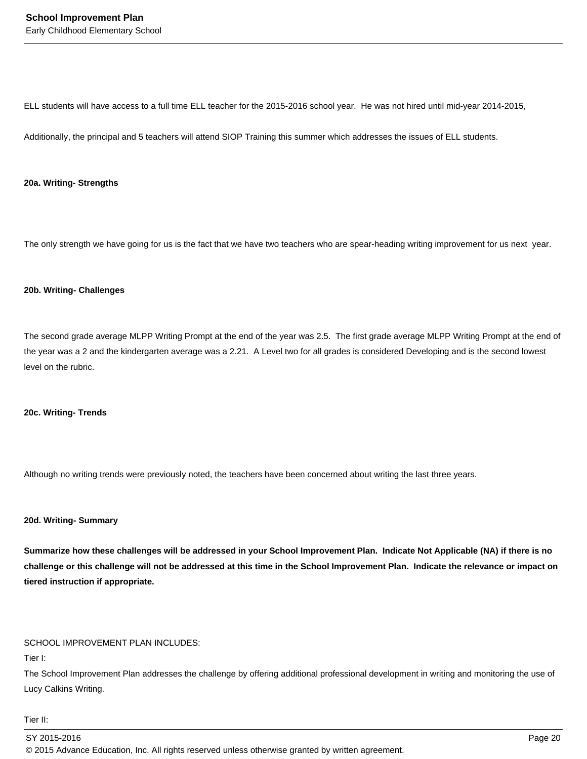ELL students will have access to a full time ELL teacher for the 2015-2016 school year. He was not hired until mid-year 2014-2015,

Additionally, the principal and 5 teachers will attend SIOP Training this summer which addresses the issues of ELL students.

#### **20a. Writing- Strengths**

The only strength we have going for us is the fact that we have two teachers who are spear-heading writing improvement for us next year.

#### **20b. Writing- Challenges**

The second grade average MLPP Writing Prompt at the end of the year was 2.5. The first grade average MLPP Writing Prompt at the end of the year was a 2 and the kindergarten average was a 2.21. A Level two for all grades is considered Developing and is the second lowest level on the rubric.

#### **20c. Writing- Trends**

Although no writing trends were previously noted, the teachers have been concerned about writing the last three years.

#### **20d. Writing- Summary**

**Summarize how these challenges will be addressed in your School Improvement Plan. Indicate Not Applicable (NA) if there is no challenge or this challenge will not be addressed at this time in the School Improvement Plan. Indicate the relevance or impact on tiered instruction if appropriate.**

#### SCHOOL IMPROVEMENT PLAN INCLUDES:

Tier I:

The School Improvement Plan addresses the challenge by offering additional professional development in writing and monitoring the use of Lucy Calkins Writing.

Tier II: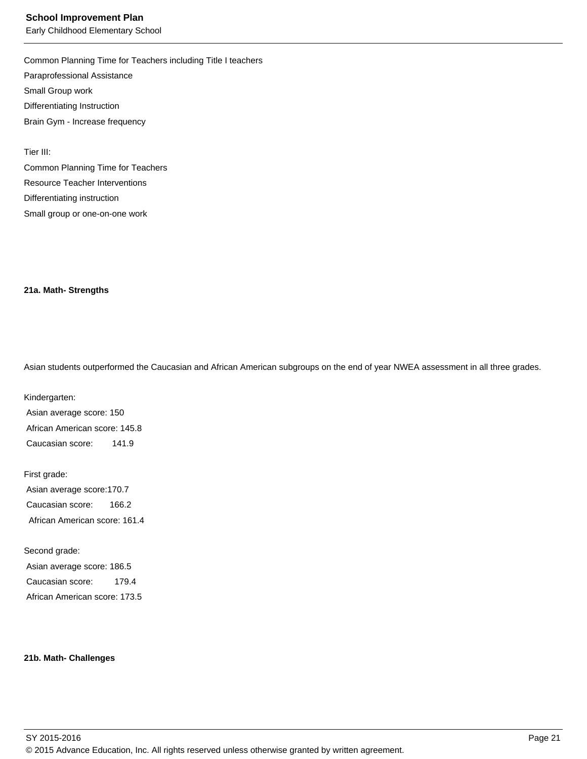Common Planning Time for Teachers including Title I teachers Paraprofessional Assistance Small Group work Differentiating Instruction Brain Gym - Increase frequency

Tier III:

Common Planning Time for Teachers Resource Teacher Interventions Differentiating instruction Small group or one-on-one work

#### **21a. Math- Strengths**

Asian students outperformed the Caucasian and African American subgroups on the end of year NWEA assessment in all three grades.

Kindergarten: Asian average score: 150 African American score: 145.8 Caucasian score: 141.9

First grade: Asian average score:170.7 Caucasian score: 166.2 African American score: 161.4

Second grade: Asian average score: 186.5 Caucasian score: 179.4 African American score: 173.5

#### **21b. Math- Challenges**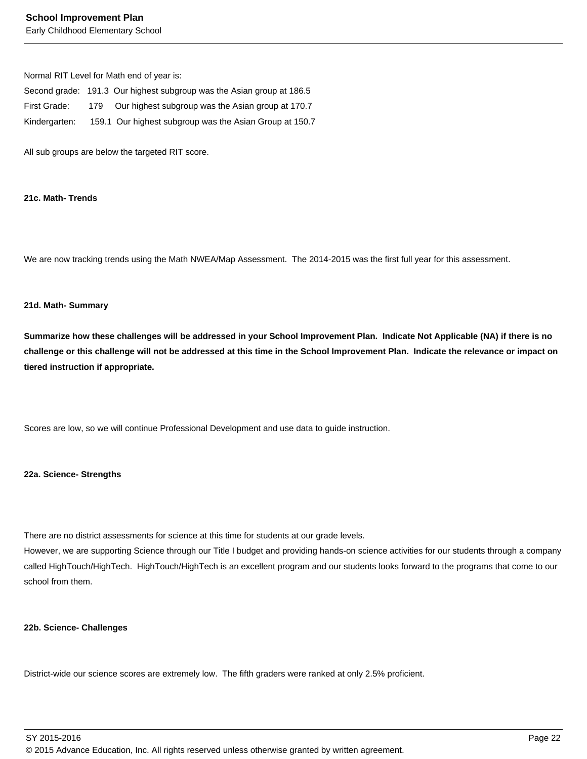#### **School Improvement Plan**

Early Childhood Elementary School

Normal RIT Level for Math end of year is:

|               |     | Second grade: 191.3 Our highest subgroup was the Asian group at 186.5 |
|---------------|-----|-----------------------------------------------------------------------|
| First Grade:  | 179 | Our highest subgroup was the Asian group at 170.7                     |
| Kindergarten: |     | 159.1 Our highest subgroup was the Asian Group at 150.7               |

All sub groups are below the targeted RIT score.

#### **21c. Math- Trends**

We are now tracking trends using the Math NWEA/Map Assessment. The 2014-2015 was the first full year for this assessment.

#### **21d. Math- Summary**

**Summarize how these challenges will be addressed in your School Improvement Plan. Indicate Not Applicable (NA) if there is no challenge or this challenge will not be addressed at this time in the School Improvement Plan. Indicate the relevance or impact on tiered instruction if appropriate.**

Scores are low, so we will continue Professional Development and use data to guide instruction.

#### **22a. Science- Strengths**

There are no district assessments for science at this time for students at our grade levels.

However, we are supporting Science through our Title I budget and providing hands-on science activities for our students through a company called HighTouch/HighTech. HighTouch/HighTech is an excellent program and our students looks forward to the programs that come to our school from them.

#### **22b. Science- Challenges**

District-wide our science scores are extremely low. The fifth graders were ranked at only 2.5% proficient.

SY 2015-2016 Page 22 © 2015 Advance Education, Inc. All rights reserved unless otherwise granted by written agreement.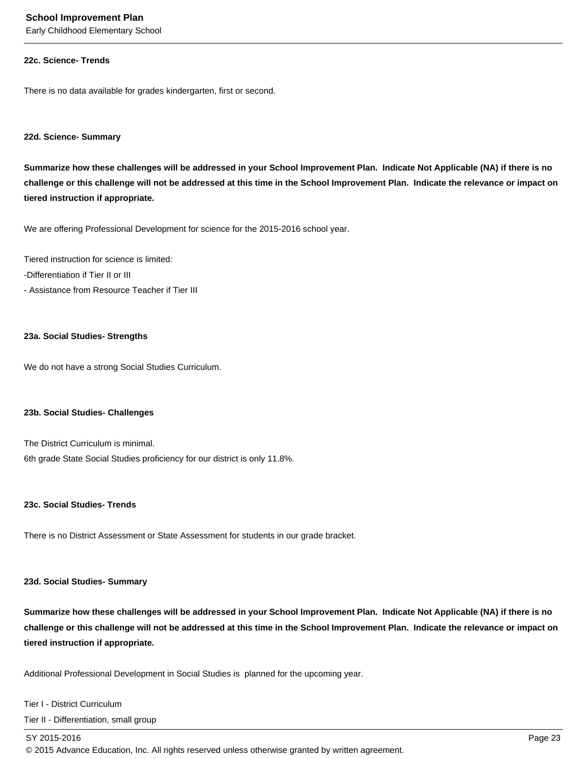#### **22c. Science- Trends**

There is no data available for grades kindergarten, first or second.

#### **22d. Science- Summary**

**Summarize how these challenges will be addressed in your School Improvement Plan. Indicate Not Applicable (NA) if there is no challenge or this challenge will not be addressed at this time in the School Improvement Plan. Indicate the relevance or impact on tiered instruction if appropriate.**

We are offering Professional Development for science for the 2015-2016 school year.

Tiered instruction for science is limited:

- -Differentiation if Tier II or III
- Assistance from Resource Teacher if Tier III

#### **23a. Social Studies- Strengths**

We do not have a strong Social Studies Curriculum.

#### **23b. Social Studies- Challenges**

The District Curriculum is minimal. 6th grade State Social Studies proficiency for our district is only 11.8%.

#### **23c. Social Studies- Trends**

There is no District Assessment or State Assessment for students in our grade bracket.

#### **23d. Social Studies- Summary**

**Summarize how these challenges will be addressed in your School Improvement Plan. Indicate Not Applicable (NA) if there is no challenge or this challenge will not be addressed at this time in the School Improvement Plan. Indicate the relevance or impact on tiered instruction if appropriate.**

Additional Professional Development in Social Studies is planned for the upcoming year.

#### Tier I - District Curriculum

Tier II - Differentiation, small group

#### SY 2015-2016 Page 23

© 2015 Advance Education, Inc. All rights reserved unless otherwise granted by written agreement.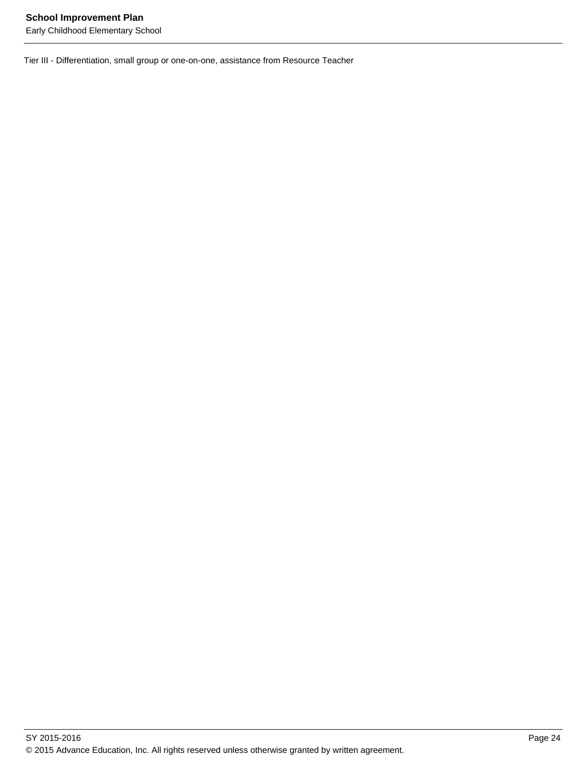Tier III - Differentiation, small group or one-on-one, assistance from Resource Teacher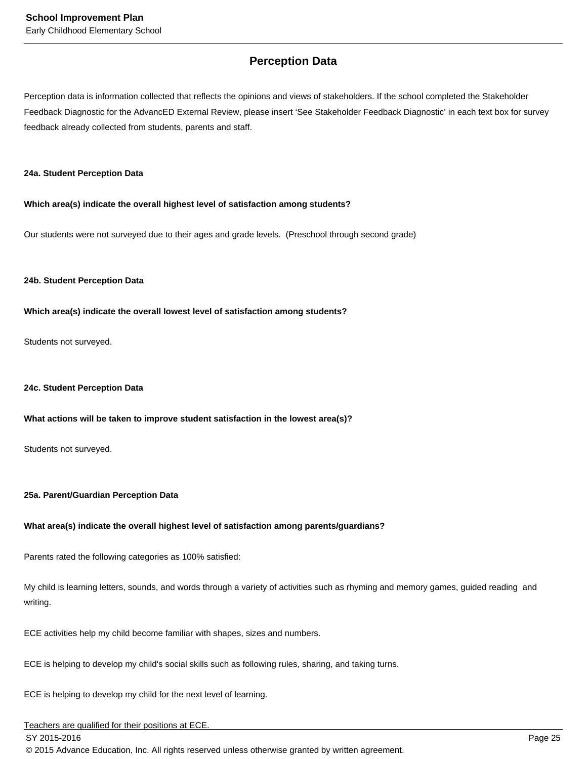## **Perception Data**

Perception data is information collected that reflects the opinions and views of stakeholders. If the school completed the Stakeholder Feedback Diagnostic for the AdvancED External Review, please insert 'See Stakeholder Feedback Diagnostic' in each text box for survey feedback already collected from students, parents and staff.

#### **24a. Student Perception Data**

**Which area(s) indicate the overall highest level of satisfaction among students?**

Our students were not surveyed due to their ages and grade levels. (Preschool through second grade)

#### **24b. Student Perception Data**

#### **Which area(s) indicate the overall lowest level of satisfaction among students?**

Students not surveyed.

#### **24c. Student Perception Data**

#### **What actions will be taken to improve student satisfaction in the lowest area(s)?**

Students not surveyed.

#### **25a. Parent/Guardian Perception Data**

#### **What area(s) indicate the overall highest level of satisfaction among parents/guardians?**

Parents rated the following categories as 100% satisfied:

My child is learning letters, sounds, and words through a variety of activities such as rhyming and memory games, guided reading and writing.

ECE activities help my child become familiar with shapes, sizes and numbers.

ECE is helping to develop my child's social skills such as following rules, sharing, and taking turns.

ECE is helping to develop my child for the next level of learning.

## Teachers are qualified for their positions at ECE.

SY 2015-2016 Page 25

© 2015 Advance Education, Inc. All rights reserved unless otherwise granted by written agreement.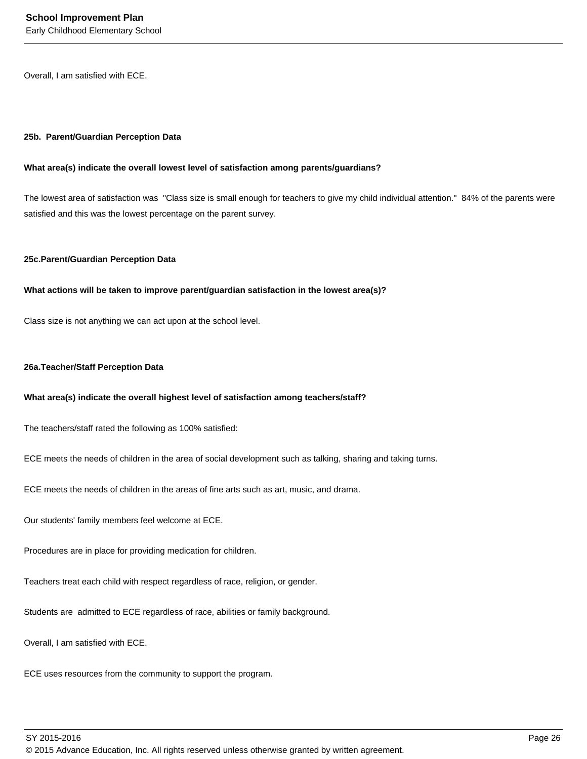Overall, I am satisfied with ECE.

#### **25b. Parent/Guardian Perception Data**

#### **What area(s) indicate the overall lowest level of satisfaction among parents/guardians?**

The lowest area of satisfaction was "Class size is small enough for teachers to give my child individual attention." 84% of the parents were satisfied and this was the lowest percentage on the parent survey.

#### **25c. Parent/Guardian Perception Data**

#### **What actions will be taken to improve parent/guardian satisfaction in the lowest area(s)?**

Class size is not anything we can act upon at the school level.

#### **26a. Teacher/Staff Perception Data**

#### **What area(s) indicate the overall highest level of satisfaction among teachers/staff?**

The teachers/staff rated the following as 100% satisfied:

ECE meets the needs of children in the area of social development such as talking, sharing and taking turns.

ECE meets the needs of children in the areas of fine arts such as art, music, and drama.

Our students' family members feel welcome at ECE.

Procedures are in place for providing medication for children.

Teachers treat each child with respect regardless of race, religion, or gender.

Students are admitted to ECE regardless of race, abilities or family background.

Overall, I am satisfied with ECE.

ECE uses resources from the community to support the program.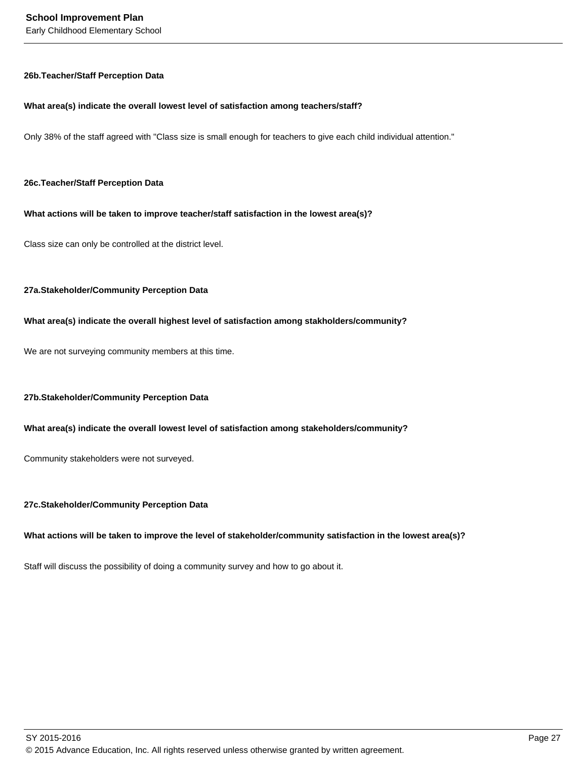#### **26b. Teacher/Staff Perception Data**

#### **What area(s) indicate the overall lowest level of satisfaction among teachers/staff?**

Only 38% of the staff agreed with "Class size is small enough for teachers to give each child individual attention."

#### **26c. Teacher/Staff Perception Data**

#### **What actions will be taken to improve teacher/staff satisfaction in the lowest area(s)?**

Class size can only be controlled at the district level.

#### **27a. Stakeholder/Community Perception Data**

#### **What area(s) indicate the overall highest level of satisfaction among stakholders/community?**

We are not surveying community members at this time.

#### **27b. Stakeholder/Community Perception Data**

#### **What area(s) indicate the overall lowest level of satisfaction among stakeholders/community?**

Community stakeholders were not surveyed.

#### **27c. Stakeholder/Community Perception Data**

#### **What actions will be taken to improve the level of stakeholder/community satisfaction in the lowest area(s)?**

Staff will discuss the possibility of doing a community survey and how to go about it.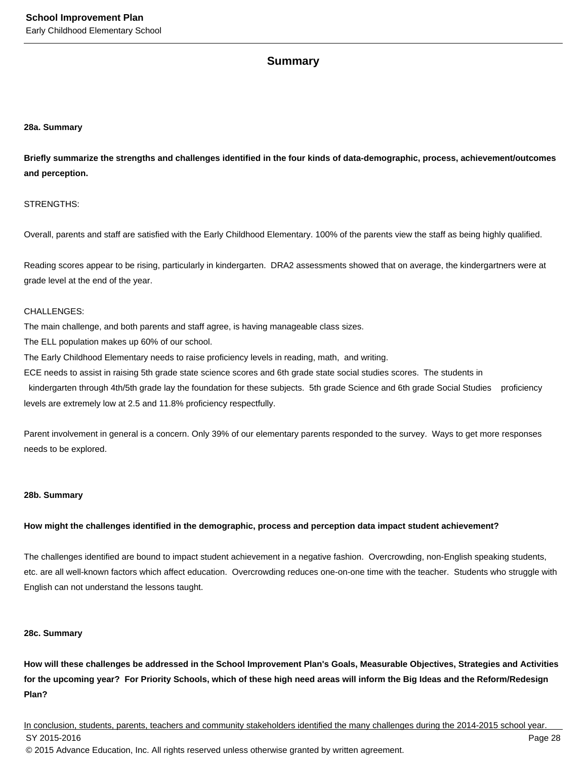### **Summary**

#### **28a. Summary**

**Briefly summarize the strengths and challenges identified in the four kinds of data-demographic, process, achievement/outcomes and perception.**

#### STRENGTHS:

Overall, parents and staff are satisfied with the Early Childhood Elementary. 100% of the parents view the staff as being highly qualified.

Reading scores appear to be rising, particularly in kindergarten. DRA2 assessments showed that on average, the kindergartners were at grade level at the end of the year.

#### CHALLENGES:

The main challenge, and both parents and staff agree, is having manageable class sizes.

The ELL population makes up 60% of our school.

The Early Childhood Elementary needs to raise proficiency levels in reading, math, and writing.

ECE needs to assist in raising 5th grade state science scores and 6th grade state social studies scores. The students in

kindergarten through 4th/5th grade lay the foundation for these subjects. 5th grade Science and 6th grade Social Studies proficiency levels are extremely low at 2.5 and 11.8% proficiency respectfully.

Parent involvement in general is a concern. Only 39% of our elementary parents responded to the survey. Ways to get more responses needs to be explored.

#### **28b. Summary**

#### **How might the challenges identified in the demographic, process and perception data impact student achievement?**

The challenges identified are bound to impact student achievement in a negative fashion. Overcrowding, non-English speaking students, etc. are all well-known factors which affect education. Overcrowding reduces one-on-one time with the teacher. Students who struggle with English can not understand the lessons taught.

#### **28c. Summary**

**How will these challenges be addressed in the School Improvement Plan's Goals, Measurable Objectives, Strategies and Activities for the upcoming year? For Priority Schools, which of these high need areas will inform the Big Ideas and the Reform/Redesign Plan?**

In conclusion, students, parents, teachers and community stakeholders identified the many challenges during the 2014-2015 school year. SY 2015-2016 Page 28 © 2015 Advance Education, Inc. All rights reserved unless otherwise granted by written agreement.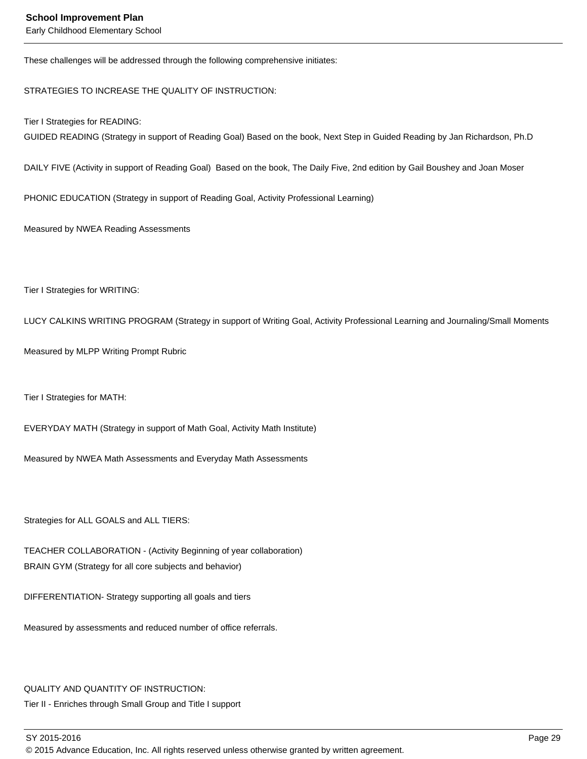These challenges will be addressed through the following comprehensive initiates:

STRATEGIES TO INCREASE THE QUALITY OF INSTRUCTION:

Tier I Strategies for READING:

GUIDED READING (Strategy in support of Reading Goal) Based on the book, Next Step in Guided Reading by Jan Richardson, Ph.D

DAILY FIVE (Activity in support of Reading Goal) Based on the book, The Daily Five, 2nd edition by Gail Boushey and Joan Moser

PHONIC EDUCATION (Strategy in support of Reading Goal, Activity Professional Learning)

Measured by NWEA Reading Assessments

Tier I Strategies for WRITING:

LUCY CALKINS WRITING PROGRAM (Strategy in support of Writing Goal, Activity Professional Learning and Journaling/Small Moments

Measured by MLPP Writing Prompt Rubric

Tier I Strategies for MATH:

EVERYDAY MATH (Strategy in support of Math Goal, Activity Math Institute)

Measured by NWEA Math Assessments and Everyday Math Assessments

Strategies for ALL GOALS and ALL TIERS:

TEACHER COLLABORATION - (Activity Beginning of year collaboration) BRAIN GYM (Strategy for all core subjects and behavior)

DIFFERENTIATION- Strategy supporting all goals and tiers

Measured by assessments and reduced number of office referrals.

#### QUALITY AND QUANTITY OF INSTRUCTION:

Tier II - Enriches through Small Group and Title I support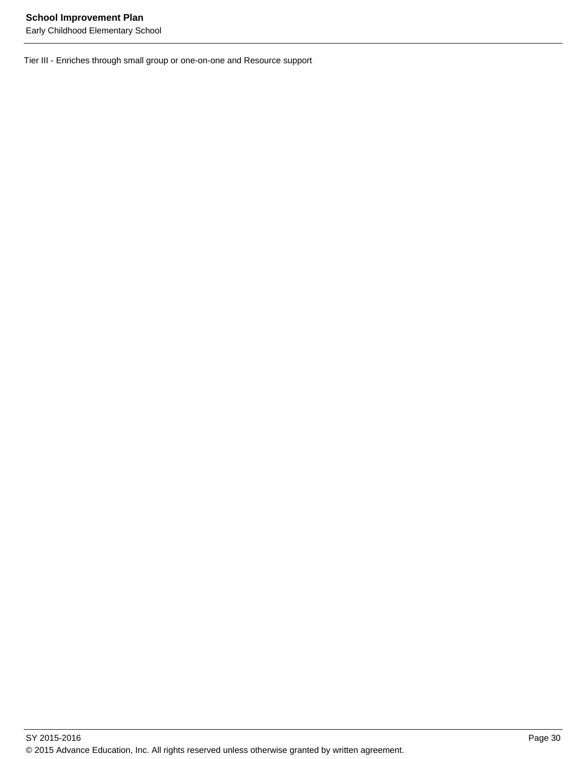Tier III - Enriches through small group or one-on-one and Resource support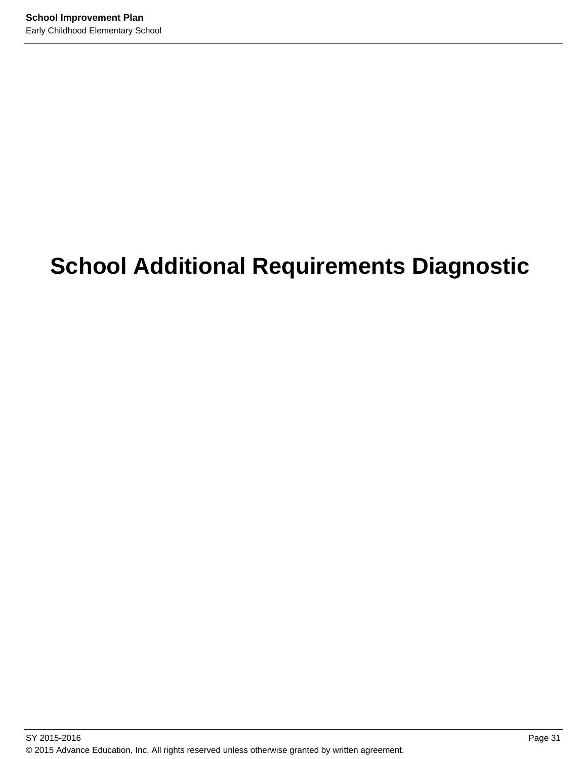# **School Additional Requirements Diagnostic**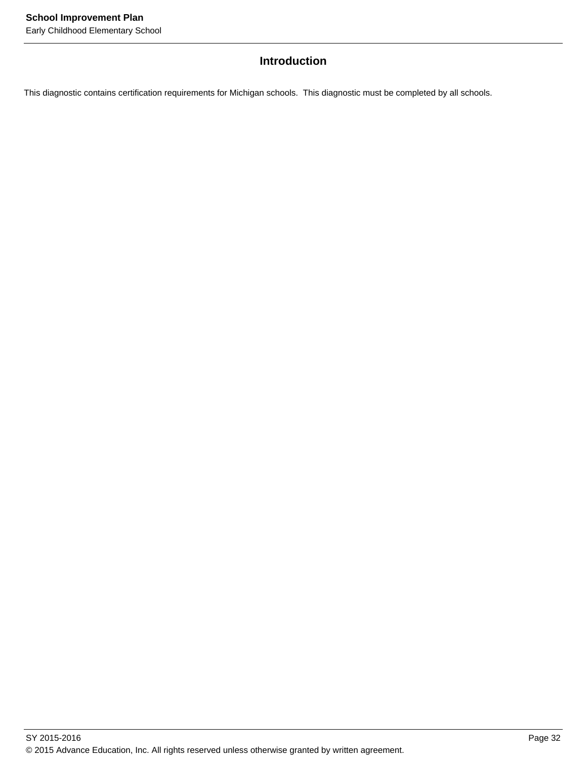## **Introduction**

This diagnostic contains certification requirements for Michigan schools. This diagnostic must be completed by all schools.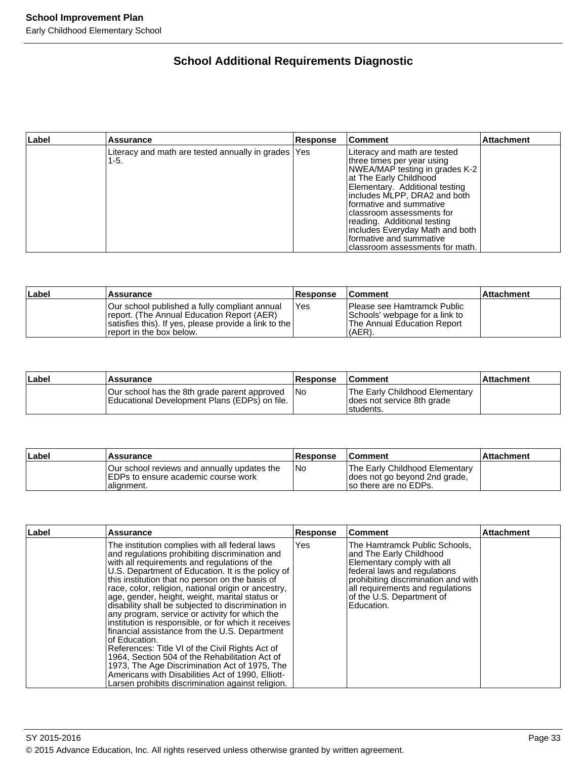# **School Additional Requirements Diagnostic**

| Label | <b>Assurance</b>                                              | Response | <b>Comment</b>                                                                                                                                                                                                                                                                                                                                                                     | Attachment |
|-------|---------------------------------------------------------------|----------|------------------------------------------------------------------------------------------------------------------------------------------------------------------------------------------------------------------------------------------------------------------------------------------------------------------------------------------------------------------------------------|------------|
|       | Literacy and math are tested annually in grades   Yes<br>1-5. |          | Literacy and math are tested<br>three times per year using<br>NWEA/MAP testing in grades K-2<br>at The Early Childhood<br>Elementary. Additional testing<br>includes MLPP, DRA2 and both<br>Iformative and summative<br>Iclassroom assessments for<br>reading. Additional testing<br>includes Everyday Math and both<br>formative and summative<br>classroom assessments for math. |            |

| Label | <b>Assurance</b>                                                                                                                                                                  | <b>Response</b> | <b>Comment</b>                                                                                         | <b>Attachment</b> |
|-------|-----------------------------------------------------------------------------------------------------------------------------------------------------------------------------------|-----------------|--------------------------------------------------------------------------------------------------------|-------------------|
|       | lOur school published a fully compliant annual<br>report. (The Annual Education Report (AER)<br>satisfies this). If yes, please provide a link to the<br>report in the box below. | l Yes           | lPlease see Hamtramck Public<br>Schools' webpage for a link to<br>The Annual Education Report<br>(AER) |                   |

| Label | <b>Assurance</b>                                                                              | Response | <b>Comment</b>                                                             | ⊺Attachment |
|-------|-----------------------------------------------------------------------------------------------|----------|----------------------------------------------------------------------------|-------------|
|       | Our school has the 8th grade parent approved<br>Educational Development Plans (EDPs) on file. | l No     | The Early Childhood Elementary<br>does not service 8th grade<br>Istudents. |             |

| Label | Assurance                                                                                          | <b>Response</b> | <b>Comment</b>                                                                            | <b>Attachment</b> |
|-------|----------------------------------------------------------------------------------------------------|-----------------|-------------------------------------------------------------------------------------------|-------------------|
|       | Our school reviews and annually updates the<br>IEDPs to ensure academic course work<br>Ialianment. | INo             | The Early Childhood Elementary<br>does not go beyond 2nd grade,<br>Iso there are no EDPs. |                   |

| Label | <b>Assurance</b>                                                                                                                                                                                                                                                                                                                                                                                                                                                                                                                                                                                                                                                                                                                                                                                                                                                     | <b>Response</b> | <b>Comment</b>                                                                                                                                                                                                                               | <b>Attachment</b> |
|-------|----------------------------------------------------------------------------------------------------------------------------------------------------------------------------------------------------------------------------------------------------------------------------------------------------------------------------------------------------------------------------------------------------------------------------------------------------------------------------------------------------------------------------------------------------------------------------------------------------------------------------------------------------------------------------------------------------------------------------------------------------------------------------------------------------------------------------------------------------------------------|-----------------|----------------------------------------------------------------------------------------------------------------------------------------------------------------------------------------------------------------------------------------------|-------------------|
|       | The institution complies with all federal laws<br>and regulations prohibiting discrimination and<br>with all requirements and regulations of the<br>U.S. Department of Education. It is the policy of<br>this institution that no person on the basis of<br>race, color, religion, national origin or ancestry,<br>age, gender, height, weight, marital status or<br>disability shall be subjected to discrimination in<br>any program, service or activity for which the<br>institution is responsible, or for which it receives<br>financial assistance from the U.S. Department<br>lof Education.<br>References: Title VI of the Civil Rights Act of<br>1964, Section 504 of the Rehabilitation Act of<br>1973, The Age Discrimination Act of 1975, The<br>Americans with Disabilities Act of 1990, Elliott-<br>Larsen prohibits discrimination against religion. | Yes             | The Hamtramck Public Schools,<br>and The Early Childhood<br>Elementary comply with all<br>federal laws and regulations<br>prohibiting discrimination and with<br>all requirements and requlations<br>of the U.S. Department of<br>Education. |                   |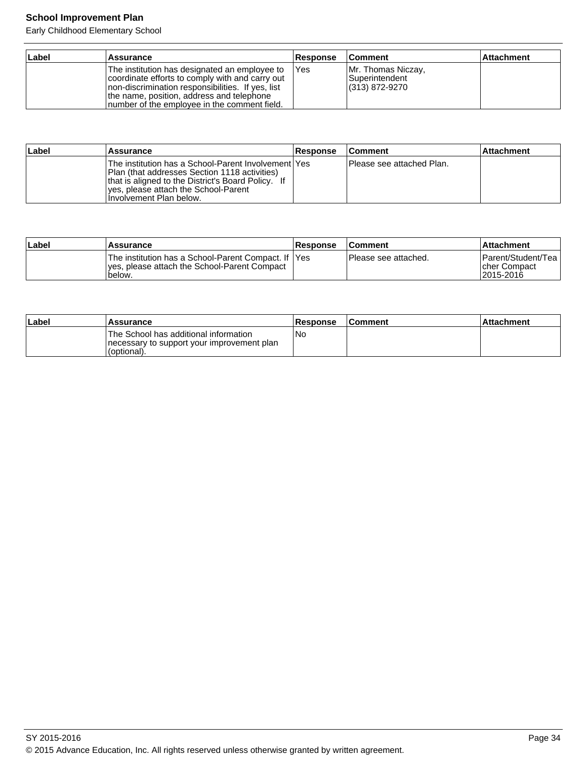Early Childhood Elementary School

| Label | <b>Assurance</b>                                                                                                                                                                                                                                     | <b>Response</b> | <b>Comment</b>                                                | <b>Attachment</b> |
|-------|------------------------------------------------------------------------------------------------------------------------------------------------------------------------------------------------------------------------------------------------------|-----------------|---------------------------------------------------------------|-------------------|
|       | The institution has designated an employee to<br>coordinate efforts to comply with and carry out<br>Inon-discrimination responsibilities. If yes, list<br>the name, position, address and telephone<br>Inumber of the employee in the comment field. | <b>IYes</b>     | Mr. Thomas Niczay,<br><b>Superintendent</b><br>(313) 872-9270 |                   |

| ∣Label | Assurance                                                                                                                                                                                                                        | Response | <b>Comment</b>             | <b>Attachment</b> |
|--------|----------------------------------------------------------------------------------------------------------------------------------------------------------------------------------------------------------------------------------|----------|----------------------------|-------------------|
|        | The institution has a School-Parent Involvement   Yes<br>Plan (that addresses Section 1118 activities)<br>that is aligned to the District's Board Policy. If<br>lyes, please attach the School-Parent<br>Hnvolvement Plan below. |          | IPlease see attached Plan. |                   |

| ∣Label | Assurance                                                                                                      | Response | <b>Comment</b>        | <b>Attachment</b>                                   |
|--------|----------------------------------------------------------------------------------------------------------------|----------|-----------------------|-----------------------------------------------------|
|        | The institution has a School-Parent Compact. If IYes<br>yes, please attach the School-Parent Compact<br>below. |          | IPlease see attached. | IParent/Student/Teal<br>Icher Compact<br>12015-2016 |

| ∣Label | Assurance                                                                                          | Response | <b>Comment</b> | l Attachment |
|--------|----------------------------------------------------------------------------------------------------|----------|----------------|--------------|
|        | The School has additional information<br>necessary to support your improvement plan<br>(optional). | Nc       |                |              |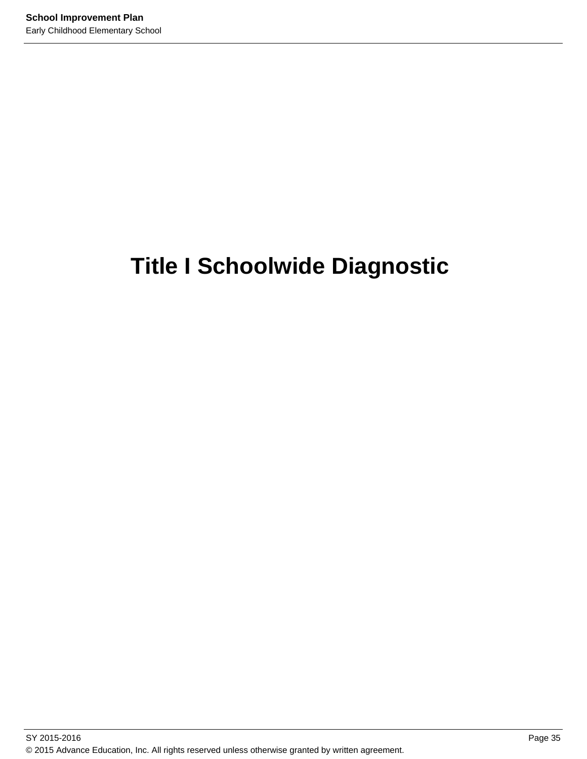# **Title I Schoolwide Diagnostic**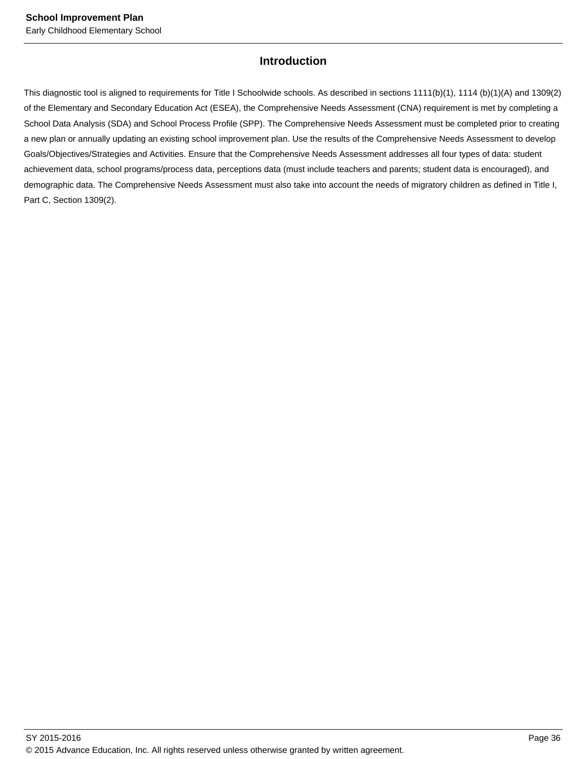# **Introduction**

This diagnostic tool is aligned to requirements for Title I Schoolwide schools. As described in sections 1111(b)(1), 1114 (b)(1)(A) and 1309(2) of the Elementary and Secondary Education Act (ESEA), the Comprehensive Needs Assessment (CNA) requirement is met by completing a School Data Analysis (SDA) and School Process Profile (SPP). The Comprehensive Needs Assessment must be completed prior to creating a new plan or annually updating an existing school improvement plan. Use the results of the Comprehensive Needs Assessment to develop Goals/Objectives/Strategies and Activities. Ensure that the Comprehensive Needs Assessment addresses all four types of data: student achievement data, school programs/process data, perceptions data (must include teachers and parents; student data is encouraged), and demographic data. The Comprehensive Needs Assessment must also take into account the needs of migratory children as defined in Title I, Part C, Section 1309(2).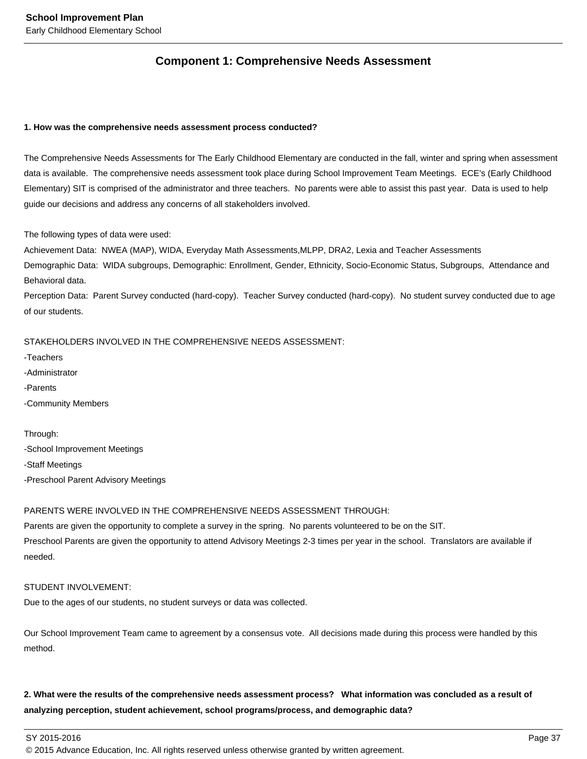# **Component 1: Comprehensive Needs Assessment**

#### **1. How was the comprehensive needs assessment process conducted?**

The Comprehensive Needs Assessments for The Early Childhood Elementary are conducted in the fall, winter and spring when assessment data is available. The comprehensive needs assessment took place during School Improvement Team Meetings. ECE's (Early Childhood Elementary) SIT is comprised of the administrator and three teachers. No parents were able to assist this past year. Data is used to help guide our decisions and address any concerns of all stakeholders involved.

The following types of data were used:

Achievement Data: NWEA (MAP), WIDA, Everyday Math Assessments,MLPP, DRA2, Lexia and Teacher Assessments Demographic Data: WIDA subgroups, Demographic: Enrollment, Gender, Ethnicity, Socio-Economic Status, Subgroups, Attendance and

Behavioral data.

Perception Data: Parent Survey conducted (hard-copy). Teacher Survey conducted (hard-copy). No student survey conducted due to age of our students.

STAKEHOLDERS INVOLVED IN THE COMPREHENSIVE NEEDS ASSESSMENT:

-Teachers -Administrator -Parents -Community Members

Through: -School Improvement Meetings -Staff Meetings -Preschool Parent Advisory Meetings

#### PARENTS WERE INVOLVED IN THE COMPREHENSIVE NEEDS ASSESSMENT THROUGH:

Parents are given the opportunity to complete a survey in the spring. No parents volunteered to be on the SIT. Preschool Parents are given the opportunity to attend Advisory Meetings 2-3 times per year in the school. Translators are available if needed.

#### STUDENT INVOLVEMENT:

Due to the ages of our students, no student surveys or data was collected.

Our School Improvement Team came to agreement by a consensus vote. All decisions made during this process were handled by this method.

# **2. What were the results of the comprehensive needs assessment process? What information was concluded as a result of analyzing perception, student achievement, school programs/process, and demographic data?**

SY 2015-2016 Page 37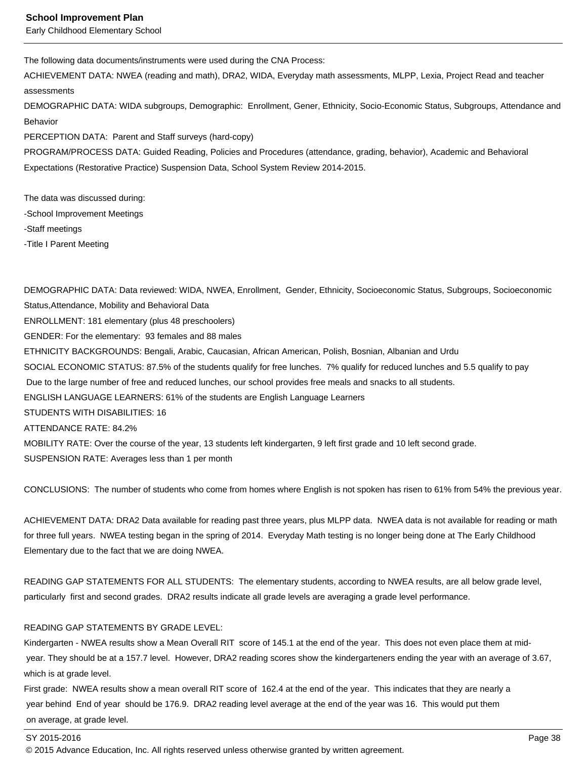Early Childhood Elementary School

The following data documents/instruments were used during the CNA Process:

ACHIEVEMENT DATA: NWEA (reading and math), DRA2, WIDA, Everyday math assessments, MLPP, Lexia, Project Read and teacher assessments

DEMOGRAPHIC DATA: WIDA subgroups, Demographic: Enrollment, Gener, Ethnicity, Socio-Economic Status, Subgroups, Attendance and Behavior

PERCEPTION DATA: Parent and Staff surveys (hard-copy)

PROGRAM/PROCESS DATA: Guided Reading, Policies and Procedures (attendance, grading, behavior), Academic and Behavioral Expectations (Restorative Practice) Suspension Data, School System Review 2014-2015.

The data was discussed during: -School Improvement Meetings -Staff meetings -Title I Parent Meeting

DEMOGRAPHIC DATA: Data reviewed: WIDA, NWEA, Enrollment, Gender, Ethnicity, Socioeconomic Status, Subgroups, Socioeconomic Status,Attendance, Mobility and Behavioral Data ENROLLMENT: 181 elementary (plus 48 preschoolers) GENDER: For the elementary: 93 females and 88 males ETHNICITY BACKGROUNDS: Bengali, Arabic, Caucasian, African American, Polish, Bosnian, Albanian and Urdu SOCIAL ECONOMIC STATUS: 87.5% of the students qualify for free lunches. 7% qualify for reduced lunches and 5.5 qualify to pay Due to the large number of free and reduced lunches, our school provides free meals and snacks to all students. ENGLISH LANGUAGE LEARNERS: 61% of the students are English Language Learners STUDENTS WITH DISABILITIES: 16 ATTENDANCE RATE: 84.2% MOBILITY RATE: Over the course of the year, 13 students left kindergarten, 9 left first grade and 10 left second grade. SUSPENSION RATE: Averages less than 1 per month

CONCLUSIONS: The number of students who come from homes where English is not spoken has risen to 61% from 54% the previous year.

ACHIEVEMENT DATA: DRA2 Data available for reading past three years, plus MLPP data. NWEA data is not available for reading or math for three full years. NWEA testing began in the spring of 2014. Everyday Math testing is no longer being done at The Early Childhood Elementary due to the fact that we are doing NWEA.

READING GAP STATEMENTS FOR ALL STUDENTS: The elementary students, according to NWEA results, are all below grade level, particularly first and second grades. DRA2 results indicate all grade levels are averaging a grade level performance.

#### READING GAP STATEMENTS BY GRADE LEVEL:

Kindergarten - NWEA results show a Mean Overall RIT score of 145.1 at the end of the year. This does not even place them at mid year. They should be at a 157.7 level. However, DRA2 reading scores show the kindergarteners ending the year with an average of 3.67, which is at grade level.

First grade: NWEA results show a mean overall RIT score of 162.4 at the end of the year. This indicates that they are nearly a year behind End of year should be 176.9. DRA2 reading level average at the end of the year was 16. This would put them on average, at grade level.

#### SY 2015-2016 Page 38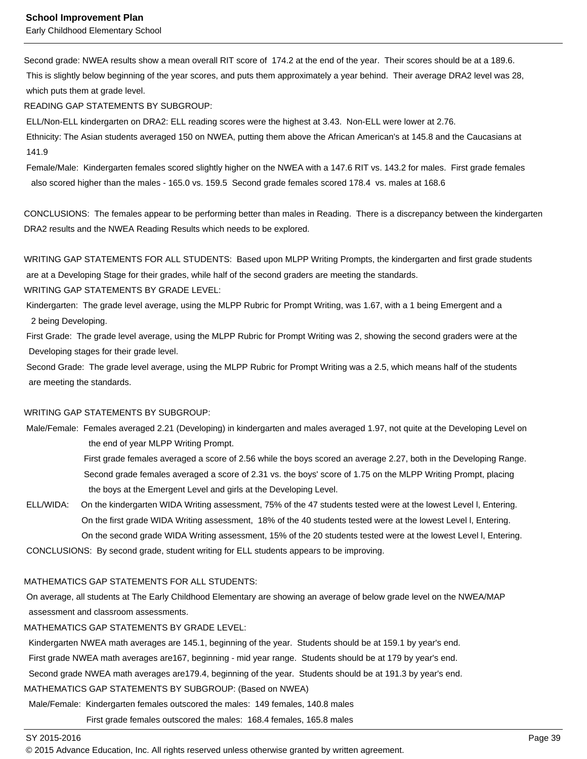Second grade: NWEA results show a mean overall RIT score of 174.2 at the end of the year. Their scores should be at a 189.6. This is slightly below beginning of the year scores, and puts them approximately a year behind. Their average DRA2 level was 28, which puts them at grade level.

READING GAP STATEMENTS BY SUBGROUP:

ELL/Non-ELL kindergarten on DRA2: ELL reading scores were the highest at 3.43. Non-ELL were lower at 2.76.

 Ethnicity: The Asian students averaged 150 on NWEA, putting them above the African American's at 145.8 and the Caucasians at 141.9

 Female/Male: Kindergarten females scored slightly higher on the NWEA with a 147.6 RIT vs. 143.2 for males. First grade females also scored higher than the males - 165.0 vs. 159.5 Second grade females scored 178.4 vs. males at 168.6

CONCLUSIONS: The females appear to be performing better than males in Reading. There is a discrepancy between the kindergarten DRA2 results and the NWEA Reading Results which needs to be explored.

WRITING GAP STATEMENTS FOR ALL STUDENTS: Based upon MLPP Writing Prompts, the kindergarten and first grade students

are at a Developing Stage for their grades, while half of the second graders are meeting the standards.

WRITING GAP STATEMENTS BY GRADE LEVEL:

 Kindergarten: The grade level average, using the MLPP Rubric for Prompt Writing, was 1.67, with a 1 being Emergent and a 2 being Developing.

 First Grade: The grade level average, using the MLPP Rubric for Prompt Writing was 2, showing the second graders were at the Developing stages for their grade level.

 Second Grade: The grade level average, using the MLPP Rubric for Prompt Writing was a 2.5, which means half of the students are meeting the standards.

#### WRITING GAP STATEMENTS BY SUBGROUP:

 Male/Female: Females averaged 2.21 (Developing) in kindergarten and males averaged 1.97, not quite at the Developing Level on the end of year MLPP Writing Prompt.

> First grade females averaged a score of 2.56 while the boys scored an average 2.27, both in the Developing Range. Second grade females averaged a score of 2.31 vs. the boys' score of 1.75 on the MLPP Writing Prompt, placing the boys at the Emergent Level and girls at the Developing Level.

 ELL/WIDA: On the kindergarten WIDA Writing assessment, 75% of the 47 students tested were at the lowest Level l, Entering. On the first grade WIDA Writing assessment, 18% of the 40 students tested were at the lowest Level l, Entering. On the second grade WIDA Writing assessment, 15% of the 20 students tested were at the lowest Level l, Entering.

CONCLUSIONS: By second grade, student writing for ELL students appears to be improving.

#### MATHEMATICS GAP STATEMENTS FOR ALL STUDENTS:

 On average, all students at The Early Childhood Elementary are showing an average of below grade level on the NWEA/MAP assessment and classroom assessments.

#### MATHEMATICS GAP STATEMENTS BY GRADE LEVEL:

Kindergarten NWEA math averages are 145.1, beginning of the year. Students should be at 159.1 by year's end.

First grade NWEA math averages are167, beginning - mid year range. Students should be at 179 by year's end.

Second grade NWEA math averages are179.4, beginning of the year. Students should be at 191.3 by year's end.

MATHEMATICS GAP STATEMENTS BY SUBGROUP: (Based on NWEA)

Male/Female: Kindergarten females outscored the males: 149 females, 140.8 males

First grade females outscored the males: 168.4 females, 165.8 males

<sup>© 2015</sup> Advance Education, Inc. All rights reserved unless otherwise granted by written agreement.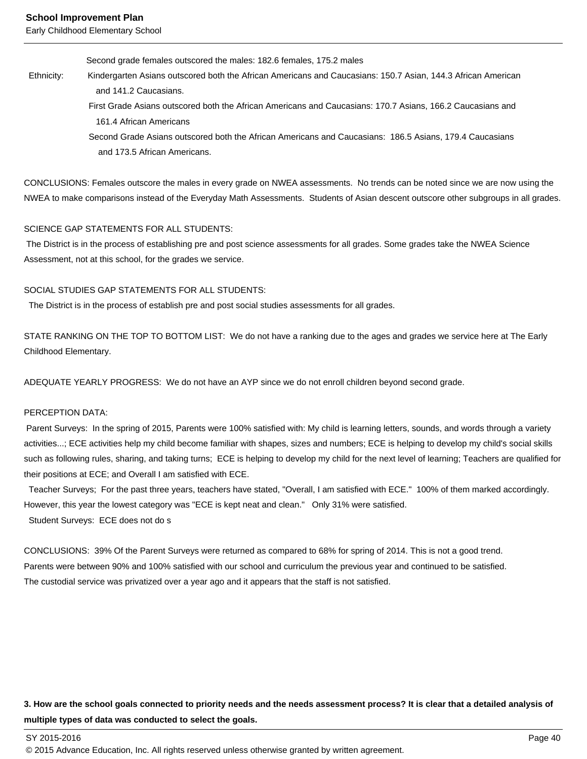Second grade females outscored the males: 182.6 females, 175.2 males

- Ethnicity: Kindergarten Asians outscored both the African Americans and Caucasians: 150.7 Asian, 144.3 African American and 141.2 Caucasians.
	- First Grade Asians outscored both the African Americans and Caucasians: 170.7 Asians, 166.2 Caucasians and 161.4 African Americans
	- Second Grade Asians outscored both the African Americans and Caucasians: 186.5 Asians, 179.4 Caucasians and 173.5 African Americans.

CONCLUSIONS: Females outscore the males in every grade on NWEA assessments. No trends can be noted since we are now using the NWEA to make comparisons instead of the Everyday Math Assessments. Students of Asian descent outscore other subgroups in all grades.

#### SCIENCE GAP STATEMENTS FOR ALL STUDENTS:

 The District is in the process of establishing pre and post science assessments for all grades. Some grades take the NWEA Science Assessment, not at this school, for the grades we service.

#### SOCIAL STUDIES GAP STATEMENTS FOR ALL STUDENTS:

The District is in the process of establish pre and post social studies assessments for all grades.

STATE RANKING ON THE TOP TO BOTTOM LIST: We do not have a ranking due to the ages and grades we service here at The Early Childhood Elementary.

ADEQUATE YEARLY PROGRESS: We do not have an AYP since we do not enroll children beyond second grade.

#### PERCEPTION DATA:

 Parent Surveys: In the spring of 2015, Parents were 100% satisfied with: My child is learning letters, sounds, and words through a variety activities...; ECE activities help my child become familiar with shapes, sizes and numbers; ECE is helping to develop my child's social skills such as following rules, sharing, and taking turns; ECE is helping to develop my child for the next level of learning; Teachers are qualified for their positions at ECE; and Overall I am satisfied with ECE.

 Teacher Surveys; For the past three years, teachers have stated, "Overall, I am satisfied with ECE." 100% of them marked accordingly. However, this year the lowest category was "ECE is kept neat and clean." Only 31% were satisfied. Student Surveys: ECE does not do s

CONCLUSIONS: 39% Of the Parent Surveys were returned as compared to 68% for spring of 2014. This is not a good trend. Parents were between 90% and 100% satisfied with our school and curriculum the previous year and continued to be satisfied. The custodial service was privatized over a year ago and it appears that the staff is not satisfied.

# **3. How are the school goals connected to priority needs and the needs assessment process? It is clear that a detailed analysis of multiple types of data was conducted to select the goals.**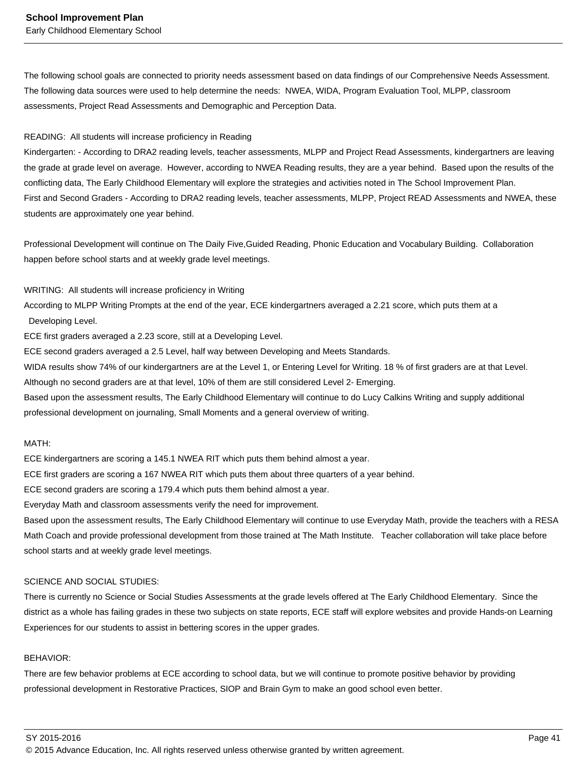The following school goals are connected to priority needs assessment based on data findings of our Comprehensive Needs Assessment. The following data sources were used to help determine the needs: NWEA, WIDA, Program Evaluation Tool, MLPP, classroom assessments, Project Read Assessments and Demographic and Perception Data.

#### READING: All students will increase proficiency in Reading

Kindergarten: - According to DRA2 reading levels, teacher assessments, MLPP and Project Read Assessments, kindergartners are leaving the grade at grade level on average. However, according to NWEA Reading results, they are a year behind. Based upon the results of the conflicting data, The Early Childhood Elementary will explore the strategies and activities noted in The School Improvement Plan. First and Second Graders - According to DRA2 reading levels, teacher assessments, MLPP, Project READ Assessments and NWEA, these students are approximately one year behind.

Professional Development will continue on The Daily Five,Guided Reading, Phonic Education and Vocabulary Building. Collaboration happen before school starts and at weekly grade level meetings.

WRITING: All students will increase proficiency in Writing

According to MLPP Writing Prompts at the end of the year, ECE kindergartners averaged a 2.21 score, which puts them at a

Developing Level.

ECE first graders averaged a 2.23 score, still at a Developing Level.

ECE second graders averaged a 2.5 Level, half way between Developing and Meets Standards.

WIDA results show 74% of our kindergartners are at the Level 1, or Entering Level for Writing. 18 % of first graders are at that Level. Although no second graders are at that level, 10% of them are still considered Level 2- Emerging.

Based upon the assessment results, The Early Childhood Elementary will continue to do Lucy Calkins Writing and supply additional professional development on journaling, Small Moments and a general overview of writing.

#### MATH:

ECE kindergartners are scoring a 145.1 NWEA RIT which puts them behind almost a year.

ECE first graders are scoring a 167 NWEA RIT which puts them about three quarters of a year behind.

ECE second graders are scoring a 179.4 which puts them behind almost a year.

Everyday Math and classroom assessments verify the need for improvement.

Based upon the assessment results, The Early Childhood Elementary will continue to use Everyday Math, provide the teachers with a RESA Math Coach and provide professional development from those trained at The Math Institute. Teacher collaboration will take place before school starts and at weekly grade level meetings.

#### SCIENCE AND SOCIAL STUDIES:

There is currently no Science or Social Studies Assessments at the grade levels offered at The Early Childhood Elementary. Since the district as a whole has failing grades in these two subjects on state reports, ECE staff will explore websites and provide Hands-on Learning Experiences for our students to assist in bettering scores in the upper grades.

#### BEHAVIOR:

There are few behavior problems at ECE according to school data, but we will continue to promote positive behavior by providing professional development in Restorative Practices, SIOP and Brain Gym to make an good school even better.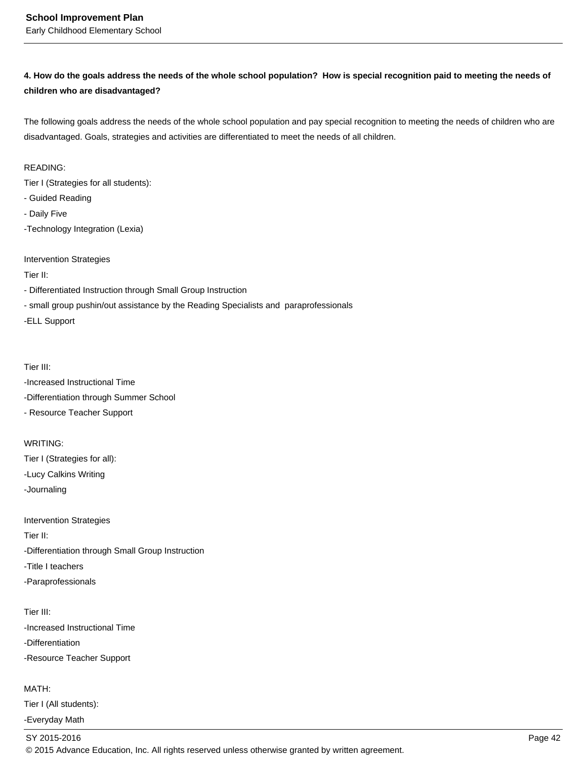# **4. How do the goals address the needs of the whole school population? How is special recognition paid to meeting the needs of children who are disadvantaged?**

The following goals address the needs of the whole school population and pay special recognition to meeting the needs of children who are disadvantaged. Goals, strategies and activities are differentiated to meet the needs of all children.

#### READING:

Tier I (Strategies for all students):

- Guided Reading
- Daily Five
- -Technology Integration (Lexia)

Intervention Strategies

Tier II:

- Differentiated Instruction through Small Group Instruction

- small group pushin/out assistance by the Reading Specialists and paraprofessionals

-ELL Support

Tier III:

-Increased Instructional Time -Differentiation through Summer School

- Resource Teacher Support

#### WRITING:

Tier I (Strategies for all): -Lucy Calkins Writing

-Journaling

Intervention Strategies Tier II: -Differentiation through Small Group Instruction -Title I teachers -Paraprofessionals

Tier III: -Increased Instructional Time -Differentiation -Resource Teacher Support

MATH:

Tier I (All students):

-Everyday Math

SY 2015-2016 Page 42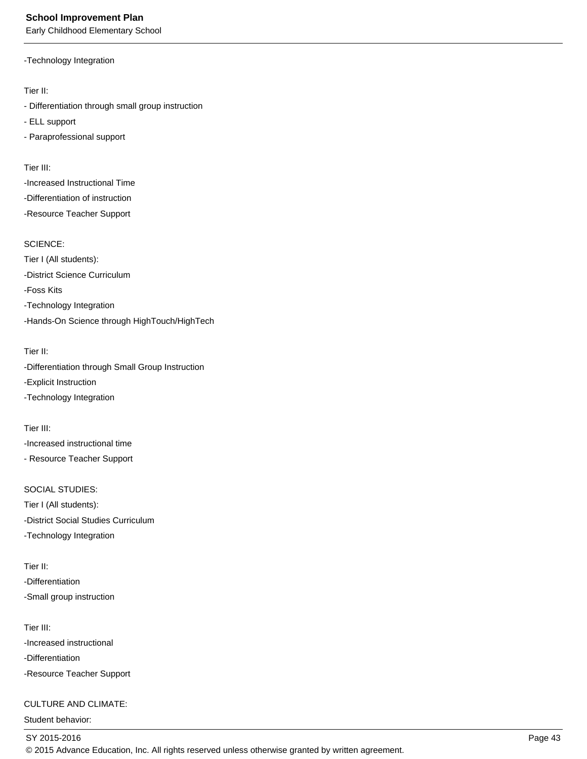Early Childhood Elementary School

-Technology Integration

Tier II:

- Differentiation through small group instruction

- ELL support

- Paraprofessional support

Tier III:

-Increased Instructional Time -Differentiation of instruction -Resource Teacher Support

SCIENCE:

Tier I (All students): -District Science Curriculum -Foss Kits -Technology Integration -Hands-On Science through HighTouch/HighTech

Tier II:

-Differentiation through Small Group Instruction

-Explicit Instruction

-Technology Integration

Tier III: -Increased instructional time - Resource Teacher Support

SOCIAL STUDIES: Tier I (All students): -District Social Studies Curriculum -Technology Integration

Tier II: -Differentiation -Small group instruction

Tier III: -Increased instructional -Differentiation -Resource Teacher Support

# CULTURE AND CLIMATE:

Student behavior: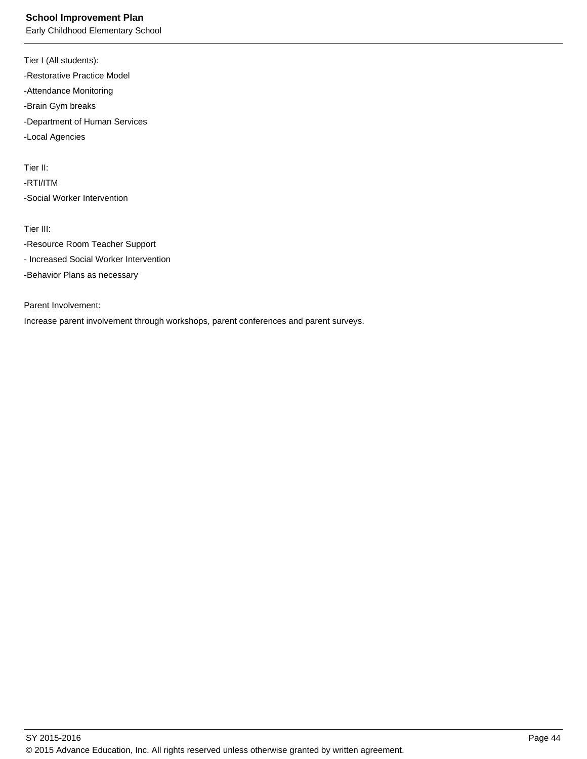Early Childhood Elementary School

Tier I (All students): -Restorative Practice Model -Attendance Monitoring -Brain Gym breaks -Department of Human Services -Local Agencies

Tier II:

-RTI/ITM -Social Worker Intervention

Tier III:

-Resource Room Teacher Support

- Increased Social Worker Intervention

-Behavior Plans as necessary

Parent Involvement:

Increase parent involvement through workshops, parent conferences and parent surveys.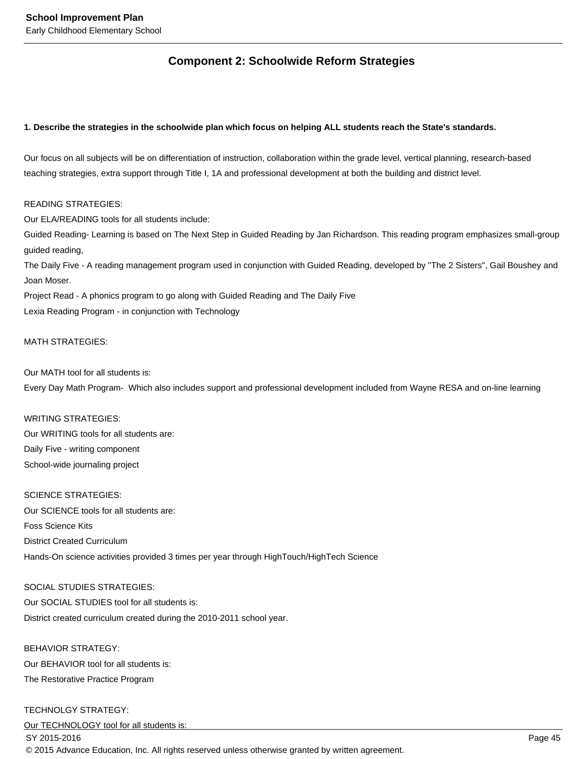# **Component 2: Schoolwide Reform Strategies**

#### **1. Describe the strategies in the schoolwide plan which focus on helping ALL students reach the State's standards.**

Our focus on all subjects will be on differentiation of instruction, collaboration within the grade level, vertical planning, research-based teaching strategies, extra support through Title I, 1A and professional development at both the building and district level.

#### READING STRATEGIES:

Our ELA/READING tools for all students include:

Guided Reading- Learning is based on The Next Step in Guided Reading by Jan Richardson. This reading program emphasizes small-group guided reading,

The Daily Five - A reading management program used in conjunction with Guided Reading, developed by "The 2 Sisters", Gail Boushey and Joan Moser.

Project Read - A phonics program to go along with Guided Reading and The Daily Five Lexia Reading Program - in conjunction with Technology

#### MATH STRATEGIES:

Our MATH tool for all students is:

Every Day Math Program- Which also includes support and professional development included from Wayne RESA and on-line learning

#### WRITING STRATEGIES:

Our WRITING tools for all students are: Daily Five - writing component School-wide journaling project

#### SCIENCE STRATEGIES:

Our SCIENCE tools for all students are: Foss Science Kits District Created Curriculum Hands-On science activities provided 3 times per year through HighTouch/HighTech Science

#### SOCIAL STUDIES STRATEGIES:

Our SOCIAL STUDIES tool for all students is: District created curriculum created during the 2010-2011 school year.

# BEHAVIOR STRATEGY:

Our BEHAVIOR tool for all students is: The Restorative Practice Program

#### TECHNOLGY STRATEGY:

Our TECHNOLOGY tool for all students is:

#### SY 2015-2016 Page 45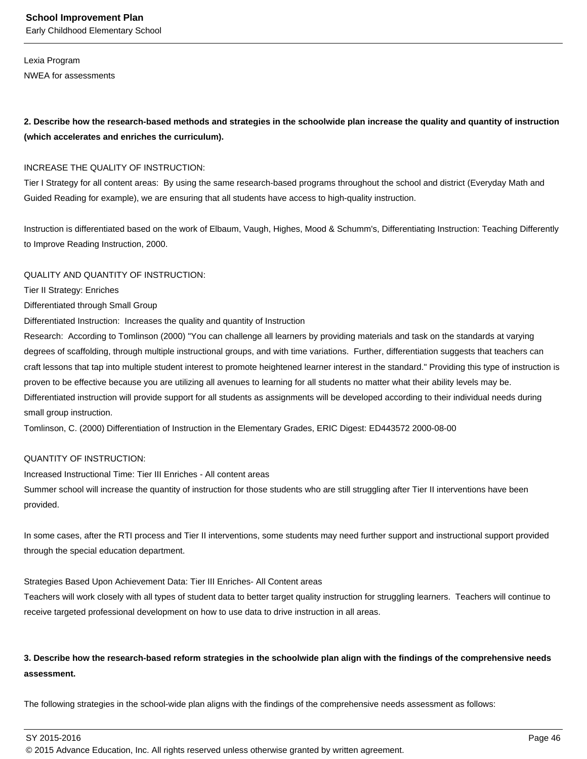Lexia Program NWEA for assessments

# **2. Describe how the research-based methods and strategies in the schoolwide plan increase the quality and quantity of instruction (which accelerates and enriches the curriculum).**

#### INCREASE THE QUALITY OF INSTRUCTION:

Tier I Strategy for all content areas: By using the same research-based programs throughout the school and district (Everyday Math and Guided Reading for example), we are ensuring that all students have access to high-quality instruction.

Instruction is differentiated based on the work of Elbaum, Vaugh, Highes, Mood & Schumm's, Differentiating Instruction: Teaching Differently to Improve Reading Instruction, 2000.

#### QUALITY AND QUANTITY OF INSTRUCTION:

Tier II Strategy: Enriches

#### Differentiated through Small Group

Differentiated Instruction: Increases the quality and quantity of Instruction

Research: According to Tomlinson (2000) "You can challenge all learners by providing materials and task on the standards at varying degrees of scaffolding, through multiple instructional groups, and with time variations. Further, differentiation suggests that teachers can craft lessons that tap into multiple student interest to promote heightened learner interest in the standard." Providing this type of instruction is proven to be effective because you are utilizing all avenues to learning for all students no matter what their ability levels may be. Differentiated instruction will provide support for all students as assignments will be developed according to their individual needs during small group instruction.

Tomlinson, C. (2000) Differentiation of Instruction in the Elementary Grades, ERIC Digest: ED443572 2000-08-00

#### QUANTITY OF INSTRUCTION:

Increased Instructional Time: Tier III Enriches - All content areas

Summer school will increase the quantity of instruction for those students who are still struggling after Tier II interventions have been provided.

In some cases, after the RTI process and Tier II interventions, some students may need further support and instructional support provided through the special education department.

#### Strategies Based Upon Achievement Data: Tier III Enriches- All Content areas

Teachers will work closely with all types of student data to better target quality instruction for struggling learners. Teachers will continue to receive targeted professional development on how to use data to drive instruction in all areas.

# **3. Describe how the research-based reform strategies in the schoolwide plan align with the findings of the comprehensive needs assessment.**

The following strategies in the school-wide plan aligns with the findings of the comprehensive needs assessment as follows:

SY 2015-2016 Page 46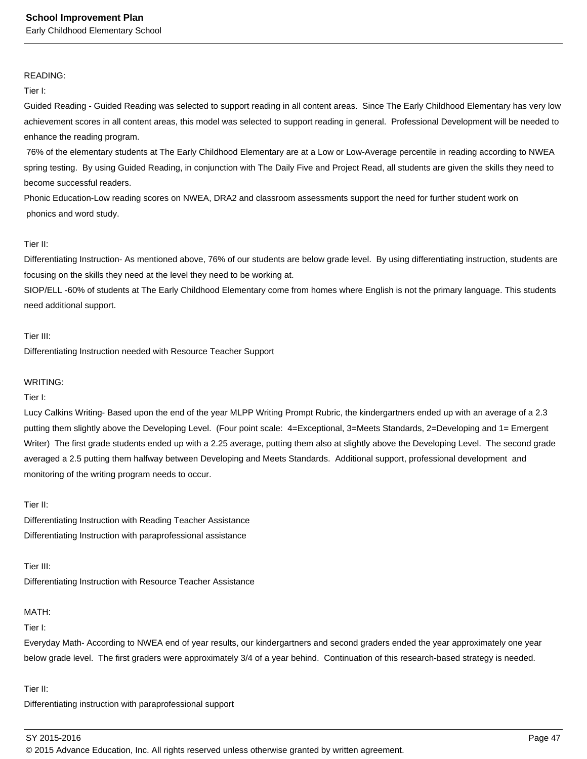#### READING:

Tier I:

Guided Reading - Guided Reading was selected to support reading in all content areas. Since The Early Childhood Elementary has very low achievement scores in all content areas, this model was selected to support reading in general. Professional Development will be needed to enhance the reading program.

 76% of the elementary students at The Early Childhood Elementary are at a Low or Low-Average percentile in reading according to NWEA spring testing. By using Guided Reading, in conjunction with The Daily Five and Project Read, all students are given the skills they need to become successful readers.

Phonic Education-Low reading scores on NWEA, DRA2 and classroom assessments support the need for further student work on phonics and word study.

#### Tier II:

Differentiating Instruction- As mentioned above, 76% of our students are below grade level. By using differentiating instruction, students are focusing on the skills they need at the level they need to be working at.

SIOP/ELL -60% of students at The Early Childhood Elementary come from homes where English is not the primary language. This students need additional support.

#### Tier III:

Differentiating Instruction needed with Resource Teacher Support

#### WRITING:

Tier I:

Lucy Calkins Writing- Based upon the end of the year MLPP Writing Prompt Rubric, the kindergartners ended up with an average of a 2.3 putting them slightly above the Developing Level. (Four point scale: 4=Exceptional, 3=Meets Standards, 2=Developing and 1= Emergent Writer) The first grade students ended up with a 2.25 average, putting them also at slightly above the Developing Level. The second grade averaged a 2.5 putting them halfway between Developing and Meets Standards. Additional support, professional development and monitoring of the writing program needs to occur.

#### Tier II:

Differentiating Instruction with Reading Teacher Assistance Differentiating Instruction with paraprofessional assistance

Tier III:

Differentiating Instruction with Resource Teacher Assistance

#### MATH:

Tier I:

Everyday Math- According to NWEA end of year results, our kindergartners and second graders ended the year approximately one year below grade level. The first graders were approximately 3/4 of a year behind. Continuation of this research-based strategy is needed.

Tier II:

Differentiating instruction with paraprofessional support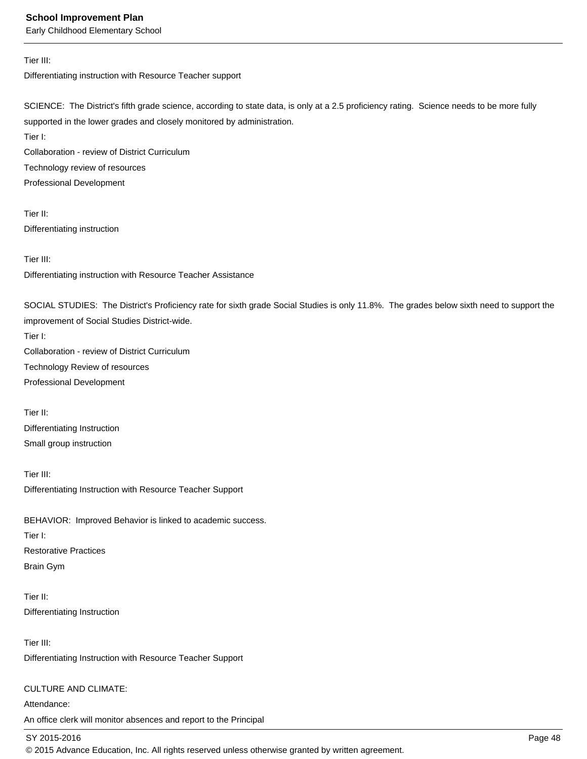Early Childhood Elementary School

#### Tier III:

Differentiating instruction with Resource Teacher support

SCIENCE: The District's fifth grade science, according to state data, is only at a 2.5 proficiency rating. Science needs to be more fully supported in the lower grades and closely monitored by administration.

Tier I:

Collaboration - review of District Curriculum Technology review of resources

Professional Development

Tier II: Differentiating instruction

Tier III:

Differentiating instruction with Resource Teacher Assistance

SOCIAL STUDIES: The District's Proficiency rate for sixth grade Social Studies is only 11.8%. The grades below sixth need to support the improvement of Social Studies District-wide.

Tier I:

Collaboration - review of District Curriculum Technology Review of resources Professional Development

Tier II: Differentiating Instruction Small group instruction

Tier III: Differentiating Instruction with Resource Teacher Support

BEHAVIOR: Improved Behavior is linked to academic success.

Tier I: Restorative Practices Brain Gym

Tier II: Differentiating Instruction

Tier III: Differentiating Instruction with Resource Teacher Support

CULTURE AND CLIMATE:

Attendance: An office clerk will monitor absences and report to the Principal

SY 2015-2016 Page 48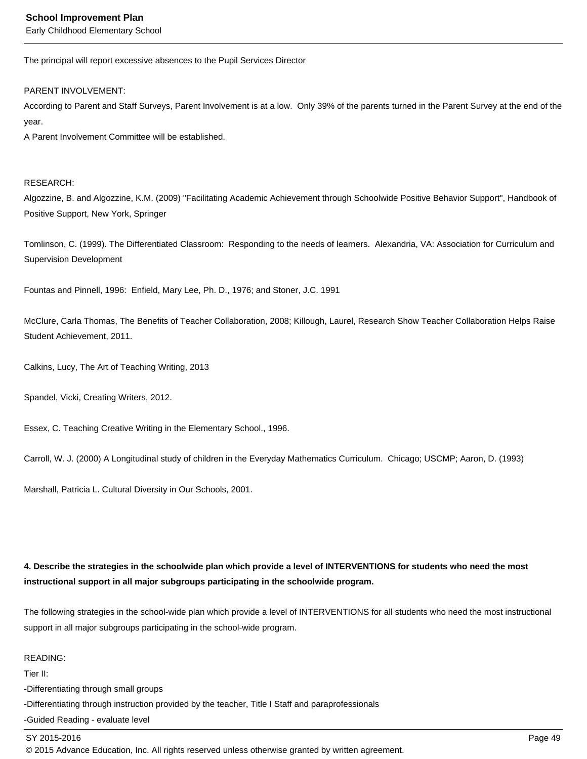Early Childhood Elementary School

The principal will report excessive absences to the Pupil Services Director

PARENT INVOLVEMENT:

According to Parent and Staff Surveys, Parent Involvement is at a low. Only 39% of the parents turned in the Parent Survey at the end of the year.

A Parent Involvement Committee will be established.

#### RESEARCH:

Algozzine, B. and Algozzine, K.M. (2009) "Facilitating Academic Achievement through Schoolwide Positive Behavior Support", Handbook of Positive Support, New York, Springer

Tomlinson, C. (1999). The Differentiated Classroom: Responding to the needs of learners. Alexandria, VA: Association for Curriculum and Supervision Development

Fountas and Pinnell, 1996: Enfield, Mary Lee, Ph. D., 1976; and Stoner, J.C. 1991

McClure, Carla Thomas, The Benefits of Teacher Collaboration, 2008; Killough, Laurel, Research Show Teacher Collaboration Helps Raise Student Achievement, 2011.

Calkins, Lucy, The Art of Teaching Writing, 2013

Spandel, Vicki, Creating Writers, 2012.

Essex, C. Teaching Creative Writing in the Elementary School., 1996.

Carroll, W. J. (2000) A Longitudinal study of children in the Everyday Mathematics Curriculum. Chicago; USCMP; Aaron, D. (1993)

Marshall, Patricia L. Cultural Diversity in Our Schools, 2001.

# **4. Describe the strategies in the schoolwide plan which provide a level of INTERVENTIONS for students who need the most instructional support in all major subgroups participating in the schoolwide program.**

The following strategies in the school-wide plan which provide a level of INTERVENTIONS for all students who need the most instructional support in all major subgroups participating in the school-wide program.

#### READING:

Tier II:

-Differentiating through small groups

-Differentiating through instruction provided by the teacher, Title I Staff and paraprofessionals

-Guided Reading - evaluate level

#### SY 2015-2016 Page 49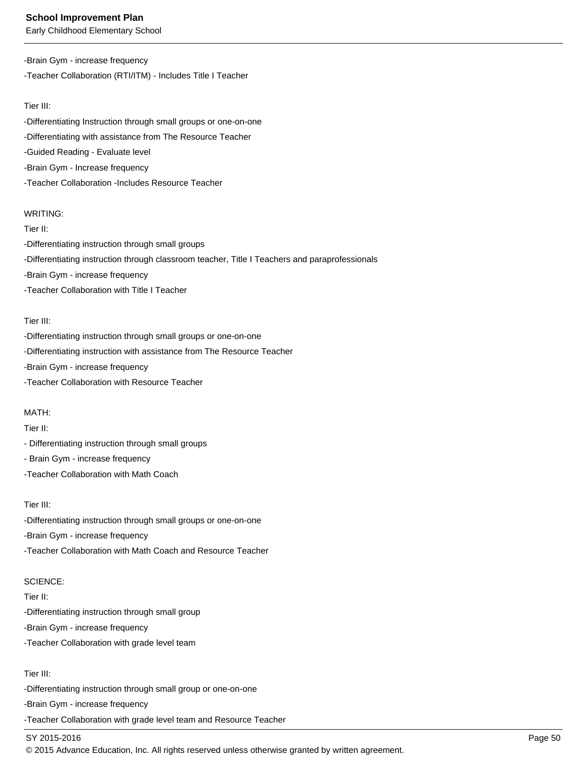Early Childhood Elementary School

# -Brain Gym - increase frequency -Teacher Collaboration (RTI/ITM) - Includes Title I Teacher

#### Tier III:

-Differentiating Instruction through small groups or one-on-one -Differentiating with assistance from The Resource Teacher -Guided Reading - Evaluate level -Brain Gym - Increase frequency -Teacher Collaboration -Includes Resource Teacher

#### WRITING:

Tier II: -Differentiating instruction through small groups -Differentiating instruction through classroom teacher, Title I Teachers and paraprofessionals -Brain Gym - increase frequency -Teacher Collaboration with Title I Teacher

#### Tier III:

-Differentiating instruction through small groups or one-on-one

-Differentiating instruction with assistance from The Resource Teacher

-Brain Gym - increase frequency

-Teacher Collaboration with Resource Teacher

#### MATH:

Tier II:

- Differentiating instruction through small groups

#### - Brain Gym - increase frequency

-Teacher Collaboration with Math Coach

#### Tier III:

-Differentiating instruction through small groups or one-on-one -Brain Gym - increase frequency -Teacher Collaboration with Math Coach and Resource Teacher

#### SCIENCE:

Tier II:

-Differentiating instruction through small group

-Brain Gym - increase frequency

-Teacher Collaboration with grade level team

# Tier III:

-Differentiating instruction through small group or one-on-one

-Brain Gym - increase frequency

-Teacher Collaboration with grade level team and Resource Teacher

# SY 2015-2016 Page 50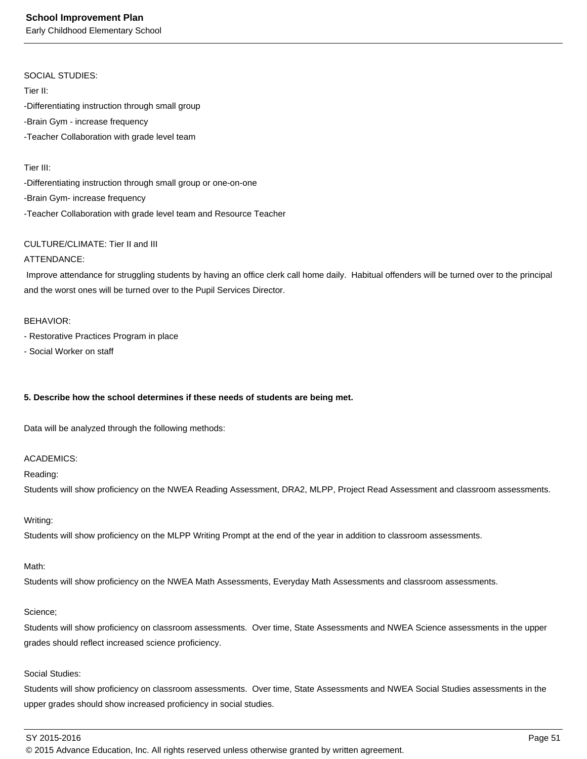Early Childhood Elementary School

#### SOCIAL STUDIES:

Tier II:

-Differentiating instruction through small group -Brain Gym - increase frequency -Teacher Collaboration with grade level team

#### Tier III:

-Differentiating instruction through small group or one-on-one -Brain Gym- increase frequency -Teacher Collaboration with grade level team and Resource Teacher

#### CULTURE/CLIMATE: Tier II and III

#### ATTENDANCE:

 Improve attendance for struggling students by having an office clerk call home daily. Habitual offenders will be turned over to the principal and the worst ones will be turned over to the Pupil Services Director.

#### BEHAVIOR:

- Restorative Practices Program in place
- Social Worker on staff

#### **5. Describe how the school determines if these needs of students are being met.**

Data will be analyzed through the following methods:

#### ACADEMICS:

#### Reading:

Students will show proficiency on the NWEA Reading Assessment, DRA2, MLPP, Project Read Assessment and classroom assessments.

#### Writing:

Students will show proficiency on the MLPP Writing Prompt at the end of the year in addition to classroom assessments.

#### Math:

Students will show proficiency on the NWEA Math Assessments, Everyday Math Assessments and classroom assessments.

#### Science;

Students will show proficiency on classroom assessments. Over time, State Assessments and NWEA Science assessments in the upper grades should reflect increased science proficiency.

#### Social Studies:

Students will show proficiency on classroom assessments. Over time, State Assessments and NWEA Social Studies assessments in the upper grades should show increased proficiency in social studies.

#### SY 2015-2016 Page 51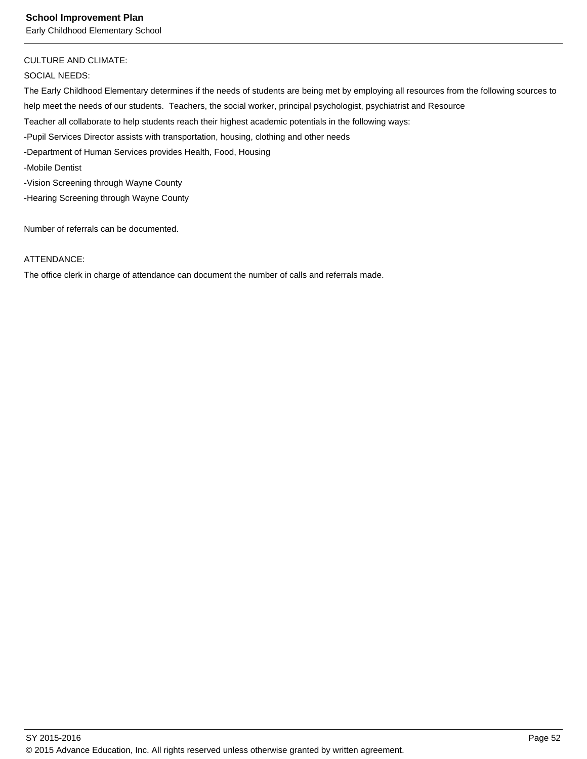# CULTURE AND CLIMATE:

SOCIAL NEEDS:

The Early Childhood Elementary determines if the needs of students are being met by employing all resources from the following sources to help meet the needs of our students. Teachers, the social worker, principal psychologist, psychiatrist and Resource Teacher all collaborate to help students reach their highest academic potentials in the following ways: -Pupil Services Director assists with transportation, housing, clothing and other needs -Department of Human Services provides Health, Food, Housing -Mobile Dentist -Vision Screening through Wayne County -Hearing Screening through Wayne County

Number of referrals can be documented.

#### ATTENDANCE:

The office clerk in charge of attendance can document the number of calls and referrals made.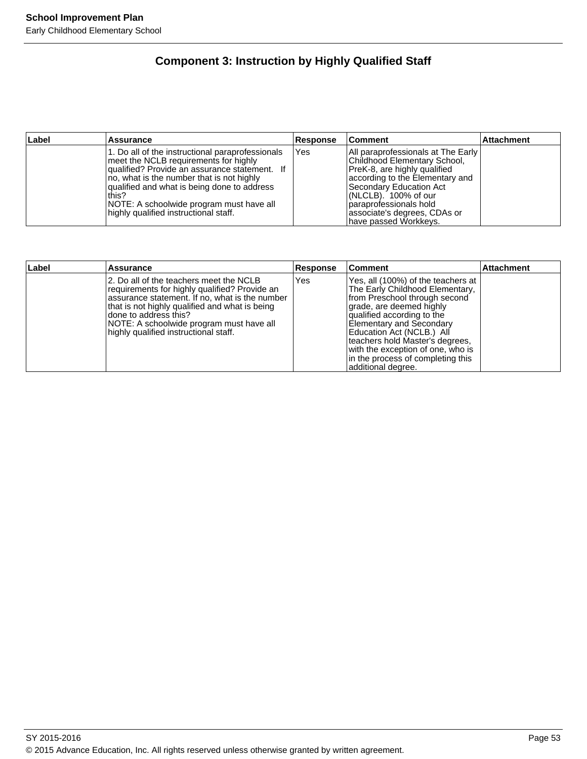# **Component 3: Instruction by Highly Qualified Staff**

| Label | <b>Assurance</b>                                                                                                                                                                                                                                                                                                                       | Response | <b>Comment</b>                                                                                                                                                                                                                                                                    | <b>Attachment</b> |
|-------|----------------------------------------------------------------------------------------------------------------------------------------------------------------------------------------------------------------------------------------------------------------------------------------------------------------------------------------|----------|-----------------------------------------------------------------------------------------------------------------------------------------------------------------------------------------------------------------------------------------------------------------------------------|-------------------|
|       | 1. Do all of the instructional paraprofessionals<br>meet the NCLB requirements for highly<br> qualified? Provide an assurance statement. If<br>no, what is the number that is not highly<br>qualified and what is being done to address<br>lthis?<br>NOTE: A schoolwide program must have all<br>highly qualified instructional staff. | Yes      | All paraprofessionals at The Early<br>Childhood Elementary School,<br>PreK-8, are highly qualified<br>according to the Elementary and<br>Secondary Education Act<br>$ $ (NLCLB). 100% of our<br>paraprofessionals hold<br>lassociate's degrees, CDAs or<br>Ihave passed Workkeys. |                   |

| Label | Assurance                                                                                                                                                                                                                                                                                                   | <b>Response</b> | <b>Comment</b>                                                                                                                                                                                                                                                                                                                                                      | <b>Attachment</b> |
|-------|-------------------------------------------------------------------------------------------------------------------------------------------------------------------------------------------------------------------------------------------------------------------------------------------------------------|-----------------|---------------------------------------------------------------------------------------------------------------------------------------------------------------------------------------------------------------------------------------------------------------------------------------------------------------------------------------------------------------------|-------------------|
|       | 2. Do all of the teachers meet the NCLB<br>requirements for highly qualified? Provide an<br>assurance statement. If no, what is the number<br>that is not highly qualified and what is being<br>Idone to address this?<br>NOTE: A schoolwide program must have all<br>highly qualified instructional staff. | Yes             | Yes, all (100%) of the teachers at<br>The Early Childhood Elementary,<br>from Preschool through second<br>grade, are deemed highly<br>qualified according to the<br><b>Elementary and Secondary</b><br>Education Act (NCLB.) All<br>teachers hold Master's degrees,<br>with the exception of one, who is<br>in the process of completing this<br>additional degree. |                   |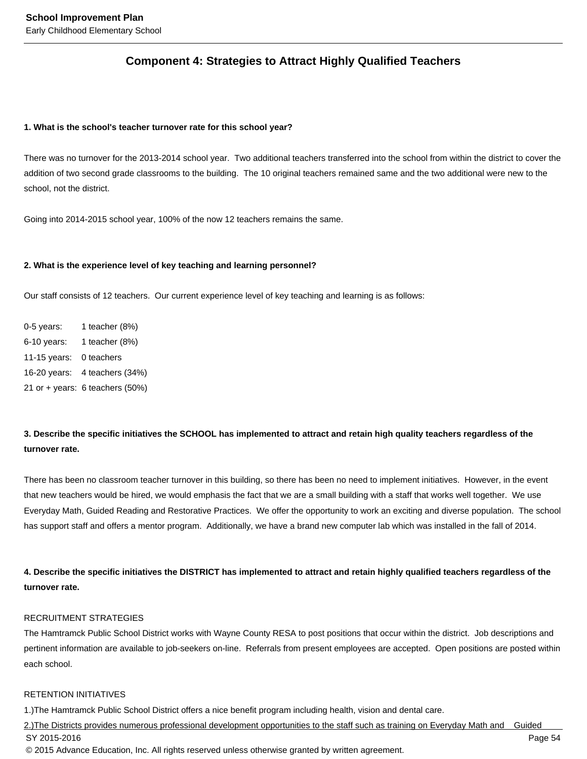# **Component 4: Strategies to Attract Highly Qualified Teachers**

#### **1. What is the school's teacher turnover rate for this school year?**

There was no turnover for the 2013-2014 school year. Two additional teachers transferred into the school from within the district to cover the addition of two second grade classrooms to the building. The 10 original teachers remained same and the two additional were new to the school, not the district.

Going into 2014-2015 school year, 100% of the now 12 teachers remains the same.

#### **2. What is the experience level of key teaching and learning personnel?**

Our staff consists of 12 teachers. Our current experience level of key teaching and learning is as follows:

0-5 years: 1 teacher (8%) 6-10 years: 1 teacher (8%) 11-15 years: 0 teachers 16-20 years: 4 teachers (34%) 21 or + years: 6 teachers (50%)

# **3. Describe the specific initiatives the SCHOOL has implemented to attract and retain high quality teachers regardless of the turnover rate.**

There has been no classroom teacher turnover in this building, so there has been no need to implement initiatives. However, in the event that new teachers would be hired, we would emphasis the fact that we are a small building with a staff that works well together. We use Everyday Math, Guided Reading and Restorative Practices. We offer the opportunity to work an exciting and diverse population. The school has support staff and offers a mentor program. Additionally, we have a brand new computer lab which was installed in the fall of 2014.

**4. Describe the specific initiatives the DISTRICT has implemented to attract and retain highly qualified teachers regardless of the turnover rate.** 

#### RECRUITMENT STRATEGIES

The Hamtramck Public School District works with Wayne County RESA to post positions that occur within the district. Job descriptions and pertinent information are available to job-seekers on-line. Referrals from present employees are accepted. Open positions are posted within each school.

#### RETENTION INITIATIVES

1.)The Hamtramck Public School District offers a nice benefit program including health, vision and dental care.

2.)The Districts provides numerous professional development opportunities to the staff such as training on Everyday Math and Guided SY 2015-2016 Page 54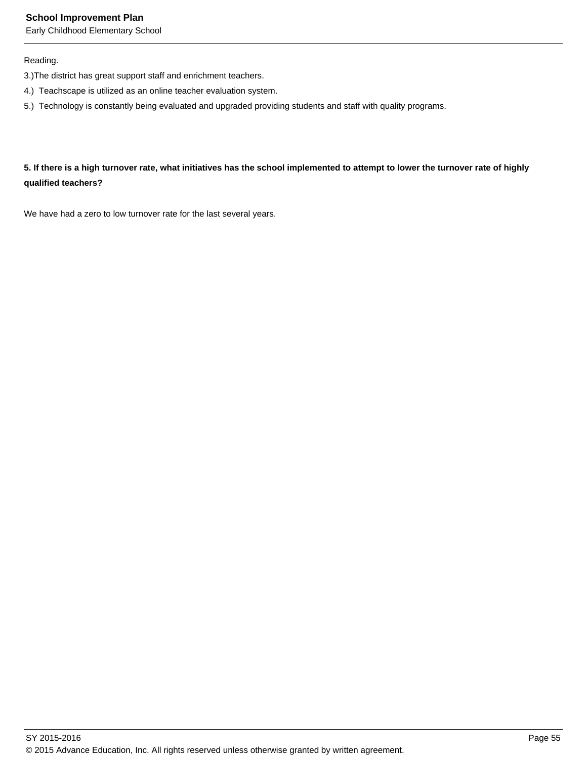Early Childhood Elementary School

# Reading.

- 3.)The district has great support staff and enrichment teachers.
- 4.) Teachscape is utilized as an online teacher evaluation system.
- 5.) Technology is constantly being evaluated and upgraded providing students and staff with quality programs.

# **5. If there is a high turnover rate, what initiatives has the school implemented to attempt to lower the turnover rate of highly qualified teachers?**

We have had a zero to low turnover rate for the last several years.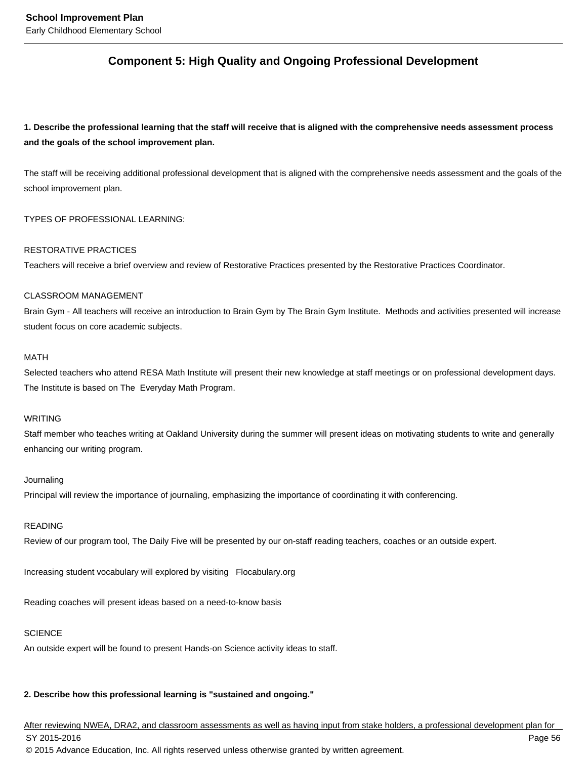# **Component 5: High Quality and Ongoing Professional Development**

**1. Describe the professional learning that the staff will receive that is aligned with the comprehensive needs assessment process and the goals of the school improvement plan.**

The staff will be receiving additional professional development that is aligned with the comprehensive needs assessment and the goals of the school improvement plan.

TYPES OF PROFESSIONAL LEARNING:

#### RESTORATIVE PRACTICES

Teachers will receive a brief overview and review of Restorative Practices presented by the Restorative Practices Coordinator.

#### CLASSROOM MANAGEMENT

Brain Gym - All teachers will receive an introduction to Brain Gym by The Brain Gym Institute. Methods and activities presented will increase student focus on core academic subjects.

#### MATH

Selected teachers who attend RESA Math Institute will present their new knowledge at staff meetings or on professional development days. The Institute is based on The Everyday Math Program.

#### WRITING

Staff member who teaches writing at Oakland University during the summer will present ideas on motivating students to write and generally enhancing our writing program.

#### Journaling

Principal will review the importance of journaling, emphasizing the importance of coordinating it with conferencing.

#### READING

Review of our program tool, The Daily Five will be presented by our on-staff reading teachers, coaches or an outside expert.

Increasing student vocabulary will explored by visiting Flocabulary.org

Reading coaches will present ideas based on a need-to-know basis

#### **SCIENCE**

An outside expert will be found to present Hands-on Science activity ideas to staff.

# **2. Describe how this professional learning is "sustained and ongoing."**

After reviewing NWEA, DRA2, and classroom assessments as well as having input from stake holders, a professional development plan for SY 2015-2016 Page 56 © 2015 Advance Education, Inc. All rights reserved unless otherwise granted by written agreement.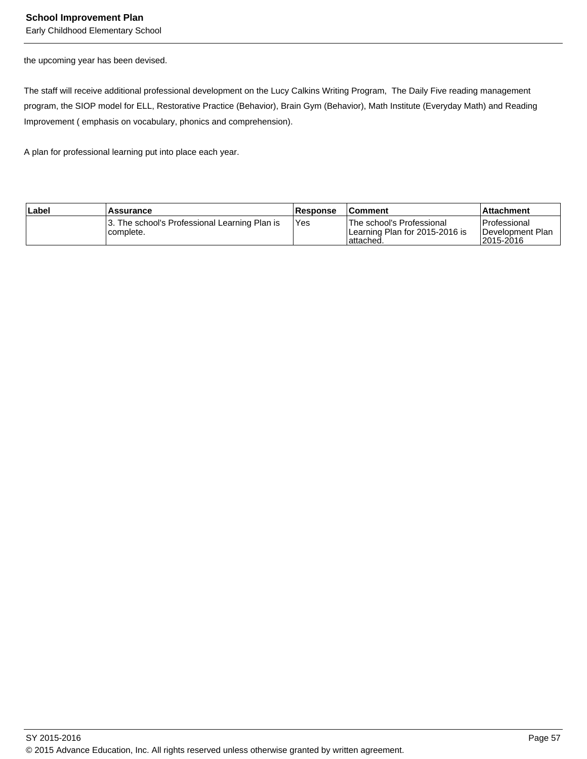Early Childhood Elementary School

the upcoming year has been devised.

The staff will receive additional professional development on the Lucy Calkins Writing Program, The Daily Five reading management program, the SIOP model for ELL, Restorative Practice (Behavior), Brain Gym (Behavior), Math Institute (Everyday Math) and Reading Improvement ( emphasis on vocabulary, phonics and comprehension).

A plan for professional learning put into place each year.

| Label | <b>Assurance</b>                                            | <b>Response</b> | <b>Comment</b>                                                              | l Attachment                                    |
|-------|-------------------------------------------------------------|-----------------|-----------------------------------------------------------------------------|-------------------------------------------------|
|       | 13. The school's Professional Learning Plan is<br>complete. | IYes            | lThe school's Professional<br>ILearning Plan for 2015-2016 is<br>Tattached. | l Professional<br>Development Plan<br>2015-2016 |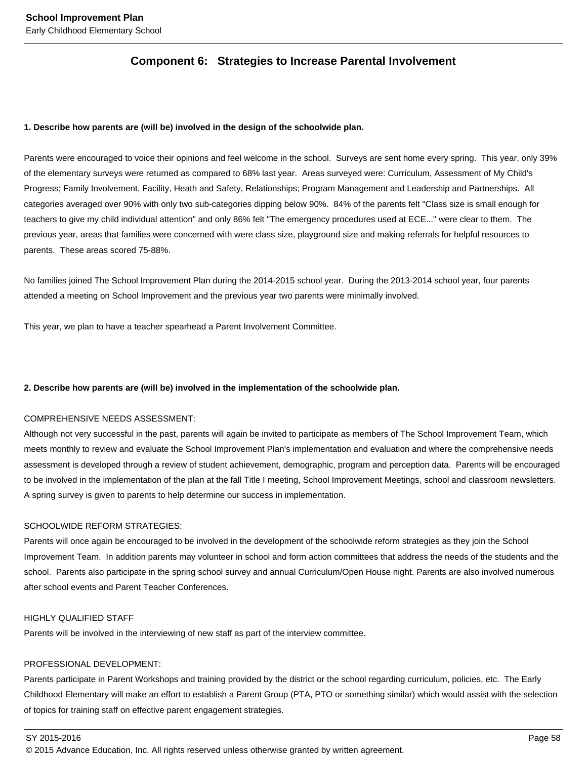# **Component 6: Strategies to Increase Parental Involvement**

#### **1. Describe how parents are (will be) involved in the design of the schoolwide plan.**

Parents were encouraged to voice their opinions and feel welcome in the school. Surveys are sent home every spring. This year, only 39% of the elementary surveys were returned as compared to 68% last year. Areas surveyed were: Curriculum, Assessment of My Child's Progress; Family Involvement, Facility, Heath and Safety, Relationships; Program Management and Leadership and Partnerships. All categories averaged over 90% with only two sub-categories dipping below 90%. 84% of the parents felt "Class size is small enough for teachers to give my child individual attention" and only 86% felt "The emergency procedures used at ECE..." were clear to them. The previous year, areas that families were concerned with were class size, playground size and making referrals for helpful resources to parents. These areas scored 75-88%.

No families joined The School Improvement Plan during the 2014-2015 school year. During the 2013-2014 school year, four parents attended a meeting on School Improvement and the previous year two parents were minimally involved.

This year, we plan to have a teacher spearhead a Parent Involvement Committee.

#### **2. Describe how parents are (will be) involved in the implementation of the schoolwide plan.**

#### COMPREHENSIVE NEEDS ASSESSMENT:

Although not very successful in the past, parents will again be invited to participate as members of The School Improvement Team, which meets monthly to review and evaluate the School Improvement Plan's implementation and evaluation and where the comprehensive needs assessment is developed through a review of student achievement, demographic, program and perception data. Parents will be encouraged to be involved in the implementation of the plan at the fall Title I meeting, School Improvement Meetings, school and classroom newsletters. A spring survey is given to parents to help determine our success in implementation.

#### SCHOOLWIDE REFORM STRATEGIES:

Parents will once again be encouraged to be involved in the development of the schoolwide reform strategies as they join the School Improvement Team. In addition parents may volunteer in school and form action committees that address the needs of the students and the school. Parents also participate in the spring school survey and annual Curriculum/Open House night. Parents are also involved numerous after school events and Parent Teacher Conferences.

### HIGHLY QUALIFIED STAFF

Parents will be involved in the interviewing of new staff as part of the interview committee.

#### PROFESSIONAL DEVELOPMENT:

Parents participate in Parent Workshops and training provided by the district or the school regarding curriculum, policies, etc. The Early Childhood Elementary will make an effort to establish a Parent Group (PTA, PTO or something similar) which would assist with the selection of topics for training staff on effective parent engagement strategies.

SY 2015-2016 Page 58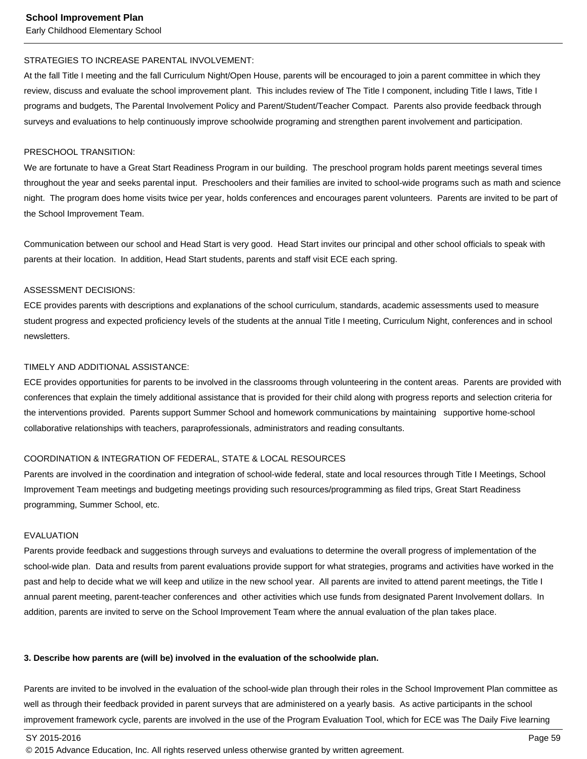#### STRATEGIES TO INCREASE PARENTAL INVOLVEMENT:

At the fall Title I meeting and the fall Curriculum Night/Open House, parents will be encouraged to join a parent committee in which they review, discuss and evaluate the school improvement plant. This includes review of The Title I component, including Title I laws, Title I programs and budgets, The Parental Involvement Policy and Parent/Student/Teacher Compact. Parents also provide feedback through surveys and evaluations to help continuously improve schoolwide programing and strengthen parent involvement and participation.

#### PRESCHOOL TRANSITION:

We are fortunate to have a Great Start Readiness Program in our building. The preschool program holds parent meetings several times throughout the year and seeks parental input. Preschoolers and their families are invited to school-wide programs such as math and science night. The program does home visits twice per year, holds conferences and encourages parent volunteers. Parents are invited to be part of the School Improvement Team.

Communication between our school and Head Start is very good. Head Start invites our principal and other school officials to speak with parents at their location. In addition, Head Start students, parents and staff visit ECE each spring.

#### ASSESSMENT DECISIONS:

ECE provides parents with descriptions and explanations of the school curriculum, standards, academic assessments used to measure student progress and expected proficiency levels of the students at the annual Title I meeting, Curriculum Night, conferences and in school newsletters.

#### TIMELY AND ADDITIONAL ASSISTANCE:

ECE provides opportunities for parents to be involved in the classrooms through volunteering in the content areas. Parents are provided with conferences that explain the timely additional assistance that is provided for their child along with progress reports and selection criteria for the interventions provided. Parents support Summer School and homework communications by maintaining supportive home-school collaborative relationships with teachers, paraprofessionals, administrators and reading consultants.

#### COORDINATION & INTEGRATION OF FEDERAL, STATE & LOCAL RESOURCES

Parents are involved in the coordination and integration of school-wide federal, state and local resources through Title I Meetings, School Improvement Team meetings and budgeting meetings providing such resources/programming as filed trips, Great Start Readiness programming, Summer School, etc.

#### EVALUATION

Parents provide feedback and suggestions through surveys and evaluations to determine the overall progress of implementation of the school-wide plan. Data and results from parent evaluations provide support for what strategies, programs and activities have worked in the past and help to decide what we will keep and utilize in the new school year. All parents are invited to attend parent meetings, the Title I annual parent meeting, parent-teacher conferences and other activities which use funds from designated Parent Involvement dollars. In addition, parents are invited to serve on the School Improvement Team where the annual evaluation of the plan takes place.

#### **3. Describe how parents are (will be) involved in the evaluation of the schoolwide plan.**

Parents are invited to be involved in the evaluation of the school-wide plan through their roles in the School Improvement Plan committee as well as through their feedback provided in parent surveys that are administered on a yearly basis. As active participants in the school improvement framework cycle, parents are involved in the use of the Program Evaluation Tool, which for ECE was The Daily Five learning

SY 2015-2016 Page 59

<sup>© 2015</sup> Advance Education, Inc. All rights reserved unless otherwise granted by written agreement.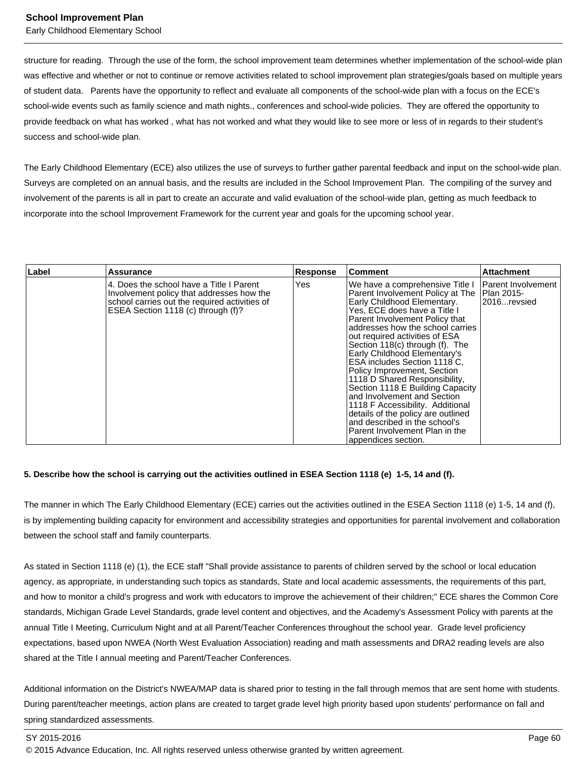structure for reading. Through the use of the form, the school improvement team determines whether implementation of the school-wide plan was effective and whether or not to continue or remove activities related to school improvement plan strategies/goals based on multiple years of student data. Parents have the opportunity to reflect and evaluate all components of the school-wide plan with a focus on the ECE's school-wide events such as family science and math nights., conferences and school-wide policies. They are offered the opportunity to provide feedback on what has worked , what has not worked and what they would like to see more or less of in regards to their student's success and school-wide plan.

The Early Childhood Elementary (ECE) also utilizes the use of surveys to further gather parental feedback and input on the school-wide plan. Surveys are completed on an annual basis, and the results are included in the School Improvement Plan. The compiling of the survey and involvement of the parents is all in part to create an accurate and valid evaluation of the school-wide plan, getting as much feedback to incorporate into the school Improvement Framework for the current year and goals for the upcoming school year.

| Label | <b>Assurance</b>                                                                                                                                                              | <b>Response</b> | l Comment                                                                                                                                                                                                                                                                                                                                                                                                                                                                                                                                                                                                                                                         | <b>Attachment</b>                        |
|-------|-------------------------------------------------------------------------------------------------------------------------------------------------------------------------------|-----------------|-------------------------------------------------------------------------------------------------------------------------------------------------------------------------------------------------------------------------------------------------------------------------------------------------------------------------------------------------------------------------------------------------------------------------------------------------------------------------------------------------------------------------------------------------------------------------------------------------------------------------------------------------------------------|------------------------------------------|
|       | 14. Does the school have a Title I Parent<br>Involvement policy that addresses how the<br>school carries out the required activities of<br>ESEA Section 1118 (c) through (f)? | Yes             | We have a comprehensive Title I<br>Parent Involvement Policy at The   Plan 2015-<br>Early Childhood Elementary.<br>Yes, ECE does have a Title I<br>Parent Involvement Policy that<br>addresses how the school carries<br>out required activities of ESA<br>Section 118(c) through (f). The<br>Early Childhood Elementary's<br>ESA includes Section 1118 C.<br>Policy Improvement, Section<br>1118 D Shared Responsibility,<br>Section 1118 E Building Capacity<br>and Involvement and Section<br>1118 F Accessibility. Additional<br>details of the policy are outlined<br>and described in the school's<br>Parent Involvement Plan in the<br>appendices section. | <b>Parent Involvement</b><br>2016revsied |

#### **5. Describe how the school is carrying out the activities outlined in ESEA Section 1118 (e) 1-5, 14 and (f).**

The manner in which The Early Childhood Elementary (ECE) carries out the activities outlined in the ESEA Section 1118 (e) 1-5, 14 and (f), is by implementing building capacity for environment and accessibility strategies and opportunities for parental involvement and collaboration between the school staff and family counterparts.

As stated in Section 1118 (e) (1), the ECE staff "Shall provide assistance to parents of children served by the school or local education agency, as appropriate, in understanding such topics as standards, State and local academic assessments, the requirements of this part, and how to monitor a child's progress and work with educators to improve the achievement of their children;" ECE shares the Common Core standards, Michigan Grade Level Standards, grade level content and objectives, and the Academy's Assessment Policy with parents at the annual Title I Meeting, Curriculum Night and at all Parent/Teacher Conferences throughout the school year. Grade level proficiency expectations, based upon NWEA (North West Evaluation Association) reading and math assessments and DRA2 reading levels are also shared at the Title I annual meeting and Parent/Teacher Conferences.

Additional information on the District's NWEA/MAP data is shared prior to testing in the fall through memos that are sent home with students. During parent/teacher meetings, action plans are created to target grade level high priority based upon students' performance on fall and spring standardized assessments.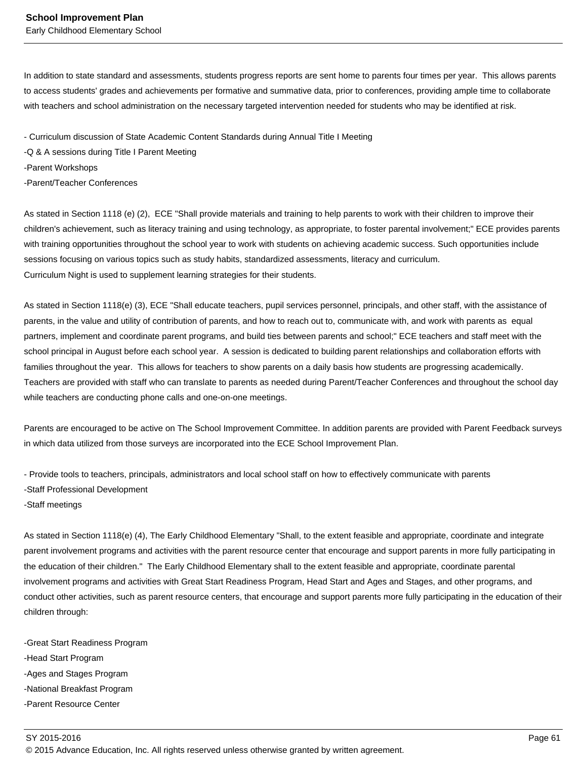In addition to state standard and assessments, students progress reports are sent home to parents four times per year. This allows parents to access students' grades and achievements per formative and summative data, prior to conferences, providing ample time to collaborate with teachers and school administration on the necessary targeted intervention needed for students who may be identified at risk.

- Curriculum discussion of State Academic Content Standards during Annual Title I Meeting

-Q & A sessions during Title I Parent Meeting

-Parent Workshops

-Parent/Teacher Conferences

As stated in Section 1118 (e) (2), ECE "Shall provide materials and training to help parents to work with their children to improve their children's achievement, such as literacy training and using technology, as appropriate, to foster parental involvement;" ECE provides parents with training opportunities throughout the school year to work with students on achieving academic success. Such opportunities include sessions focusing on various topics such as study habits, standardized assessments, literacy and curriculum. Curriculum Night is used to supplement learning strategies for their students.

As stated in Section 1118(e) (3), ECE "Shall educate teachers, pupil services personnel, principals, and other staff, with the assistance of parents, in the value and utility of contribution of parents, and how to reach out to, communicate with, and work with parents as equal partners, implement and coordinate parent programs, and build ties between parents and school;" ECE teachers and staff meet with the school principal in August before each school year. A session is dedicated to building parent relationships and collaboration efforts with families throughout the year. This allows for teachers to show parents on a daily basis how students are progressing academically. Teachers are provided with staff who can translate to parents as needed during Parent/Teacher Conferences and throughout the school day while teachers are conducting phone calls and one-on-one meetings.

Parents are encouraged to be active on The School Improvement Committee. In addition parents are provided with Parent Feedback surveys in which data utilized from those surveys are incorporated into the ECE School Improvement Plan.

- Provide tools to teachers, principals, administrators and local school staff on how to effectively communicate with parents -Staff Professional Development

-Staff meetings

As stated in Section 1118(e) (4), The Early Childhood Elementary "Shall, to the extent feasible and appropriate, coordinate and integrate parent involvement programs and activities with the parent resource center that encourage and support parents in more fully participating in the education of their children." The Early Childhood Elementary shall to the extent feasible and appropriate, coordinate parental involvement programs and activities with Great Start Readiness Program, Head Start and Ages and Stages, and other programs, and conduct other activities, such as parent resource centers, that encourage and support parents more fully participating in the education of their children through:

-Great Start Readiness Program -Head Start Program -Ages and Stages Program -National Breakfast Program -Parent Resource Center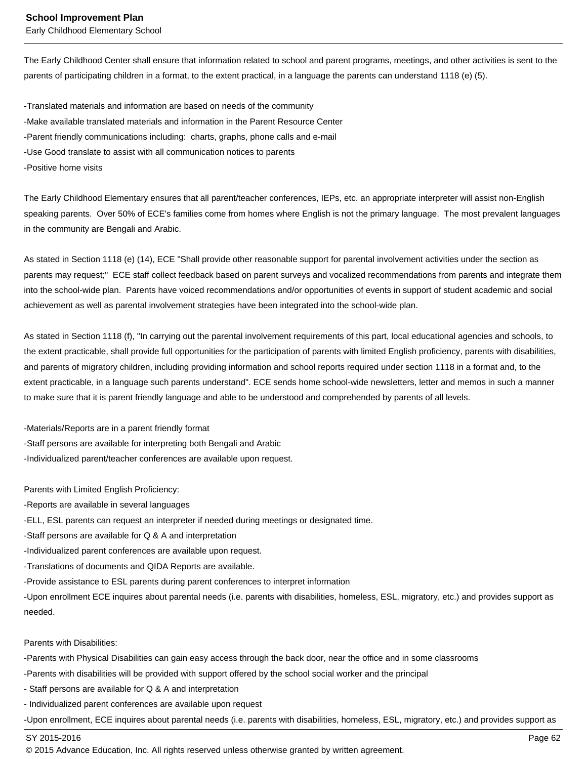The Early Childhood Center shall ensure that information related to school and parent programs, meetings, and other activities is sent to the parents of participating children in a format, to the extent practical, in a language the parents can understand 1118 (e) (5).

-Translated materials and information are based on needs of the community -Make available translated materials and information in the Parent Resource Center -Parent friendly communications including: charts, graphs, phone calls and e-mail -Use Good translate to assist with all communication notices to parents -Positive home visits

The Early Childhood Elementary ensures that all parent/teacher conferences, IEPs, etc. an appropriate interpreter will assist non-English speaking parents. Over 50% of ECE's families come from homes where English is not the primary language. The most prevalent languages in the community are Bengali and Arabic.

As stated in Section 1118 (e) (14), ECE "Shall provide other reasonable support for parental involvement activities under the section as parents may request;" ECE staff collect feedback based on parent surveys and vocalized recommendations from parents and integrate them into the school-wide plan. Parents have voiced recommendations and/or opportunities of events in support of student academic and social achievement as well as parental involvement strategies have been integrated into the school-wide plan.

As stated in Section 1118 (f), "In carrying out the parental involvement requirements of this part, local educational agencies and schools, to the extent practicable, shall provide full opportunities for the participation of parents with limited English proficiency, parents with disabilities, and parents of migratory children, including providing information and school reports required under section 1118 in a format and, to the extent practicable, in a language such parents understand". ECE sends home school-wide newsletters, letter and memos in such a manner to make sure that it is parent friendly language and able to be understood and comprehended by parents of all levels.

-Materials/Reports are in a parent friendly format -Staff persons are available for interpreting both Bengali and Arabic -Individualized parent/teacher conferences are available upon request.

Parents with Limited English Proficiency:

-Reports are available in several languages

-ELL, ESL parents can request an interpreter if needed during meetings or designated time.

-Staff persons are available for Q & A and interpretation

-Individualized parent conferences are available upon request.

-Translations of documents and QIDA Reports are available.

-Provide assistance to ESL parents during parent conferences to interpret information

-Upon enrollment ECE inquires about parental needs (i.e. parents with disabilities, homeless, ESL, migratory, etc.) and provides support as needed.

Parents with Disabilities:

-Parents with Physical Disabilities can gain easy access through the back door, near the office and in some classrooms

-Parents with disabilities will be provided with support offered by the school social worker and the principal

- Staff persons are available for Q & A and interpretation

- Individualized parent conferences are available upon request

-Upon enrollment, ECE inquires about parental needs (i.e. parents with disabilities, homeless, ESL, migratory, etc.) and provides support as

SY 2015-2016 Page 62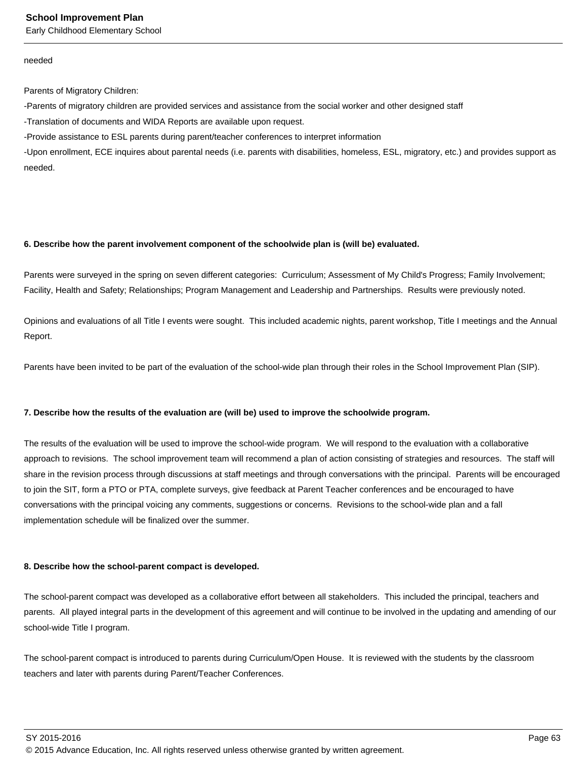Early Childhood Elementary School

#### needed

Parents of Migratory Children:

-Parents of migratory children are provided services and assistance from the social worker and other designed staff

-Translation of documents and WIDA Reports are available upon request.

-Provide assistance to ESL parents during parent/teacher conferences to interpret information

-Upon enrollment, ECE inquires about parental needs (i.e. parents with disabilities, homeless, ESL, migratory, etc.) and provides support as needed.

#### **6. Describe how the parent involvement component of the schoolwide plan is (will be) evaluated.**

Parents were surveyed in the spring on seven different categories: Curriculum; Assessment of My Child's Progress; Family Involvement; Facility, Health and Safety; Relationships; Program Management and Leadership and Partnerships. Results were previously noted.

Opinions and evaluations of all Title I events were sought. This included academic nights, parent workshop, Title I meetings and the Annual Report.

Parents have been invited to be part of the evaluation of the school-wide plan through their roles in the School Improvement Plan (SIP).

#### **7. Describe how the results of the evaluation are (will be) used to improve the schoolwide program.**

The results of the evaluation will be used to improve the school-wide program. We will respond to the evaluation with a collaborative approach to revisions. The school improvement team will recommend a plan of action consisting of strategies and resources. The staff will share in the revision process through discussions at staff meetings and through conversations with the principal. Parents will be encouraged to join the SIT, form a PTO or PTA, complete surveys, give feedback at Parent Teacher conferences and be encouraged to have conversations with the principal voicing any comments, suggestions or concerns. Revisions to the school-wide plan and a fall implementation schedule will be finalized over the summer.

#### **8. Describe how the school-parent compact is developed.**

The school-parent compact was developed as a collaborative effort between all stakeholders. This included the principal, teachers and parents. All played integral parts in the development of this agreement and will continue to be involved in the updating and amending of our school-wide Title I program.

The school-parent compact is introduced to parents during Curriculum/Open House. It is reviewed with the students by the classroom teachers and later with parents during Parent/Teacher Conferences.

SY 2015-2016 Page 63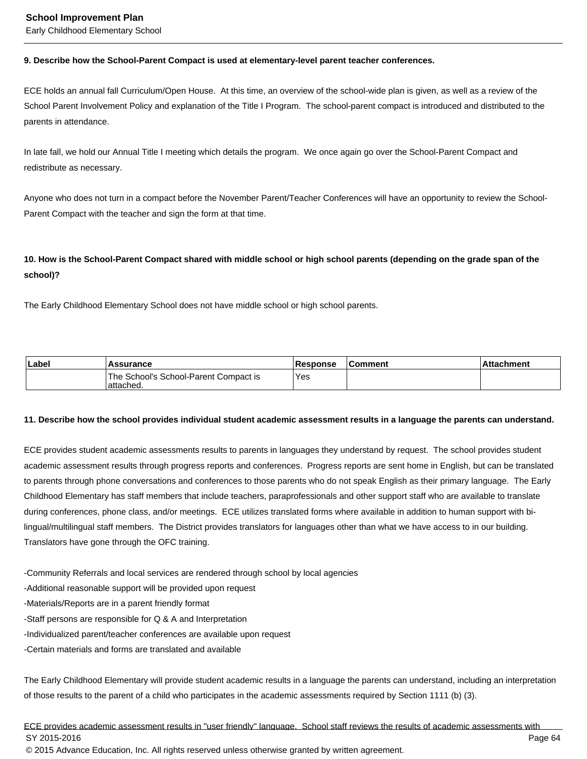#### **9. Describe how the School-Parent Compact is used at elementary-level parent teacher conferences.**

ECE holds an annual fall Curriculum/Open House. At this time, an overview of the school-wide plan is given, as well as a review of the School Parent Involvement Policy and explanation of the Title I Program. The school-parent compact is introduced and distributed to the parents in attendance.

In late fall, we hold our Annual Title I meeting which details the program. We once again go over the School-Parent Compact and redistribute as necessary.

Anyone who does not turn in a compact before the November Parent/Teacher Conferences will have an opportunity to review the School-Parent Compact with the teacher and sign the form at that time.

# **10. How is the School-Parent Compact shared with middle school or high school parents (depending on the grade span of the school)?**

The Early Childhood Elementary School does not have middle school or high school parents.

| Label | <b>Assurance</b>                                    | <b>Response</b> | <b>Comment</b> | <b>Attachment</b> |
|-------|-----------------------------------------------------|-----------------|----------------|-------------------|
|       | The School's School-Parent Compact is<br>'attached. | Yes             |                |                   |

#### **11. Describe how the school provides individual student academic assessment results in a language the parents can understand.**

ECE provides student academic assessments results to parents in languages they understand by request. The school provides student academic assessment results through progress reports and conferences. Progress reports are sent home in English, but can be translated to parents through phone conversations and conferences to those parents who do not speak English as their primary language. The Early Childhood Elementary has staff members that include teachers, paraprofessionals and other support staff who are available to translate during conferences, phone class, and/or meetings. ECE utilizes translated forms where available in addition to human support with bilingual/multilingual staff members. The District provides translators for languages other than what we have access to in our building. Translators have gone through the OFC training.

-Community Referrals and local services are rendered through school by local agencies

-Additional reasonable support will be provided upon request

-Materials/Reports are in a parent friendly format

-Staff persons are responsible for Q & A and Interpretation

-Individualized parent/teacher conferences are available upon request

-Certain materials and forms are translated and available

The Early Childhood Elementary will provide student academic results in a language the parents can understand, including an interpretation of those results to the parent of a child who participates in the academic assessments required by Section 1111 (b) (3).

ECE provides academic assessment results in "user friendly" language. School staff reviews the results of academic assessments with SY 2015-2016 Page 64 © 2015 Advance Education, Inc. All rights reserved unless otherwise granted by written agreement.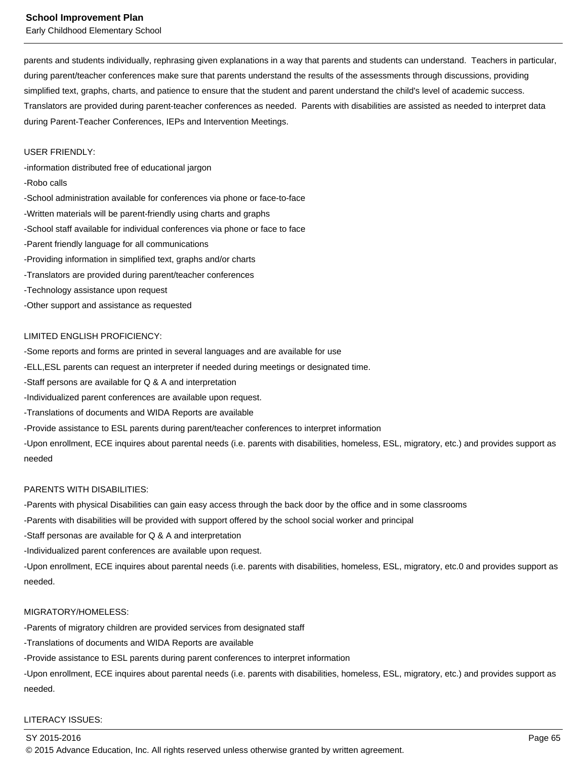Early Childhood Elementary School

parents and students individually, rephrasing given explanations in a way that parents and students can understand. Teachers in particular, during parent/teacher conferences make sure that parents understand the results of the assessments through discussions, providing simplified text, graphs, charts, and patience to ensure that the student and parent understand the child's level of academic success. Translators are provided during parent-teacher conferences as needed. Parents with disabilities are assisted as needed to interpret data during Parent-Teacher Conferences, IEPs and Intervention Meetings.

#### USER FRIENDLY:

-information distributed free of educational jargon

#### -Robo calls

-School administration available for conferences via phone or face-to-face -Written materials will be parent-friendly using charts and graphs -School staff available for individual conferences via phone or face to face -Parent friendly language for all communications -Providing information in simplified text, graphs and/or charts -Translators are provided during parent/teacher conferences -Technology assistance upon request -Other support and assistance as requested

#### LIMITED ENGLISH PROFICIENCY:

-Some reports and forms are printed in several languages and are available for use

-ELL,ESL parents can request an interpreter if needed during meetings or designated time.

-Staff persons are available for Q & A and interpretation

-Individualized parent conferences are available upon request.

-Translations of documents and WIDA Reports are available

-Provide assistance to ESL parents during parent/teacher conferences to interpret information

-Upon enrollment, ECE inquires about parental needs (i.e. parents with disabilities, homeless, ESL, migratory, etc.) and provides support as needed

#### PARENTS WITH DISABILITIES:

-Parents with physical Disabilities can gain easy access through the back door by the office and in some classrooms

-Parents with disabilities will be provided with support offered by the school social worker and principal

-Staff personas are available for Q & A and interpretation

-Individualized parent conferences are available upon request.

-Upon enrollment, ECE inquires about parental needs (i.e. parents with disabilities, homeless, ESL, migratory, etc.0 and provides support as needed.

#### MIGRATORY/HOMELESS:

-Parents of migratory children are provided services from designated staff

-Translations of documents and WIDA Reports are available

-Provide assistance to ESL parents during parent conferences to interpret information

-Upon enrollment, ECE inquires about parental needs (i.e. parents with disabilities, homeless, ESL, migratory, etc.) and provides support as needed.

# LITERACY ISSUES: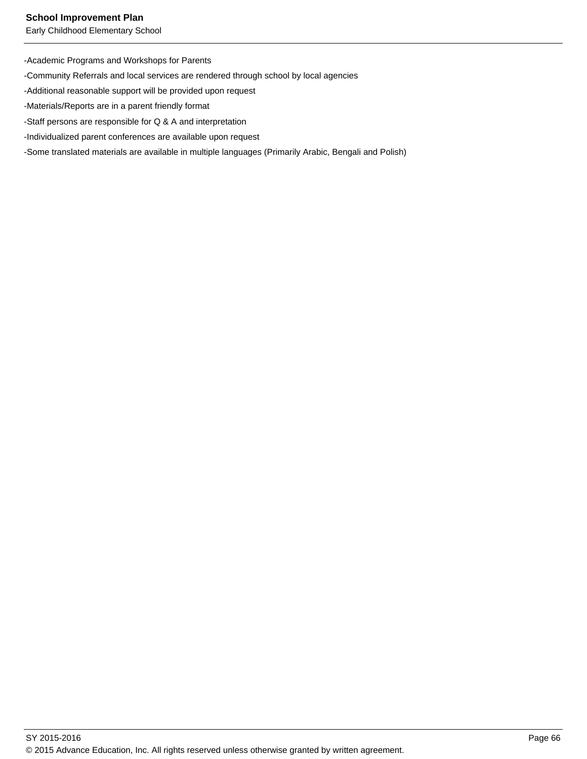Early Childhood Elementary School

-Academic Programs and Workshops for Parents

-Community Referrals and local services are rendered through school by local agencies

-Additional reasonable support will be provided upon request

-Materials/Reports are in a parent friendly format

-Staff persons are responsible for Q & A and interpretation

-Individualized parent conferences are available upon request

-Some translated materials are available in multiple languages (Primarily Arabic, Bengali and Polish)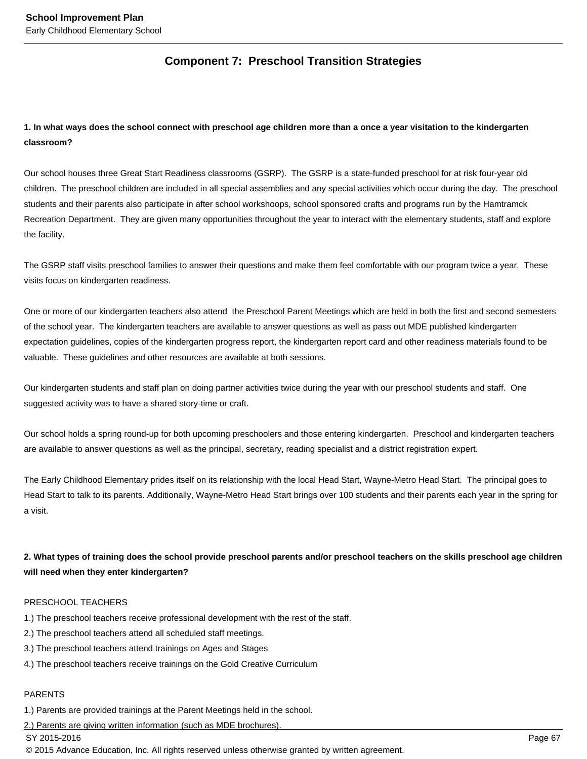# **Component 7: Preschool Transition Strategies**

# **1. In what ways does the school connect with preschool age children more than a once a year visitation to the kindergarten classroom?**

Our school houses three Great Start Readiness classrooms (GSRP). The GSRP is a state-funded preschool for at risk four-year old children. The preschool children are included in all special assemblies and any special activities which occur during the day. The preschool students and their parents also participate in after school workshoops, school sponsored crafts and programs run by the Hamtramck Recreation Department. They are given many opportunities throughout the year to interact with the elementary students, staff and explore the facility.

The GSRP staff visits preschool families to answer their questions and make them feel comfortable with our program twice a year. These visits focus on kindergarten readiness.

One or more of our kindergarten teachers also attend the Preschool Parent Meetings which are held in both the first and second semesters of the school year. The kindergarten teachers are available to answer questions as well as pass out MDE published kindergarten expectation guidelines, copies of the kindergarten progress report, the kindergarten report card and other readiness materials found to be valuable. These guidelines and other resources are available at both sessions.

Our kindergarten students and staff plan on doing partner activities twice during the year with our preschool students and staff. One suggested activity was to have a shared story-time or craft.

Our school holds a spring round-up for both upcoming preschoolers and those entering kindergarten. Preschool and kindergarten teachers are available to answer questions as well as the principal, secretary, reading specialist and a district registration expert.

The Early Childhood Elementary prides itself on its relationship with the local Head Start, Wayne-Metro Head Start. The principal goes to Head Start to talk to its parents. Additionally, Wayne-Metro Head Start brings over 100 students and their parents each year in the spring for a visit.

**2. What types of training does the school provide preschool parents and/or preschool teachers on the skills preschool age children will need when they enter kindergarten?** 

#### PRESCHOOL TEACHERS

- 1.) The preschool teachers receive professional development with the rest of the staff.
- 2.) The preschool teachers attend all scheduled staff meetings.
- 3.) The preschool teachers attend trainings on Ages and Stages
- 4.) The preschool teachers receive trainings on the Gold Creative Curriculum

#### PARENTS

1.) Parents are provided trainings at the Parent Meetings held in the school.

2.) Parents are giving written information (such as MDE brochures).

SY 2015-2016 Page 67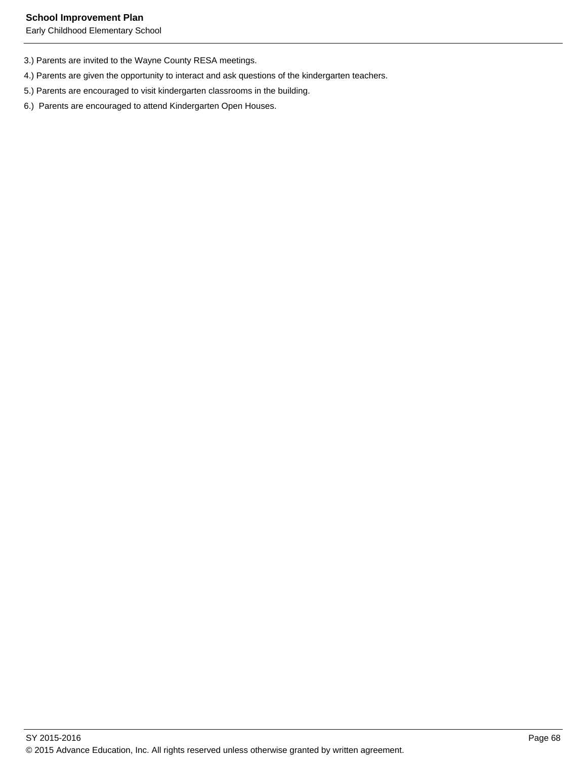- 3.) Parents are invited to the Wayne County RESA meetings.
- 4.) Parents are given the opportunity to interact and ask questions of the kindergarten teachers.
- 5.) Parents are encouraged to visit kindergarten classrooms in the building.
- 6.) Parents are encouraged to attend Kindergarten Open Houses.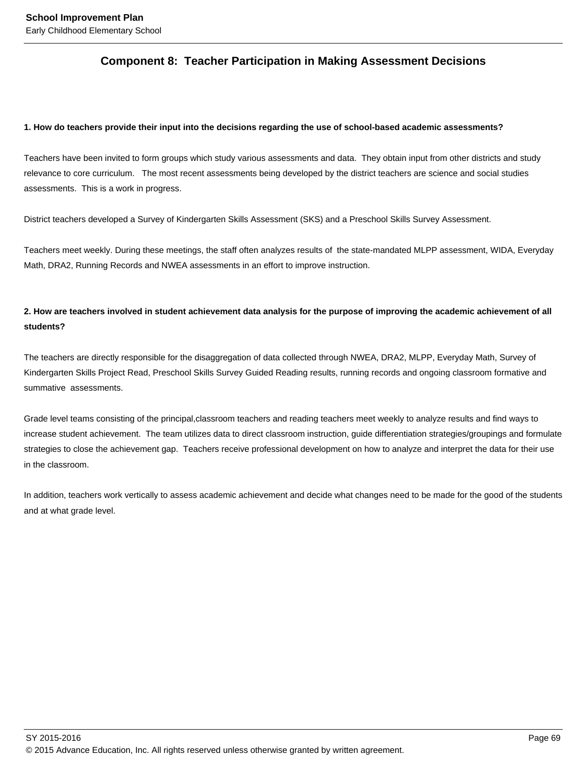### **Component 8: Teacher Participation in Making Assessment Decisions**

### **1. How do teachers provide their input into the decisions regarding the use of school-based academic assessments?**

Teachers have been invited to form groups which study various assessments and data. They obtain input from other districts and study relevance to core curriculum. The most recent assessments being developed by the district teachers are science and social studies assessments. This is a work in progress.

District teachers developed a Survey of Kindergarten Skills Assessment (SKS) and a Preschool Skills Survey Assessment.

Teachers meet weekly. During these meetings, the staff often analyzes results of the state-mandated MLPP assessment, WIDA, Everyday Math, DRA2, Running Records and NWEA assessments in an effort to improve instruction.

### **2. How are teachers involved in student achievement data analysis for the purpose of improving the academic achievement of all students?**

The teachers are directly responsible for the disaggregation of data collected through NWEA, DRA2, MLPP, Everyday Math, Survey of Kindergarten Skills Project Read, Preschool Skills Survey Guided Reading results, running records and ongoing classroom formative and summative assessments.

Grade level teams consisting of the principal,classroom teachers and reading teachers meet weekly to analyze results and find ways to increase student achievement. The team utilizes data to direct classroom instruction, guide differentiation strategies/groupings and formulate strategies to close the achievement gap. Teachers receive professional development on how to analyze and interpret the data for their use in the classroom.

In addition, teachers work vertically to assess academic achievement and decide what changes need to be made for the good of the students and at what grade level.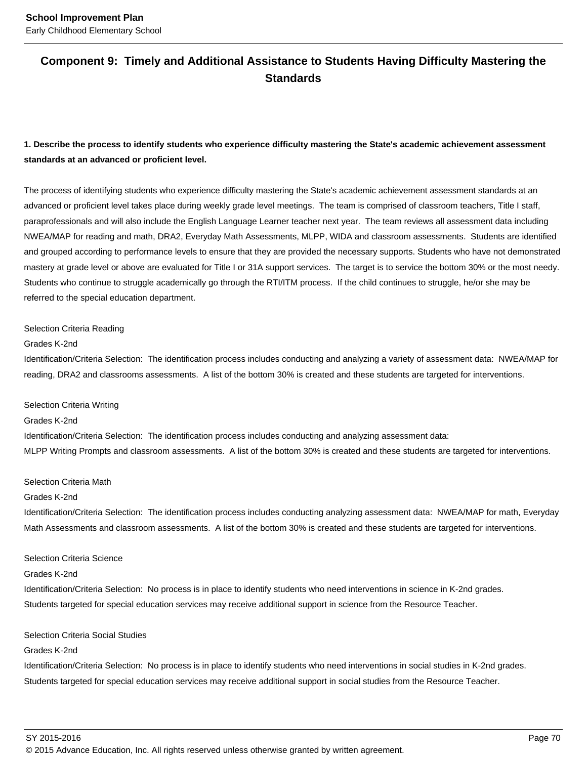### **Component 9: Timely and Additional Assistance to Students Having Difficulty Mastering the Standards**

### **1. Describe the process to identify students who experience difficulty mastering the State's academic achievement assessment standards at an advanced or proficient level.**

The process of identifying students who experience difficulty mastering the State's academic achievement assessment standards at an advanced or proficient level takes place during weekly grade level meetings. The team is comprised of classroom teachers, Title I staff, paraprofessionals and will also include the English Language Learner teacher next year. The team reviews all assessment data including NWEA/MAP for reading and math, DRA2, Everyday Math Assessments, MLPP, WIDA and classroom assessments. Students are identified and grouped according to performance levels to ensure that they are provided the necessary supports. Students who have not demonstrated mastery at grade level or above are evaluated for Title I or 31A support services. The target is to service the bottom 30% or the most needy. Students who continue to struggle academically go through the RTI/ITM process. If the child continues to struggle, he/or she may be referred to the special education department.

### Selection Criteria Reading

#### Grades K-2nd

Identification/Criteria Selection: The identification process includes conducting and analyzing a variety of assessment data: NWEA/MAP for reading, DRA2 and classrooms assessments. A list of the bottom 30% is created and these students are targeted for interventions.

#### Selection Criteria Writing

#### Grades K-2nd

Identification/Criteria Selection: The identification process includes conducting and analyzing assessment data: MLPP Writing Prompts and classroom assessments. A list of the bottom 30% is created and these students are targeted for interventions.

#### Selection Criteria Math

#### Grades K-2nd

Identification/Criteria Selection: The identification process includes conducting analyzing assessment data: NWEA/MAP for math, Everyday Math Assessments and classroom assessments. A list of the bottom 30% is created and these students are targeted for interventions.

#### Selection Criteria Science

#### Grades K-2nd

Identification/Criteria Selection: No process is in place to identify students who need interventions in science in K-2nd grades. Students targeted for special education services may receive additional support in science from the Resource Teacher.

### Selection Criteria Social Studies

### Grades K-2nd

Identification/Criteria Selection: No process is in place to identify students who need interventions in social studies in K-2nd grades. Students targeted for special education services may receive additional support in social studies from the Resource Teacher.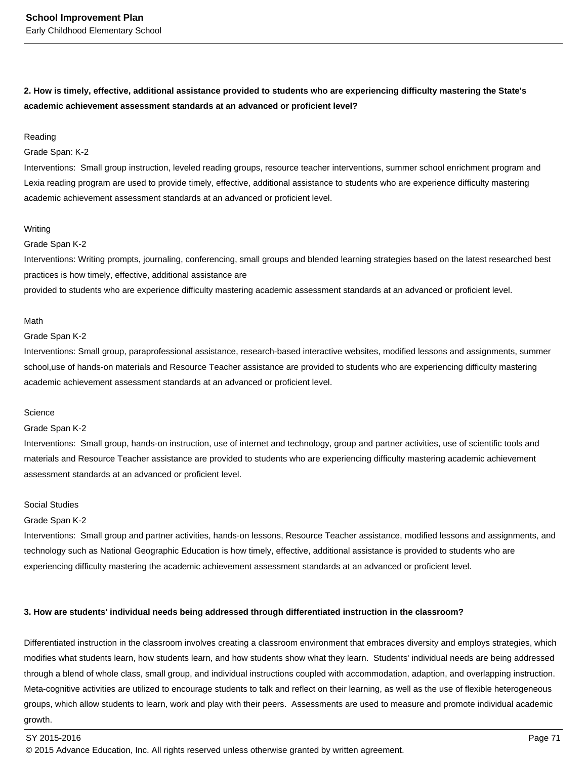**2. How is timely, effective, additional assistance provided to students who are experiencing difficulty mastering the State's academic achievement assessment standards at an advanced or proficient level?**

#### Reading

#### Grade Span: K-2

Interventions: Small group instruction, leveled reading groups, resource teacher interventions, summer school enrichment program and Lexia reading program are used to provide timely, effective, additional assistance to students who are experience difficulty mastering academic achievement assessment standards at an advanced or proficient level.

#### Writing

#### Grade Span K-2

Interventions: Writing prompts, journaling, conferencing, small groups and blended learning strategies based on the latest researched best practices is how timely, effective, additional assistance are

provided to students who are experience difficulty mastering academic assessment standards at an advanced or proficient level.

#### Math

### Grade Span K-2

Interventions: Small group, paraprofessional assistance, research-based interactive websites, modified lessons and assignments, summer school,use of hands-on materials and Resource Teacher assistance are provided to students who are experiencing difficulty mastering academic achievement assessment standards at an advanced or proficient level.

#### **Science**

#### Grade Span K-2

Interventions: Small group, hands-on instruction, use of internet and technology, group and partner activities, use of scientific tools and materials and Resource Teacher assistance are provided to students who are experiencing difficulty mastering academic achievement assessment standards at an advanced or proficient level.

### Social Studies

### Grade Span K-2

Interventions: Small group and partner activities, hands-on lessons, Resource Teacher assistance, modified lessons and assignments, and technology such as National Geographic Education is how timely, effective, additional assistance is provided to students who are experiencing difficulty mastering the academic achievement assessment standards at an advanced or proficient level.

#### **3. How are students' individual needs being addressed through differentiated instruction in the classroom?**

Differentiated instruction in the classroom involves creating a classroom environment that embraces diversity and employs strategies, which modifies what students learn, how students learn, and how students show what they learn. Students' individual needs are being addressed through a blend of whole class, small group, and individual instructions coupled with accommodation, adaption, and overlapping instruction. Meta-cognitive activities are utilized to encourage students to talk and reflect on their learning, as well as the use of flexible heterogeneous groups, which allow students to learn, work and play with their peers. Assessments are used to measure and promote individual academic growth.

<sup>© 2015</sup> Advance Education, Inc. All rights reserved unless otherwise granted by written agreement.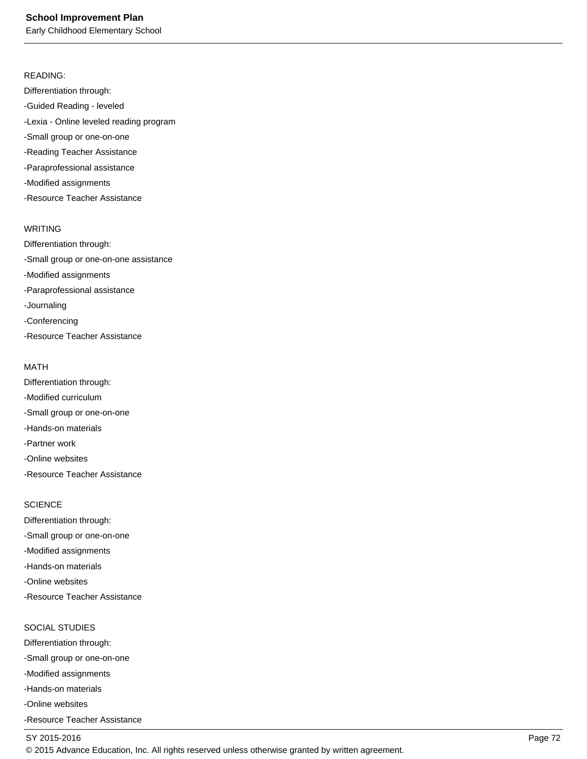Early Childhood Elementary School

### READING:

Differentiation through: -Guided Reading - leveled -Lexia - Online leveled reading program -Small group or one-on-one -Reading Teacher Assistance -Paraprofessional assistance -Modified assignments -Resource Teacher Assistance

### WRITING

Differentiation through: -Small group or one-on-one assistance -Modified assignments -Paraprofessional assistance -Journaling -Conferencing -Resource Teacher Assistance

### MATH

Differentiation through: -Modified curriculum -Small group or one-on-one -Hands-on materials -Partner work -Online websites -Resource Teacher Assistance

### **SCIENCE**

Differentiation through: -Small group or one-on-one -Modified assignments -Hands-on materials -Online websites -Resource Teacher Assistance

### SOCIAL STUDIES

Differentiation through: -Small group or one-on-one -Modified assignments -Hands-on materials -Online websites -Resource Teacher Assistance

### SY 2015-2016 Page 72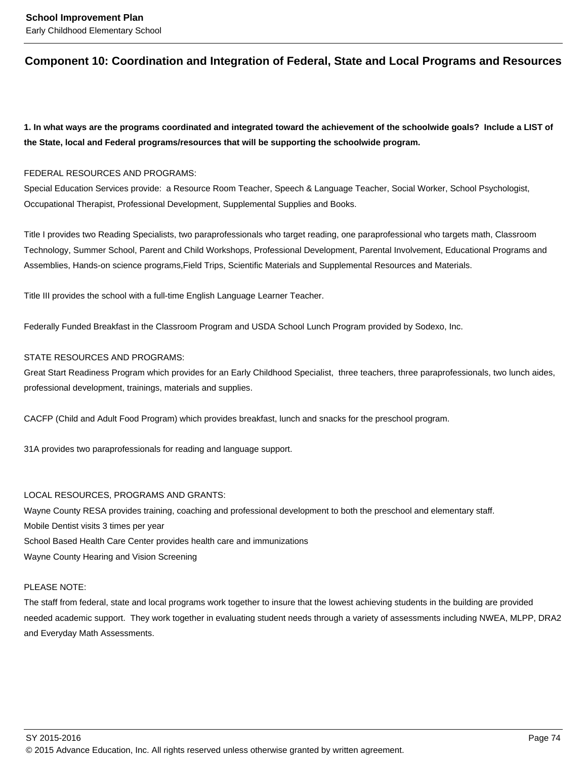### **Component 10: Coordination and Integration of Federal, State and Local Programs and Resources**

**1. In what ways are the programs coordinated and integrated toward the achievement of the schoolwide goals? Include a LIST of the State, local and Federal programs/resources that will be supporting the schoolwide program.**

### FEDERAL RESOURCES AND PROGRAMS:

Special Education Services provide: a Resource Room Teacher, Speech & Language Teacher, Social Worker, School Psychologist, Occupational Therapist, Professional Development, Supplemental Supplies and Books.

Title I provides two Reading Specialists, two paraprofessionals who target reading, one paraprofessional who targets math, Classroom Technology, Summer School, Parent and Child Workshops, Professional Development, Parental Involvement, Educational Programs and Assemblies, Hands-on science programs,Field Trips, Scientific Materials and Supplemental Resources and Materials.

Title III provides the school with a full-time English Language Learner Teacher.

Federally Funded Breakfast in the Classroom Program and USDA School Lunch Program provided by Sodexo, Inc.

### STATE RESOURCES AND PROGRAMS:

Great Start Readiness Program which provides for an Early Childhood Specialist, three teachers, three paraprofessionals, two lunch aides, professional development, trainings, materials and supplies.

CACFP (Child and Adult Food Program) which provides breakfast, lunch and snacks for the preschool program.

31A provides two paraprofessionals for reading and language support.

### LOCAL RESOURCES, PROGRAMS AND GRANTS:

Wayne County RESA provides training, coaching and professional development to both the preschool and elementary staff. Mobile Dentist visits 3 times per year School Based Health Care Center provides health care and immunizations Wayne County Hearing and Vision Screening

### PLEASE NOTE:

The staff from federal, state and local programs work together to insure that the lowest achieving students in the building are provided needed academic support. They work together in evaluating student needs through a variety of assessments including NWEA, MLPP, DRA2 and Everyday Math Assessments.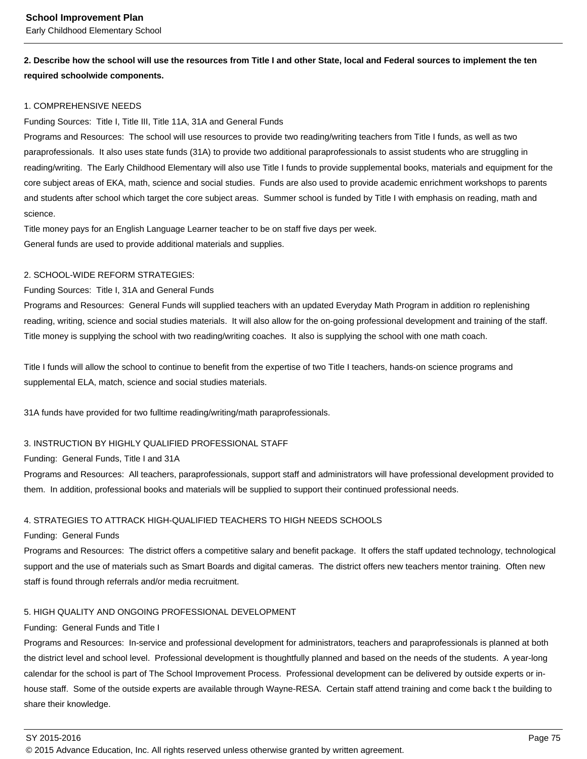### **2. Describe how the school will use the resources from Title I and other State, local and Federal sources to implement the ten required schoolwide components.**

### 1. COMPREHENSIVE NEEDS

### Funding Sources: Title I, Title III, Title 11A, 31A and General Funds

Programs and Resources: The school will use resources to provide two reading/writing teachers from Title I funds, as well as two paraprofessionals. It also uses state funds (31A) to provide two additional paraprofessionals to assist students who are struggling in reading/writing. The Early Childhood Elementary will also use Title I funds to provide supplemental books, materials and equipment for the core subject areas of EKA, math, science and social studies. Funds are also used to provide academic enrichment workshops to parents and students after school which target the core subject areas. Summer school is funded by Title I with emphasis on reading, math and science.

Title money pays for an English Language Learner teacher to be on staff five days per week. General funds are used to provide additional materials and supplies.

### 2. SCHOOL-WIDE REFORM STRATEGIES:

### Funding Sources: Title I, 31A and General Funds

Programs and Resources: General Funds will supplied teachers with an updated Everyday Math Program in addition ro replenishing reading, writing, science and social studies materials. It will also allow for the on-going professional development and training of the staff. Title money is supplying the school with two reading/writing coaches. It also is supplying the school with one math coach.

Title I funds will allow the school to continue to benefit from the expertise of two Title I teachers, hands-on science programs and supplemental ELA, match, science and social studies materials.

31A funds have provided for two fulltime reading/writing/math paraprofessionals.

### 3. INSTRUCTION BY HIGHLY QUALIFIED PROFESSIONAL STAFF

### Funding: General Funds, Title I and 31A

Programs and Resources: All teachers, paraprofessionals, support staff and administrators will have professional development provided to them. In addition, professional books and materials will be supplied to support their continued professional needs.

### 4. STRATEGIES TO ATTRACK HIGH-QUALIFIED TEACHERS TO HIGH NEEDS SCHOOLS

### Funding: General Funds

Programs and Resources: The district offers a competitive salary and benefit package. It offers the staff updated technology, technological support and the use of materials such as Smart Boards and digital cameras. The district offers new teachers mentor training. Often new staff is found through referrals and/or media recruitment.

### 5. HIGH QUALITY AND ONGOING PROFESSIONAL DEVELOPMENT

### Funding: General Funds and Title I

Programs and Resources: In-service and professional development for administrators, teachers and paraprofessionals is planned at both the district level and school level. Professional development is thoughtfully planned and based on the needs of the students. A year-long calendar for the school is part of The School Improvement Process. Professional development can be delivered by outside experts or inhouse staff. Some of the outside experts are available through Wayne-RESA. Certain staff attend training and come back t the building to share their knowledge.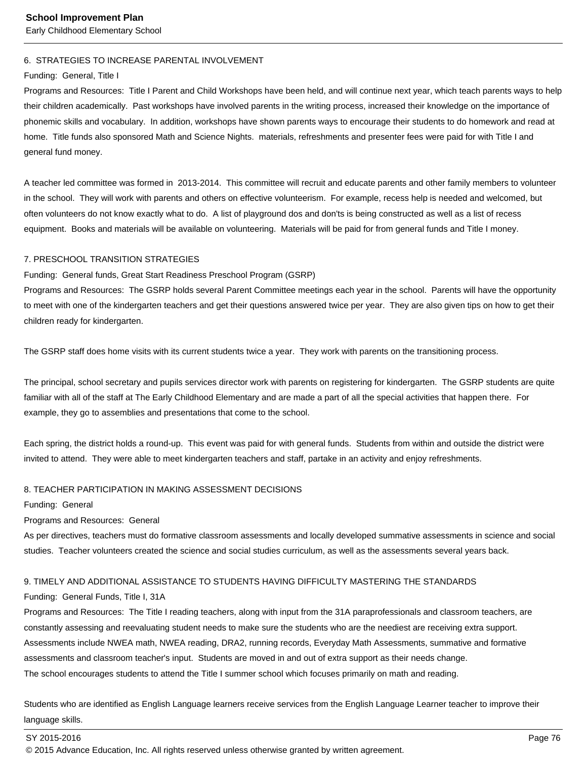Early Childhood Elementary School

### 6. STRATEGIES TO INCREASE PARENTAL INVOLVEMENT

#### Funding: General, Title I

Programs and Resources: Title I Parent and Child Workshops have been held, and will continue next year, which teach parents ways to help their children academically. Past workshops have involved parents in the writing process, increased their knowledge on the importance of phonemic skills and vocabulary. In addition, workshops have shown parents ways to encourage their students to do homework and read at home. Title funds also sponsored Math and Science Nights. materials, refreshments and presenter fees were paid for with Title I and general fund money.

A teacher led committee was formed in 2013-2014. This committee will recruit and educate parents and other family members to volunteer in the school. They will work with parents and others on effective volunteerism. For example, recess help is needed and welcomed, but often volunteers do not know exactly what to do. A list of playground dos and don'ts is being constructed as well as a list of recess equipment. Books and materials will be available on volunteering. Materials will be paid for from general funds and Title I money.

#### 7. PRESCHOOL TRANSITION STRATEGIES

### Funding: General funds, Great Start Readiness Preschool Program (GSRP)

Programs and Resources: The GSRP holds several Parent Committee meetings each year in the school. Parents will have the opportunity to meet with one of the kindergarten teachers and get their questions answered twice per year. They are also given tips on how to get their children ready for kindergarten.

The GSRP staff does home visits with its current students twice a year. They work with parents on the transitioning process.

The principal, school secretary and pupils services director work with parents on registering for kindergarten. The GSRP students are quite familiar with all of the staff at The Early Childhood Elementary and are made a part of all the special activities that happen there. For example, they go to assemblies and presentations that come to the school.

Each spring, the district holds a round-up. This event was paid for with general funds. Students from within and outside the district were invited to attend. They were able to meet kindergarten teachers and staff, partake in an activity and enjoy refreshments.

### 8. TEACHER PARTICIPATION IN MAKING ASSESSMENT DECISIONS

Funding: General

Programs and Resources: General

As per directives, teachers must do formative classroom assessments and locally developed summative assessments in science and social studies. Teacher volunteers created the science and social studies curriculum, as well as the assessments several years back.

### 9. TIMELY AND ADDITIONAL ASSISTANCE TO STUDENTS HAVING DIFFICULTY MASTERING THE STANDARDS

### Funding: General Funds, Title I, 31A

Programs and Resources: The Title I reading teachers, along with input from the 31A paraprofessionals and classroom teachers, are constantly assessing and reevaluating student needs to make sure the students who are the neediest are receiving extra support. Assessments include NWEA math, NWEA reading, DRA2, running records, Everyday Math Assessments, summative and formative assessments and classroom teacher's input. Students are moved in and out of extra support as their needs change. The school encourages students to attend the Title I summer school which focuses primarily on math and reading.

Students who are identified as English Language learners receive services from the English Language Learner teacher to improve their language skills.

#### SY 2015-2016 Page 76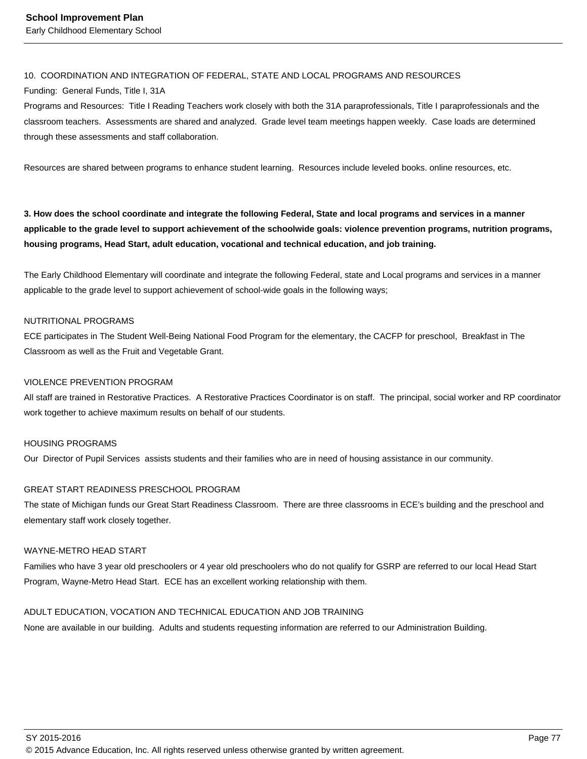### 10. COORDINATION AND INTEGRATION OF FEDERAL, STATE AND LOCAL PROGRAMS AND RESOURCES

### Funding: General Funds, Title I, 31A

Programs and Resources: Title I Reading Teachers work closely with both the 31A paraprofessionals, Title I paraprofessionals and the classroom teachers. Assessments are shared and analyzed. Grade level team meetings happen weekly. Case loads are determined through these assessments and staff collaboration.

Resources are shared between programs to enhance student learning. Resources include leveled books. online resources, etc.

**3. How does the school coordinate and integrate the following Federal, State and local programs and services in a manner applicable to the grade level to support achievement of the schoolwide goals: violence prevention programs, nutrition programs, housing programs, Head Start, adult education, vocational and technical education, and job training.** 

The Early Childhood Elementary will coordinate and integrate the following Federal, state and Local programs and services in a manner applicable to the grade level to support achievement of school-wide goals in the following ways;

### NUTRITIONAL PROGRAMS

ECE participates in The Student Well-Being National Food Program for the elementary, the CACFP for preschool, Breakfast in The Classroom as well as the Fruit and Vegetable Grant.

### VIOLENCE PREVENTION PROGRAM

All staff are trained in Restorative Practices. A Restorative Practices Coordinator is on staff. The principal, social worker and RP coordinator work together to achieve maximum results on behalf of our students.

### HOUSING PROGRAMS

Our Director of Pupil Services assists students and their families who are in need of housing assistance in our community.

### GREAT START READINESS PRESCHOOL PROGRAM

The state of Michigan funds our Great Start Readiness Classroom. There are three classrooms in ECE's building and the preschool and elementary staff work closely together.

### WAYNE-METRO HEAD START

Families who have 3 year old preschoolers or 4 year old preschoolers who do not qualify for GSRP are referred to our local Head Start Program, Wayne-Metro Head Start. ECE has an excellent working relationship with them.

### ADULT EDUCATION, VOCATION AND TECHNICAL EDUCATION AND JOB TRAINING

None are available in our building. Adults and students requesting information are referred to our Administration Building.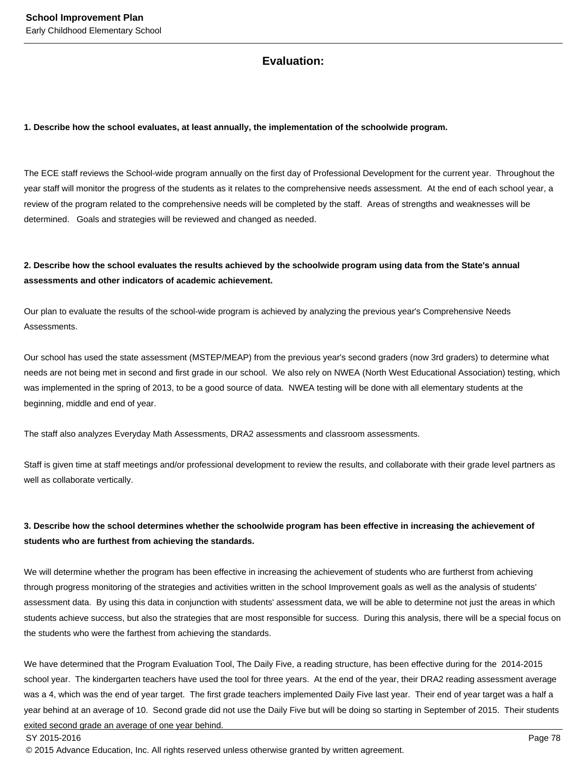### **Evaluation:**

### **1. Describe how the school evaluates, at least annually, the implementation of the schoolwide program.**

The ECE staff reviews the School-wide program annually on the first day of Professional Development for the current year. Throughout the year staff will monitor the progress of the students as it relates to the comprehensive needs assessment. At the end of each school year, a review of the program related to the comprehensive needs will be completed by the staff. Areas of strengths and weaknesses will be determined. Goals and strategies will be reviewed and changed as needed.

### **2. Describe how the school evaluates the results achieved by the schoolwide program using data from the State's annual assessments and other indicators of academic achievement.**

Our plan to evaluate the results of the school-wide program is achieved by analyzing the previous year's Comprehensive Needs Assessments.

Our school has used the state assessment (MSTEP/MEAP) from the previous year's second graders (now 3rd graders) to determine what needs are not being met in second and first grade in our school. We also rely on NWEA (North West Educational Association) testing, which was implemented in the spring of 2013, to be a good source of data. NWEA testing will be done with all elementary students at the beginning, middle and end of year.

The staff also analyzes Everyday Math Assessments, DRA2 assessments and classroom assessments.

Staff is given time at staff meetings and/or professional development to review the results, and collaborate with their grade level partners as well as collaborate vertically.

### **3. Describe how the school determines whether the schoolwide program has been effective in increasing the achievement of students who are furthest from achieving the standards.**

We will determine whether the program has been effective in increasing the achievement of students who are furtherst from achieving through progress monitoring of the strategies and activities written in the school Improvement goals as well as the analysis of students' assessment data. By using this data in conjunction with students' assessment data, we will be able to determine not just the areas in which students achieve success, but also the strategies that are most responsible for success. During this analysis, there will be a special focus on the students who were the farthest from achieving the standards.

We have determined that the Program Evaluation Tool, The Daily Five, a reading structure, has been effective during for the 2014-2015 school year. The kindergarten teachers have used the tool for three years. At the end of the year, their DRA2 reading assessment average was a 4, which was the end of year target. The first grade teachers implemented Daily Five last year. Their end of year target was a half a year behind at an average of 10. Second grade did not use the Daily Five but will be doing so starting in September of 2015. Their students exited second grade an average of one year behind.

### SY 2015-2016 Page 78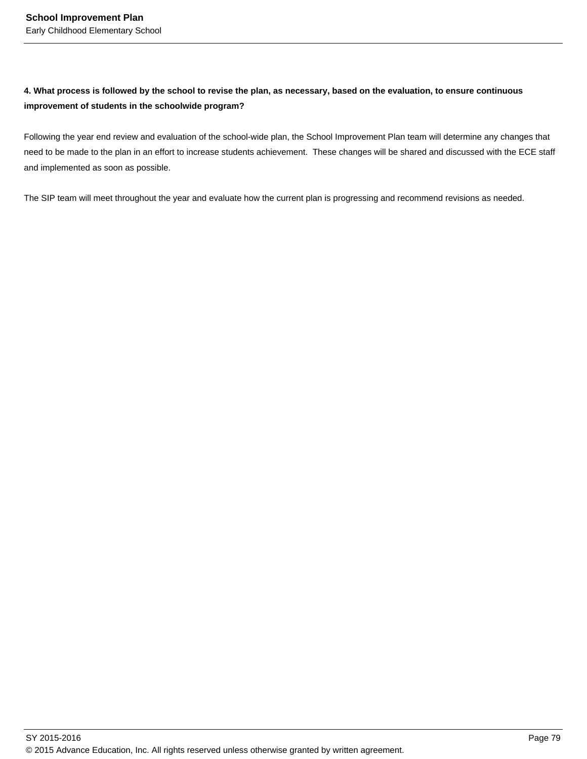### **4. What process is followed by the school to revise the plan, as necessary, based on the evaluation, to ensure continuous improvement of students in the schoolwide program?**

Following the year end review and evaluation of the school-wide plan, the School Improvement Plan team will determine any changes that need to be made to the plan in an effort to increase students achievement. These changes will be shared and discussed with the ECE staff and implemented as soon as possible.

The SIP team will meet throughout the year and evaluate how the current plan is progressing and recommend revisions as needed.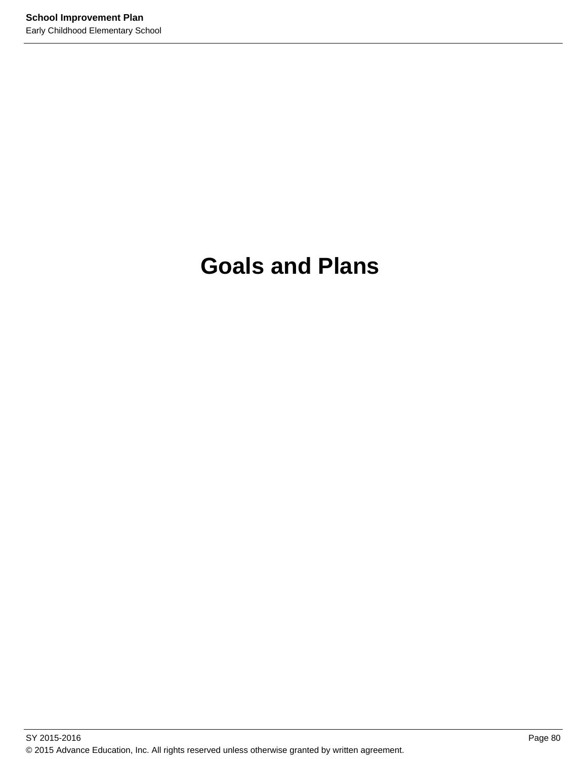# **Goals and Plans**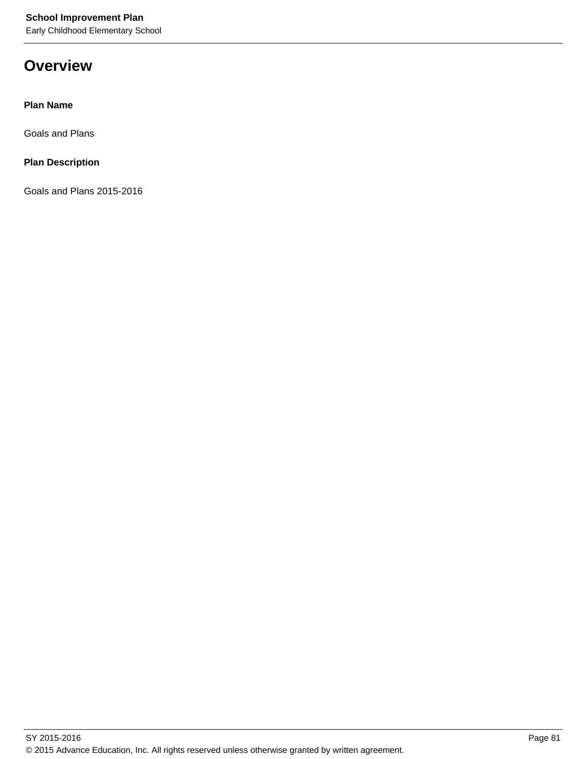## **Overview**

**Plan Name**

Goals and Plans

**Plan Description**

Goals and Plans 2015-2016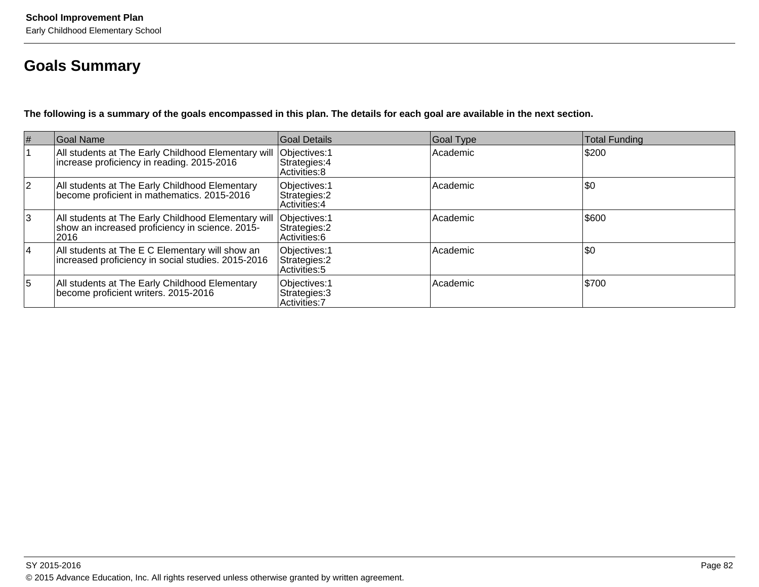## **Goals Summary**

**The following is a summary of the goals encompassed in this plan. The details for each goal are available in the next section.**

| #  | Goal Name                                                                                                                      | Goal Details                                    | Goal Type | <b>Total Funding</b> |
|----|--------------------------------------------------------------------------------------------------------------------------------|-------------------------------------------------|-----------|----------------------|
|    | All students at The Early Childhood Elementary will  Objectives: 1<br>increase proficiency in reading. 2015-2016               | Strategies: 4<br>Activities: 8                  | Academic  | S200                 |
| 12 | All students at The Early Childhood Elementary<br>become proficient in mathematics. 2015-2016                                  | Objectives: 1<br>Strategies: 2<br>Activities: 4 | Academic  | \$0                  |
| 3  | All students at The Early Childhood Elementary will  Objectives: 1<br>show an increased proficiency in science. 2015-<br> 2016 | Strategies: 2<br>Activities: 6                  | Academic  | 5600                 |
| 14 | All students at The E C Elementary will show an<br>increased proficiency in social studies. 2015-2016                          | Objectives: 1<br>Strategies: 2<br>Activities: 5 | Academic  | \$0                  |
| 5  | All students at The Early Childhood Elementary<br>become proficient writers. 2015-2016                                         | Objectives: 1<br>Strategies: 3<br>Activities: 7 | Academic  | \$700                |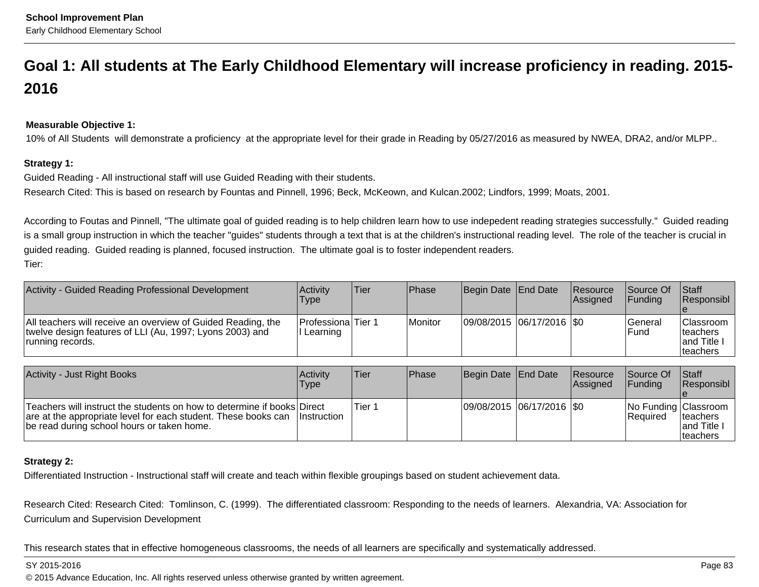## **Goal 1: All students at The Early Childhood Elementary will increase proficiency in reading. 2015-2016**

### **Measurable Objective 1:**

10% of All Students will demonstrate a proficiency at the appropriate level for their grade in Reading by 05/27/2016 as measured by NWEA, DRA2, and/or MLPP..

### **Strategy 1:**

Guided Reading - All instructional staff will use Guided Reading with their students.

Research Cited: This is based on research by Fountas and Pinnell, 1996; Beck, McKeown, and Kulcan.2002; Lindfors, 1999; Moats, 2001.

According to Foutas and Pinnell, "The ultimate goal of guided reading is to help children learn how to use indepedent reading strategies successfully." Guided readingis a small group instruction in which the teacher "guides" students through a text that is at the children's instructional reading level. The role of the teacher is crucial inguided reading. Guided reading is planned, focused instruction. The ultimate goal is to foster independent readers.Tier:

| Activity - Guided Reading Professional Development                                                                                           | <b>Activity</b><br>Type          | lTier | <b>Phase</b> | Begin Date End Date |                          | <b>Resource</b><br>Assigned | lSource Of<br><b>IFundina</b> | <b>Staff</b><br><b>Responsibl</b>                                      |
|----------------------------------------------------------------------------------------------------------------------------------------------|----------------------------------|-------|--------------|---------------------|--------------------------|-----------------------------|-------------------------------|------------------------------------------------------------------------|
| All teachers will receive an overview of Guided Reading, the<br>twelve design features of LLI (Au, 1997; Lyons 2003) and<br>running records. | Professiona Tier 1<br>I Learning |       | Monitor      |                     | 09/08/2015 06/17/2016 S0 |                             | l General<br>l Fund           | <b>Classroom</b><br><b>Iteachers</b><br>land Title<br><b>Iteachers</b> |

| Activity - Just Right Books                                                                                                                                                                         | <b>Activity</b><br>Type | <b>Tier</b> | <b>Phase</b> | Begin Date End Date |                          | Resource<br>Assigned | Source Of<br><b>IFunding</b>            | <b>Staff</b><br>Responsibl            |
|-----------------------------------------------------------------------------------------------------------------------------------------------------------------------------------------------------|-------------------------|-------------|--------------|---------------------|--------------------------|----------------------|-----------------------------------------|---------------------------------------|
| Teachers will instruct the students on how to determine if books Direct<br>are at the appropriate level for each student. These books can Instruction<br>be read during school hours or taken home. |                         | Tier 1      |              |                     | 09/08/2015 06/17/2016 S0 |                      | No Funding Classroom<br><b>Required</b> | teachers<br>land Title I<br> teachers |

### **Strategy 2:**

Differentiated Instruction - Instructional staff will create and teach within flexible groupings based on student achievement data.

Research Cited: Research Cited: Tomlinson, C. (1999). The differentiated classroom: Responding to the needs of learners. Alexandria, VA: Association forCurriculum and Supervision Development

This research states that in effective homogeneous classrooms, the needs of all learners are specifically and systematically addressed.

### SY 2015-2016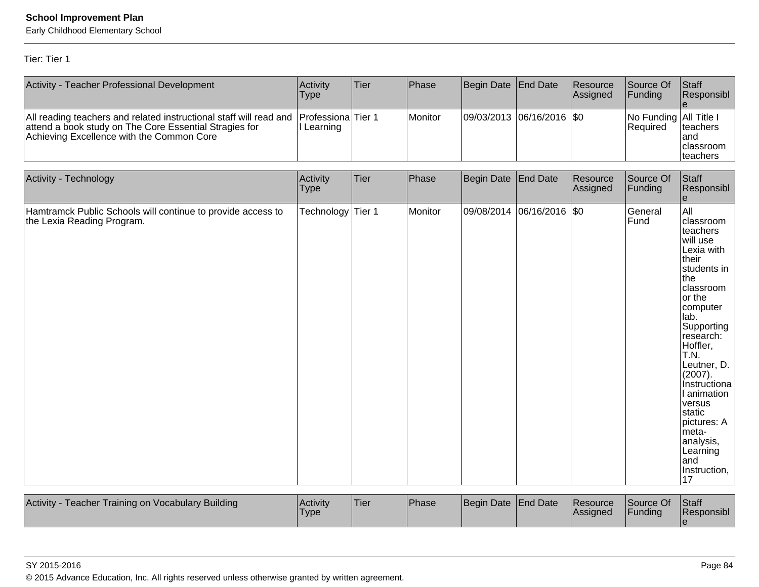Early Childhood Elementary School

Tier: Tier 1

| Activity - Teacher Professional Development                                                                                                                               | Activity<br><b>Type</b>   | Tier   | Phase   | Begin Date | <b>End Date</b>  | Resource<br>Assigned | Source Of<br>Funding               | Staff<br>Responsibl                                                                                                                                                                                                                                                                                                                         |
|---------------------------------------------------------------------------------------------------------------------------------------------------------------------------|---------------------------|--------|---------|------------|------------------|----------------------|------------------------------------|---------------------------------------------------------------------------------------------------------------------------------------------------------------------------------------------------------------------------------------------------------------------------------------------------------------------------------------------|
| All reading teachers and related instructional staff will read and<br>attend a book study on The Core Essential Stragies for<br>Achieving Excellence with the Common Core | Professiona<br>I Learning | Tier 1 | Monitor | 09/03/2013 | 06/16/2016       | \$0                  | No Funding All Title I<br>Required | teachers<br>land<br>classroom<br>teachers                                                                                                                                                                                                                                                                                                   |
| Activity - Technology                                                                                                                                                     | Activity<br><b>Type</b>   | Tier   | Phase   | Begin Date | <b>End Date</b>  | Resource<br>Assigned | Source Of<br>Funding               | Staff<br>Responsibl<br>e                                                                                                                                                                                                                                                                                                                    |
| Hamtramck Public Schools will continue to provide access to<br>the Lexia Reading Program.                                                                                 | Technology                | Tier 1 | Monitor | 09/08/2014 | 06/16/2016   \$0 |                      | General<br>Fund                    | All<br>classroom<br>teachers<br>will use<br>Lexia with<br>their<br>students in<br>lthe<br>classroom<br>or the<br>computer<br>lab.<br>Supporting<br>research:<br>Hoffler,<br>T.N.<br>Leutner, D.<br>(2007).<br>Instructiona<br>I animation<br>versus<br>static<br>pictures: A<br>meta-<br>analysis,<br>Learning<br>and<br>Instruction,<br>17 |
| Activity - Teacher Training on Vocabulary Building                                                                                                                        | Activity<br><b>Type</b>   | Tier   | Phase   | Begin Date | <b>End Date</b>  | Resource<br>Assigned | Source Of<br>Funding               | Staff<br>Responsibl<br>le.                                                                                                                                                                                                                                                                                                                  |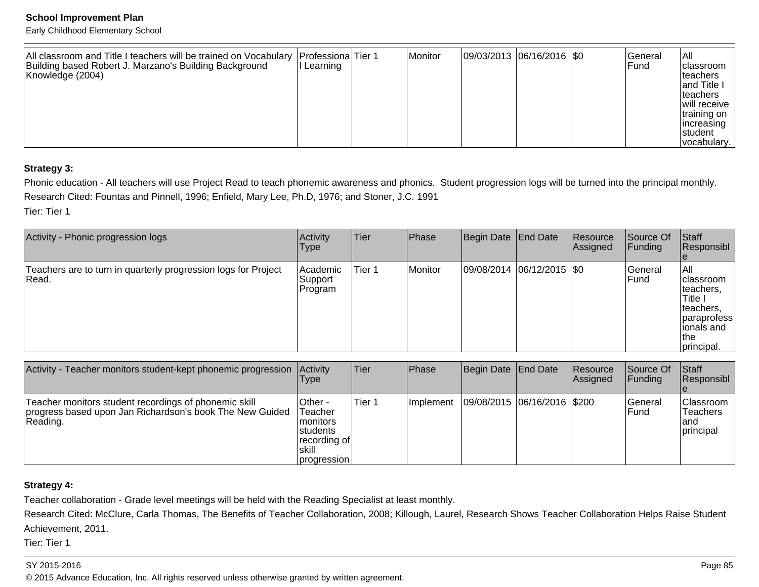Early Childhood Elementary School

| All classroom and Title I teachers will be trained on Vocabulary  Professiona Tier 1<br>Building based Robert J. Marzano's Building Background<br>II Learning<br>Knowledge (2004) |  | Monitor | 09/03/2013 06/16/2016   \$0 |  |  | lGeneral<br>l Fund | lail<br> classroom<br> teachers<br>and Title I<br><b>Iteachers</b><br>will receive<br> training on  <br>lincreasing<br>Istudent<br>vocabulary. |
|-----------------------------------------------------------------------------------------------------------------------------------------------------------------------------------|--|---------|-----------------------------|--|--|--------------------|------------------------------------------------------------------------------------------------------------------------------------------------|
|-----------------------------------------------------------------------------------------------------------------------------------------------------------------------------------|--|---------|-----------------------------|--|--|--------------------|------------------------------------------------------------------------------------------------------------------------------------------------|

### **Strategy 3:**

Phonic education - All teachers will use Project Read to teach phonemic awareness and phonics. Student progression logs will be turned into the principal monthly.Research Cited: Fountas and Pinnell, 1996; Enfield, Mary Lee, Ph.D, 1976; and Stoner, J.C. 1991

Tier: Tier 1

| Activity - Phonic progression logs                                       | <b>Activity</b><br><b>Type</b>  | <b>Tier</b>       | Phase   | Begin Date End Date |                               | Resource<br>Assigned | Source Of<br><b>Funding</b> | <b>Staff</b><br>Responsibl                                                                                             |
|--------------------------------------------------------------------------|---------------------------------|-------------------|---------|---------------------|-------------------------------|----------------------|-----------------------------|------------------------------------------------------------------------------------------------------------------------|
| Teachers are to turn in quarterly progression logs for Project<br> Read. | Academic<br> Support<br>Program | Tier <sub>1</sub> | Monitor |                     | $ 09/08/2014 06/12/2015 $ \$0 |                      | General<br><b>IFund</b>     | IAII<br><b>Iclassroom</b><br>Iteachers.<br>Title I<br>teachers.<br> paraprofess<br>lionals and<br>∣the i<br>principal. |

| Activity - Teacher monitors student-kept phonemic progression                                                                 | <b>Activity</b><br>Type                                                                 | Tier   | Phase             | Begin Date   End Date       | Resource<br><b>Assigned</b> | Source Of<br><b>Funding</b> | <b>Staff</b><br>Responsibl                        |
|-------------------------------------------------------------------------------------------------------------------------------|-----------------------------------------------------------------------------------------|--------|-------------------|-----------------------------|-----------------------------|-----------------------------|---------------------------------------------------|
| Teacher monitors student recordings of phonemic skill<br>progress based upon Jan Richardson's book The New Guided<br>Reading. | lOther -<br>Teacher<br>Imonitors<br>Istudents<br>∣recording of<br>Iskill<br>progression | Tier 1 | <b>Ilmplement</b> | 09/08/2015 06/16/2016 \$200 |                             | lGeneral<br>lFund           | Classroom<br><b>Teachers</b><br>land<br>principal |

### **Strategy 4:**

Teacher collaboration - Grade level meetings will be held with the Reading Specialist at least monthly.

Research Cited: McClure, Carla Thomas, The Benefits of Teacher Collaboration, 2008; Killough, Laurel, Research Shows Teacher Collaboration Helps Raise StudentAchievement, 2011.

Tier: Tier 1

### SY 2015-2016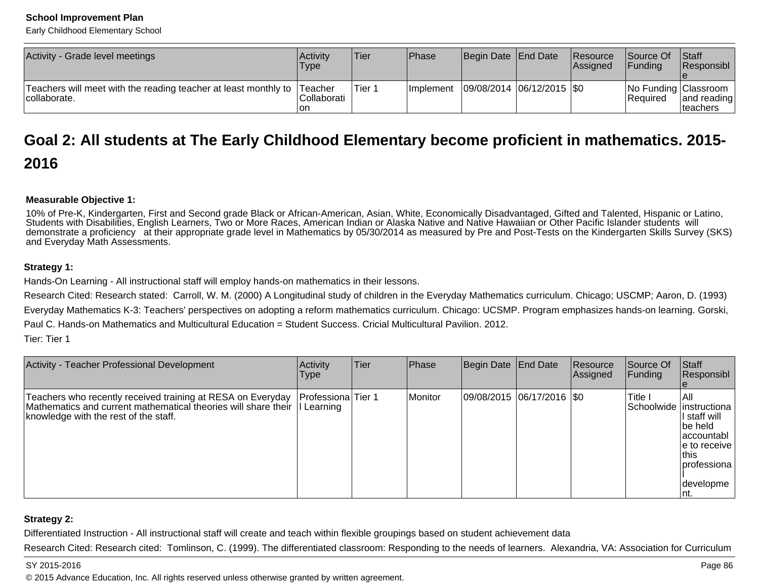Early Childhood Elementary School

| Activity - Grade level meetings                                                         | Activity<br>'Type   | Tier   | Phase      | Begin Date End Date         | Resource<br> Assigned | Source Of<br><b>IFundina</b> | Staff<br>Responsibl                                |
|-----------------------------------------------------------------------------------------|---------------------|--------|------------|-----------------------------|-----------------------|------------------------------|----------------------------------------------------|
| Teachers will meet with the reading teacher at least monthly to Teacher<br>collaborate. | lCollaborati<br>Ion | Tier 1 | Ilmplement | 09/08/2014  06/12/2015  \$0 |                       | IReauired                    | No Funding Classroom  <br>and reading<br>Iteachers |

## **Goal 2: All students at The Early Childhood Elementary become proficient in mathematics. 2015-2016**

### **Measurable Objective 1:**

10% of Pre-K, Kindergarten, First and Second grade Black or African-American, Asian, White, Economically Disadvantaged, Gifted and Talented, Hispanic or Latino,Students with Disabilities, English Learners, Two or More Races, American Indian or Alaska Native and Native Hawaiian or Other Pacific Islander students will demonstrate a proficiency at their appropriate grade level in Mathematics by 05/30/2014 as measured by Pre and Post-Tests on the Kindergarten Skills Survey (SKS)and Everyday Math Assessments.

### **Strategy 1:**

Hands-On Learning - All instructional staff will employ hands-on mathematics in their lessons.

Research Cited: Research stated: Carroll, W. M. (2000) A Longitudinal study of children in the Everyday Mathematics curriculum. Chicago; USCMP; Aaron, D. (1993)Everyday Mathematics K-3: Teachers' perspectives on adopting a reform mathematics curriculum. Chicago: UCSMP. Program emphasizes hands-on learning. Gorski,Paul C. Hands-on Mathematics and Multicultural Education = Student Success. Cricial Multicultural Pavilion. 2012.

Tier: Tier 1

| Activity - Teacher Professional Development                                                                                                                                       | <b>Activity</b><br><b>Type</b> | Tier | Phase   | Begin Date End Date         | Resource<br>Assigned | Source Of<br><b>Funding</b> | Staff<br>Responsibl                                                                                                                                   |
|-----------------------------------------------------------------------------------------------------------------------------------------------------------------------------------|--------------------------------|------|---------|-----------------------------|----------------------|-----------------------------|-------------------------------------------------------------------------------------------------------------------------------------------------------|
| Teachers who recently received training at RESA on Everyday<br>Mathematics and current mathematical theories will share their I Learning<br>knowledge with the rest of the staff. | Professiona Tier 1             |      | Monitor | 09/08/2015 06/17/2016   \$0 |                      | Title I                     | IAII.<br>Schoolwide  instructiona<br>I staff will<br>lbe held<br>laccountabl<br>le to receive l<br> this<br>Iprofessiona<br><b>Idevelopme</b><br>Int. |

### **Strategy 2:**

Differentiated Instruction - All instructional staff will create and teach within flexible groupings based on student achievement data

Research Cited: Research cited: Tomlinson, C. (1999). The differentiated classroom: Responding to the needs of learners. Alexandria, VA: Association for Curriculum

### SY 2015-2016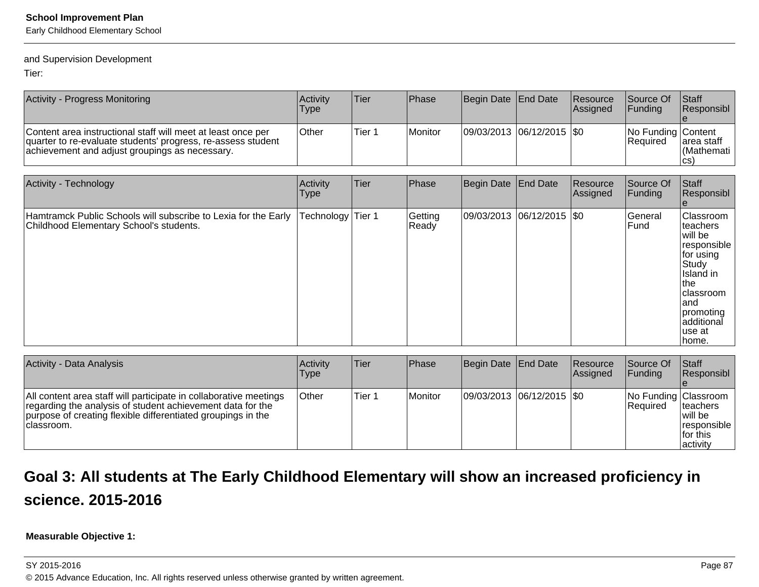Early Childhood Elementary School

### and Supervision Development

Tier:

| <b>Activity - Progress Monitoring</b>                                                                                                                                          | Activity<br>Type | <sup>1</sup> Tier | <b>Phase</b>           | Begin Date   End Date         | Resource<br>Assigned | Source Of<br><b>IFunding</b>          | <b>Staff</b><br>Responsibl         |
|--------------------------------------------------------------------------------------------------------------------------------------------------------------------------------|------------------|-------------------|------------------------|-------------------------------|----------------------|---------------------------------------|------------------------------------|
| Content area instructional staff will meet at least once per<br>quarter to re-evaluate students' progress, re-assess student<br>achievement and adjust groupings as necessary. | <b>Other</b>     | Tier 1            | <i><b>IMonitor</b></i> | $ 09/03/2013 06/12/2015 $ \$0 |                      | No Funding Content<br><b>Required</b> | area staff<br>l (Mathemati<br>ICS) |

| Activity - Technology                                                                                     | Activity<br> Type | Tier | Phase            | Begin Date End Date           | Resource<br>Assigned | Source Of<br>Funding | Staff<br>Responsibl                                                                                                                                                        |
|-----------------------------------------------------------------------------------------------------------|-------------------|------|------------------|-------------------------------|----------------------|----------------------|----------------------------------------------------------------------------------------------------------------------------------------------------------------------------|
| Hamtramck Public Schools will subscribe to Lexia for the Early<br>Childhood Elementary School's students. | Technology Tier 1 |      | Getting<br>Ready | $ 09/03/2013 06/12/2015 $ \$0 |                      | General<br>lFund     | <b>Classroom</b><br>Iteachers<br>will be<br>responsible<br>for using<br>Study<br>IIsland in<br>Ithe<br> classroom<br>land<br> promoting<br>additional<br>luse at<br>∣home. |

| <b>Activity - Data Analysis</b>                                                                                                                                                                               | Activity<br>Type | <b>Tier</b> | Phase   | Begin Date   End Date     | Resource<br>Assigned | Source Of<br>IFundina                   | <b>Staff</b><br><b>Responsibl</b>                             |
|---------------------------------------------------------------------------------------------------------------------------------------------------------------------------------------------------------------|------------------|-------------|---------|---------------------------|----------------------|-----------------------------------------|---------------------------------------------------------------|
| All content area staff will participate in collaborative meetings<br>regarding the analysis of student achievement data for the<br>purpose of creating flexible differentiated groupings in the<br>classroom. | <b>Other</b>     | Tier 1      | Monitor | 09/03/2013 06/12/2015 \$0 |                      | No Funding Classroom<br><b>Required</b> | Iteachers<br>Iwill be<br>responsible<br>lfor this<br>activity |

## **Goal 3: All students at The Early Childhood Elementary will show an increased proficiency inscience. 2015-2016**

**Measurable Objective 1:**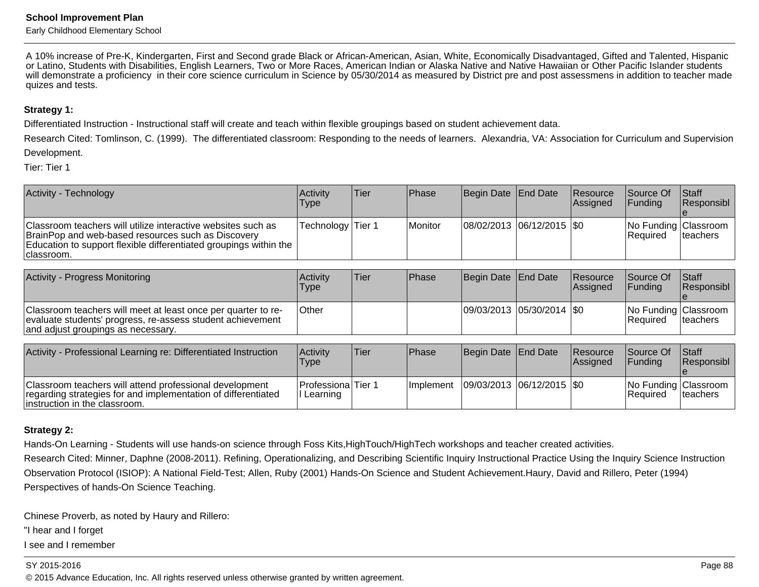Early Childhood Elementary School

A 10% increase of Pre-K, Kindergarten, First and Second grade Black or African-American, Asian, White, Economically Disadvantaged, Gifted and Talented, Hispanic or Latino, Students with Disabilities, English Learners, Two or More Races, American Indian or Alaska Native and Native Hawaiian or Other Pacific Islander students will demonstrate a proficiency in their core science curriculum in Science by 05/30/2014 as measured by District pre and post assessmens in addition to teacher madequizes and tests.

### **Strategy 1:**

Differentiated Instruction - Instructional staff will create and teach within flexible groupings based on student achievement data.

Research Cited: Tomlinson, C. (1999). The differentiated classroom: Responding to the needs of learners. Alexandria, VA: Association for Curriculum and SupervisionDevelopment.

Tier: Tier 1

| <b>Activity - Technology</b>                                                                                                                                                                           | Activitv<br>Type  | Tier | l Phase | Begin Date End Date        | <b>Resource</b><br>Assigned | <b>Source Of</b><br>IFundina       | <b>Staff</b><br>Responsibl |
|--------------------------------------------------------------------------------------------------------------------------------------------------------------------------------------------------------|-------------------|------|---------|----------------------------|-----------------------------|------------------------------------|----------------------------|
| Classroom teachers will utilize interactive websites such as<br>BrainPop and web-based resources such as Discovery<br>Education to support flexible differentiated groupings within the<br>Iclassroom. | Technology Tier 1 |      | Monitor | 08/02/2013 06/12/2015 \\$0 |                             | No Funding Classroom<br>l Reauired | Iteachers                  |

| Activity - Progress Monitoring                                                                                                                                    | <b>Activity</b><br>Type | 'Tier | <b>IPhase</b> | Begin Date End Date           | Resource<br><b>Assigned</b> | <b>Source Of</b><br><b>IFundina</b>     | Staff<br><b>Responsibl</b> |
|-------------------------------------------------------------------------------------------------------------------------------------------------------------------|-------------------------|-------|---------------|-------------------------------|-----------------------------|-----------------------------------------|----------------------------|
| Classroom teachers will meet at least once per quarter to re-<br>evaluate students' progress, re-assess student achievement<br>and adjust groupings as necessary. | <b>Other</b>            |       |               | $ 09/03/2013 05/30/2014 $ \$0 |                             | No Funding Classroom<br><b>Required</b> | Iteachers                  |

| Activity - Professional Learning re: Differentiated Instruction                                                                                            | Activity<br><b>Type</b>           | 'Tier∃ | Phase      | Begin Date End Date           | Resource<br>Assigned | <b>Source Of</b><br><b>Funding</b>       | <b>Staff</b><br><b>Responsibl</b> |
|------------------------------------------------------------------------------------------------------------------------------------------------------------|-----------------------------------|--------|------------|-------------------------------|----------------------|------------------------------------------|-----------------------------------|
| Classroom teachers will attend professional development<br>regarding strategies for and implementation of differentiated<br>linstruction in the classroom. | Professiona Tier 1<br>II Learning |        | Ilmplement | $ 09/03/2013 06/12/2015 $ \$0 |                      | No Funding Classroom<br><b>IRequired</b> | Iteachers                         |

### **Strategy 2:**

Hands-On Learning - Students will use hands-on science through Foss Kits,HighTouch/HighTech workshops and teacher created activities.

Research Cited: Minner, Daphne (2008-2011). Refining, Operationalizing, and Describing Scientific Inquiry Instructional Practice Using the Inquiry Science InstructionObservation Protocol (ISIOP): A National Field-Test; Allen, Ruby (2001) Hands-On Science and Student Achievement.Haury, David and Rillero, Peter (1994)Perspectives of hands-On Science Teaching.

Chinese Proverb, as noted by Haury and Rillero:

"I hear and I forget

I see and I remember

SY 2015-2016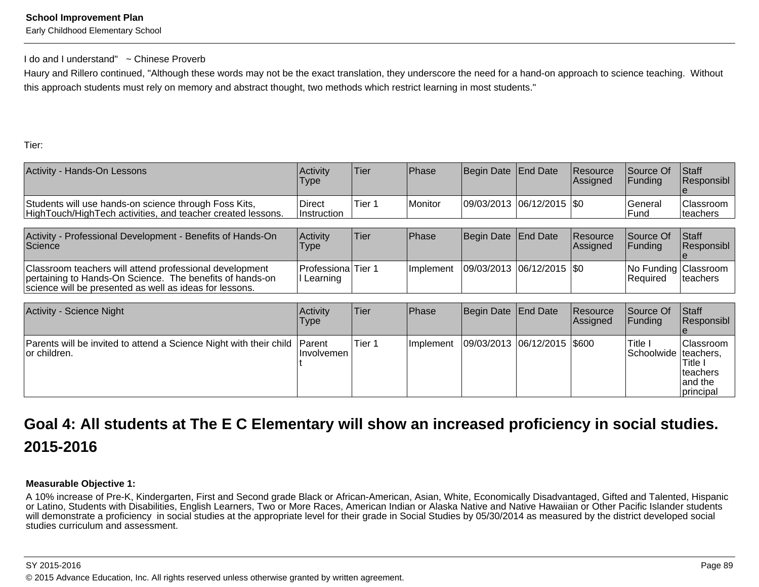Early Childhood Elementary School

### I do and I understand" ~ Chinese Proverb

Haury and Rillero continued, "Although these words may not be the exact translation, they underscore the need for a hand-on approach to science teaching. Withoutthis approach students must rely on memory and abstract thought, two methods which restrict learning in most students."

Tier:

| Activity - Hands-On Lessons                                                                                          | Activity<br>Type             | Tier   | <b>Phase</b> | Begin Date End Date           | <b>Resource</b><br>Assigned | <b>Source Of</b><br><b>IFundina</b> | <b>Staff</b><br>Responsibl           |
|----------------------------------------------------------------------------------------------------------------------|------------------------------|--------|--------------|-------------------------------|-----------------------------|-------------------------------------|--------------------------------------|
| Students will use hands-on science through Foss Kits,<br>HighTouch/HighTech activities, and teacher created lessons. | Direct<br><b>Instruction</b> | Tier 1 | Monitor      | $ 09/03/2013 06/12/2015 $ \$0 |                             | lGeneral<br>l Fund                  | <b>Classroom</b><br><b>Iteachers</b> |

| Activity - Professional Development - Benefits of Hands-On<br>Science                                                                                                          | Activity<br><b>Type</b>          | Tier | Phase | Begin Date End Date                       | <b>Resource</b><br><b>Assigned</b> | <b>Source Of</b><br><b>IFundina</b>          | <b>Staff</b><br><b>Responsibl</b> |
|--------------------------------------------------------------------------------------------------------------------------------------------------------------------------------|----------------------------------|------|-------|-------------------------------------------|------------------------------------|----------------------------------------------|-----------------------------------|
| Classroom teachers will attend professional development<br>pertaining to Hands-On Science. The benefits of hands-on<br>science will be presented as well as ideas for lessons. | Professiona Tier 1<br>I Learning |      |       | Implement   09/03/2013   06/12/2015   \$0 |                                    | No Funding   Classroom  <br><b>IRequired</b> | Iteachers                         |

| Activity - Science Night                                                                   | <b>Activity</b><br>Type | Tier   | <b>IPhase</b> | Begin Date End Date             | Resource<br>Assigned | Source Of<br><b>IFunding</b>      | Staff<br>Responsibl                                          |
|--------------------------------------------------------------------------------------------|-------------------------|--------|---------------|---------------------------------|----------------------|-----------------------------------|--------------------------------------------------------------|
| Parents will be invited to attend a Science Night with their child Parent<br>lor children. | <b>Involvemen</b>       | Tier 1 | Ilmplement    | $ 09/03/2013 06/12/2015 $ \$600 |                      | Title I<br>Schoolwide   teachers, | IClassroom<br>'Title I<br>Iteachers<br>land the<br>principal |

## **Goal 4: All students at The E C Elementary will show an increased proficiency in social studies.2015-2016**

### **Measurable Objective 1:**

A 10% increase of Pre-K, Kindergarten, First and Second grade Black or African-American, Asian, White, Economically Disadvantaged, Gifted and Talented, Hispanic or Latino, Students with Disabilities, English Learners, Two or More Races, American Indian or Alaska Native and Native Hawaiian or Other Pacific Islander studentswill demonstrate a proficiency in social studies at the appropriate level for their grade in Social Studies by 05/30/2014 as measured by the district developed social studies curriculum and assessment.

### SY 2015-2016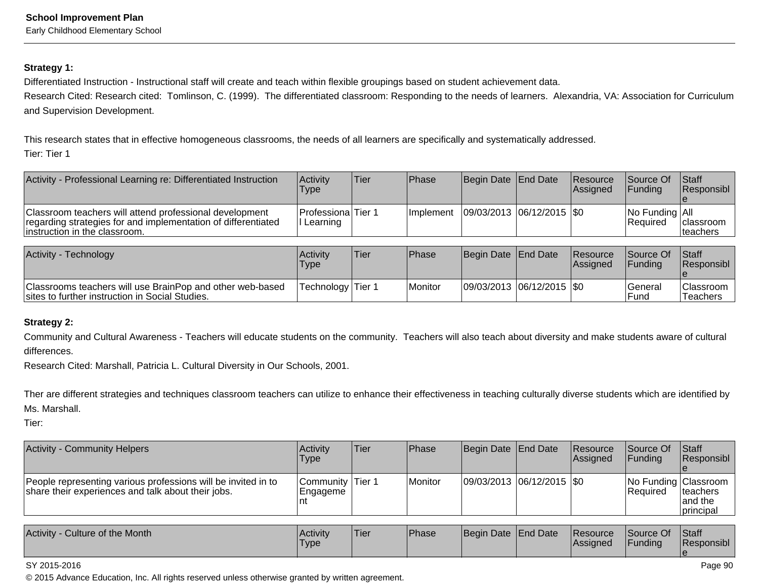### **Strategy 1:**

Differentiated Instruction - Instructional staff will create and teach within flexible groupings based on student achievement data.

Research Cited: Research cited: Tomlinson, C. (1999). The differentiated classroom: Responding to the needs of learners. Alexandria, VA: Association for Curriculumand Supervision Development.

This research states that in effective homogeneous classrooms, the needs of all learners are specifically and systematically addressed.Tier: Tier 1

| Activity - Professional Learning re: Differentiated Instruction                                                                                            | Activity<br><b>Type</b>           | <b>Tier</b> | Phase            | Begin Date End Date         | Resource<br><b>Assigned</b> | <b>Source Of</b><br><b>IFundina</b>      | <b>Staff</b><br><b>Responsibl</b> |
|------------------------------------------------------------------------------------------------------------------------------------------------------------|-----------------------------------|-------------|------------------|-----------------------------|-----------------------------|------------------------------------------|-----------------------------------|
| Classroom teachers will attend professional development<br>regarding strategies for and implementation of differentiated<br>linstruction in the classroom. | Professiona Tier 1<br>II Learning |             | <b>Implement</b> | 09/03/2013  06/12/2015  \$0 |                             | $ No$ Funding $ All$<br><b>IRequired</b> | Iclassroom<br><b>Iteachers</b>    |

| Activity - Technology                                                                                        | Activity<br>'Type | <b>Tier</b> | <b>Phase</b> | Begin Date End Date |                             | <b>Resource</b><br>Assigned | <b>Source Of</b><br><b>IFundina</b> | <b>Staff</b><br><b>Responsibl</b> |
|--------------------------------------------------------------------------------------------------------------|-------------------|-------------|--------------|---------------------|-----------------------------|-----------------------------|-------------------------------------|-----------------------------------|
| Classrooms teachers will use BrainPop and other web-based<br>sites to further instruction in Social Studies. | Technology Tier 1 |             | Monitor      |                     | 09/03/2013 06/12/2015   \$0 |                             | lGeneral<br>lFund                   | <b>Classroom</b><br>Teachers      |

### **Strategy 2:**

Community and Cultural Awareness - Teachers will educate students on the community. Teachers will also teach about diversity and make students aware of culturaldifferences.

Research Cited: Marshall, Patricia L. Cultural Diversity in Our Schools, 2001.

Ther are different strategies and techniques classroom teachers can utilize to enhance their effectiveness in teaching culturally diverse students which are identified byMs. Marshall.

Tier:

| Activity - Community Helpers                                                                                        | Activity<br>Type                      | Tier | Phase   | Begin Date End Date        | <b>Resource</b><br><b>Assigned</b> | <b>Source Of</b><br><b>IFundina</b>     | <b>Staff</b><br>Responsibl                |
|---------------------------------------------------------------------------------------------------------------------|---------------------------------------|------|---------|----------------------------|------------------------------------|-----------------------------------------|-------------------------------------------|
| People representing various professions will be invited in to<br>share their experiences and talk about their jobs. | Community Tier 1<br> Engageme<br>l nt |      | Monitor | 09/03/2013 06/12/2015 \\$0 |                                    | No Funding Classroom<br><b>Required</b> | Iteachers<br>land the<br><b>principal</b> |

| Activity<br>Culture of the Month | <b>Activity</b><br>Type | <sup>1</sup> Tier | Phase | Begin Date End Date |  | <b>Resource</b><br>Assigned | Source Of<br>Funding | Staff<br>Responsibl |
|----------------------------------|-------------------------|-------------------|-------|---------------------|--|-----------------------------|----------------------|---------------------|
|----------------------------------|-------------------------|-------------------|-------|---------------------|--|-----------------------------|----------------------|---------------------|

### SY 2015-2016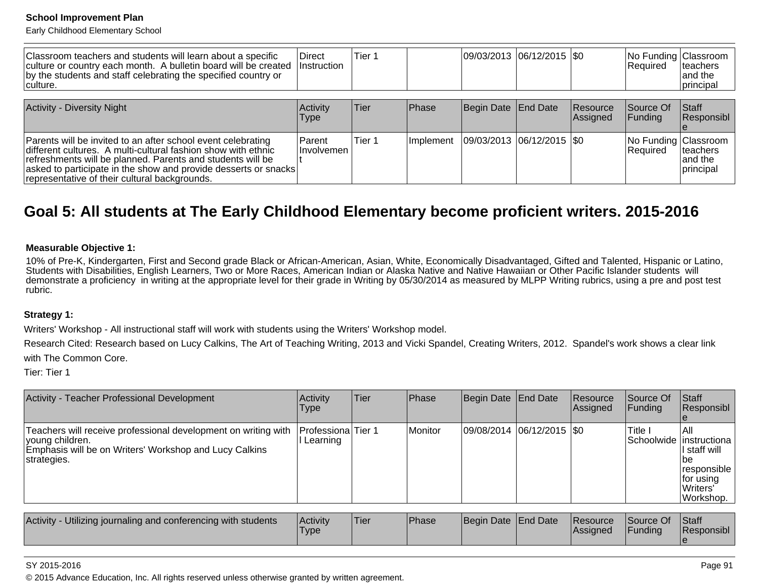Early Childhood Elementary School

| Classroom teachers and students will learn about a specific<br>culture or country each month. A bulletin board will be created<br>by the students and staff celebrating the specified country or<br>⊺culture.                                                                                                   | Direct<br>Instruction        | Tier 1 |            | 09/03/2013  06/12/2015  \$0   |                             | No Funding Classroom<br>Required | <b>Iteachers</b><br>land the<br>principal |
|-----------------------------------------------------------------------------------------------------------------------------------------------------------------------------------------------------------------------------------------------------------------------------------------------------------------|------------------------------|--------|------------|-------------------------------|-----------------------------|----------------------------------|-------------------------------------------|
| <b>Activity - Diversity Night</b>                                                                                                                                                                                                                                                                               | Activity<br>Type             | Tier   | Phase      | Begin Date End Date           | <b>Resource</b><br>Assigned | Source Of<br><b>IFundina</b>     | <b>Staff</b><br>Responsibl                |
| Parents will be invited to an after school event celebrating<br>different cultures. A multi-cultural fashion show with ethnic<br>refreshments will be planned. Parents and students will be<br>asked to participate in the show and provide desserts or snacks<br>representative of their cultural backgrounds. | <b>Parent</b><br>Ilnvolvemen | Tier 1 | Ilmplement | $ 09/03/2013 06/12/2015 $ \$0 |                             | No Funding Classroom<br>Required | <b>Iteachers</b><br>land the<br>principal |

## **Goal 5: All students at The Early Childhood Elementary become proficient writers. 2015-2016**

### **Measurable Objective 1:**

10% of Pre-K, Kindergarten, First and Second grade Black or African-American, Asian, White, Economically Disadvantaged, Gifted and Talented, Hispanic or Latino,Students with Disabilities, English Learners, Two or More Races, American Indian or Alaska Native and Native Hawaiian or Other Pacific Islander students will demonstrate a proficiency in writing at the appropriate level for their grade in Writing by 05/30/2014 as measured by MLPP Writing rubrics, using a pre and post testrubric.

### **Strategy 1:**

Writers' Workshop - All instructional staff will work with students using the Writers' Workshop model.

Research Cited: Research based on Lucy Calkins, The Art of Teaching Writing, 2013 and Vicki Spandel, Creating Writers, 2012. Spandel's work shows a clear linkwith The Common Core.

Tier: Tier 1

| Activity - Teacher Professional Development                                                                                                                                   | Activity<br><b>Type</b> | lTier. | Phase   | Begin Date End Date           | Resource<br> Assigned | Source Of<br> Funding                | <b>Staff</b><br><b>Responsibl</b>                                                  |
|-------------------------------------------------------------------------------------------------------------------------------------------------------------------------------|-------------------------|--------|---------|-------------------------------|-----------------------|--------------------------------------|------------------------------------------------------------------------------------|
| Teachers will receive professional development on writing with Professiona Tier 1<br>voung children.<br>Emphasis will be on Writers' Workshop and Lucy Calkins<br>strategies. | Learning                |        | Monitor | $ 09/08/2014 06/12/2015 $ \$0 |                       | Title I<br>Schoolwide   instructiona | IAII<br>l staff will<br>lbe<br>responsible<br>∣for using<br>lWriters'<br>Workshop. |

| Utilizing journaling and conferencing with students<br>Activity<br>Activity<br><b>Type</b> |  | 'Tier | <b>IPhase</b> | Begin Date End Date |  | <b>Resource</b><br><b>Assigned</b> | $\sim$<br><b>Source Of</b><br>Funding | <b>Staff</b><br>Responsibl |
|--------------------------------------------------------------------------------------------|--|-------|---------------|---------------------|--|------------------------------------|---------------------------------------|----------------------------|
|--------------------------------------------------------------------------------------------|--|-------|---------------|---------------------|--|------------------------------------|---------------------------------------|----------------------------|

### SY 2015-2016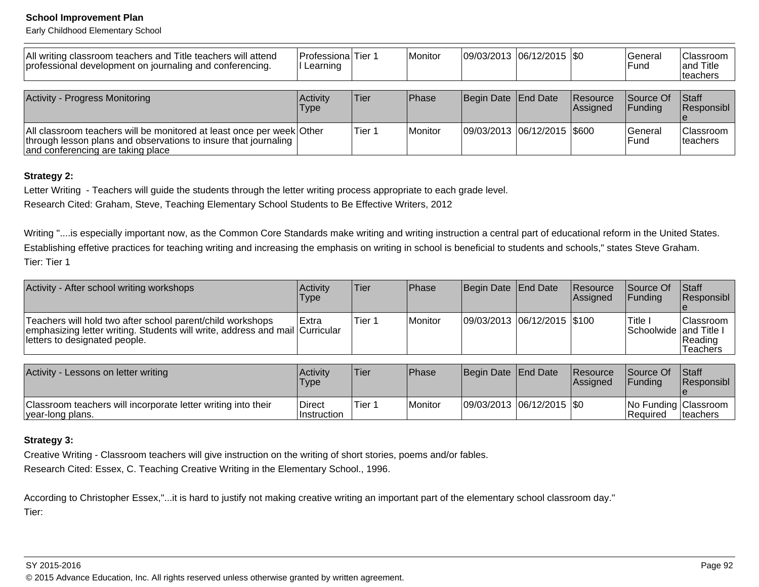Early Childhood Elementary School

| All writing classroom teachers and Title teachers will attend<br>professional development on journaling and conferencing.                                                     | <b>Professiona</b> Tier 1<br>I Learning |        | <b>Monitor</b> | $ 09/03/2013 06/12/2015 $ \$0 |                             | l General<br>lFund.          | <b>Classroom</b><br>and Title<br> teachers |
|-------------------------------------------------------------------------------------------------------------------------------------------------------------------------------|-----------------------------------------|--------|----------------|-------------------------------|-----------------------------|------------------------------|--------------------------------------------|
| <b>Activity - Progress Monitoring</b>                                                                                                                                         | Activity<br>Type                        | lTier  | Phase          | Begin Date End Date           | <b>Resource</b><br>Assigned | Source Of<br><b>IFundina</b> | <b>Staff</b><br><b>Responsibl</b>          |
| All classroom teachers will be monitored at least once per week Other<br>through lesson plans and observations to insure that journaling<br>and conferencing are taking place |                                         | Tier 1 | <b>Monitor</b> | 09/03/2013 06/12/2015 \$600   |                             | lGeneral<br>lFund            | <b>Classroom</b><br>Iteachers              |

### **Strategy 2:**

Letter Writing - Teachers will guide the students through the letter writing process appropriate to each grade level.

Research Cited: Graham, Steve, Teaching Elementary School Students to Be Effective Writers, 2012

Writing "....is especially important now, as the Common Core Standards make writing and writing instruction a central part of educational reform in the United States. Establishing effetive practices for teaching writing and increasing the emphasis on writing in school is beneficial to students and schools," states Steve Graham.Tier: Tier 1

| Activity - After school writing workshops                                                                                                                                   | <b>Activity</b><br>Type | <b>Tier</b> | <b>Phase</b> | Begin Date End Date             | <b>Resource</b><br><b>Assigned</b> | <b>Source Of</b><br>IFundina                | <b>IStaff</b><br><b>Responsibl</b>             |
|-----------------------------------------------------------------------------------------------------------------------------------------------------------------------------|-------------------------|-------------|--------------|---------------------------------|------------------------------------|---------------------------------------------|------------------------------------------------|
| Teachers will hold two after school parent/child workshops<br>emphasizing letter writing. Students will write, address and mail Curricular<br>letters to designated people. | l Extra                 | Tier 1      | Monitor      | $ 09/03/2013 06/12/2015 $ \$100 |                                    | 'Title I<br><b>ISchoolwide land Title I</b> | <b>Classroom</b><br>Reading<br><b>Teachers</b> |

| Activity - Lessons on letter writing                                              | Activity<br><b>Type</b> | <sup>I</sup> Tier | <b>Phase</b> | Begin Date End Date |                               | <b>Resource</b><br><b>IAssianed</b> | Source Of<br><b>IFundina</b>     | <b>Staff</b><br><b>Responsibl</b> |
|-----------------------------------------------------------------------------------|-------------------------|-------------------|--------------|---------------------|-------------------------------|-------------------------------------|----------------------------------|-----------------------------------|
| Classroom teachers will incorporate letter writing into their<br>year-long plans. | Direct<br>∣Instruction  | Tier 1            | Monitor      |                     | $ 09/03/2013 06/12/2015 $ \$0 |                                     | No Funding Classroom<br>Reauired | teachers                          |

### **Strategy 3:**

Creative Writing - Classroom teachers will give instruction on the writing of short stories, poems and/or fables.

Research Cited: Essex, C. Teaching Creative Writing in the Elementary School., 1996.

According to Christopher Essex,"...it is hard to justify not making creative writing an important part of the elementary school classroom day."Tier:

### SY 2015-2016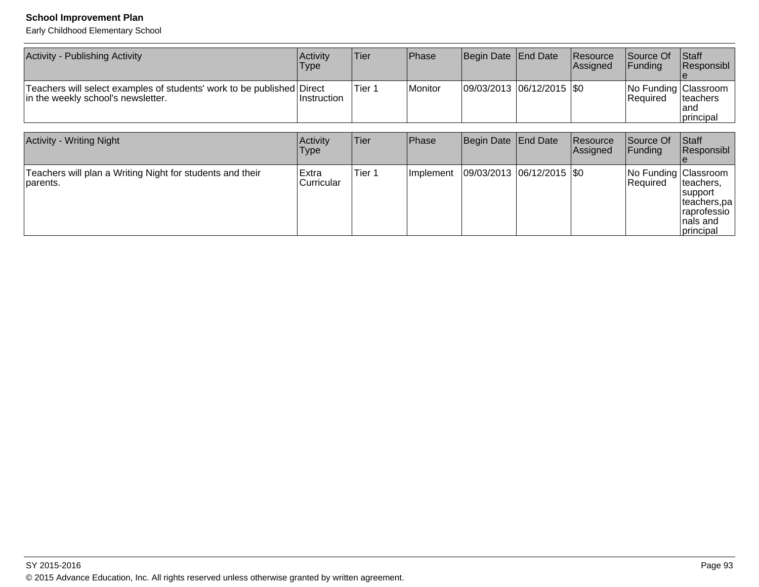Early Childhood Elementary School

| <b>Activity - Publishing Activity</b>                                                                        | Activity<br>Type     | Tier              | Phase     | Begin Date End Date        | Resource<br>Assigned | Source Of<br>Funding             | Staff<br>Responsibl                                                          |
|--------------------------------------------------------------------------------------------------------------|----------------------|-------------------|-----------|----------------------------|----------------------|----------------------------------|------------------------------------------------------------------------------|
| Teachers will select examples of students' work to be published Direct<br>in the weekly school's newsletter. | Instruction          | Tier <sub>1</sub> | Monitor   | 09/03/2013 06/12/2015  \$0 |                      | No Funding Classroom<br>Required | teachers<br>and<br>principal                                                 |
|                                                                                                              |                      |                   |           |                            |                      |                                  |                                                                              |
| <b>Activity - Writing Night</b>                                                                              | Activity<br> Type    | Tier              | Phase     | Begin Date End Date        | Resource<br>Assigned | Source Of<br>Funding             | Staff<br>Responsibl                                                          |
| Teachers will plan a Writing Night for students and their<br>parents.                                        | Extra<br>lCurricular | Tier <sub>1</sub> | Implement | 09/03/2013 06/12/2015 \\$0 |                      | No Funding Classroom<br>Required | teachers,<br>support<br>teachers,pa<br>raprofessio<br>nals and<br> principal |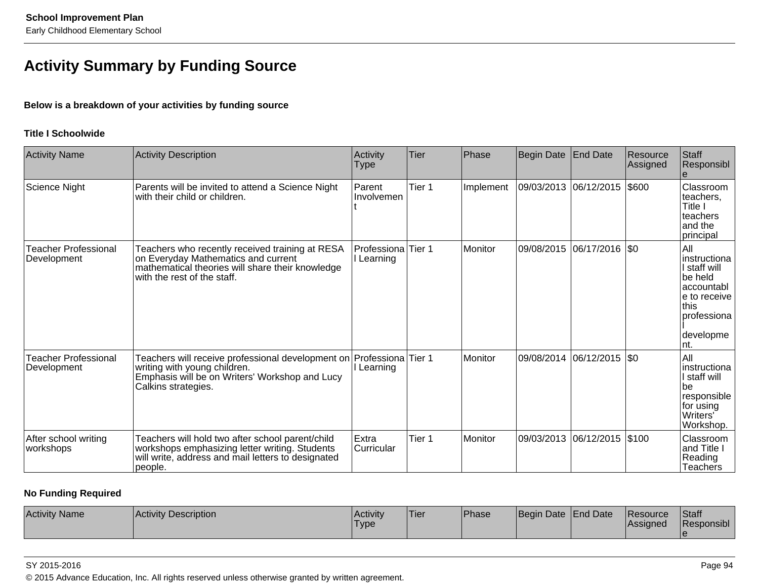## **Activity Summary by Funding Source**

### **Below is a breakdown of your activities by funding source**

### **Title I Schoolwide**

| <b>Activity Name</b>                       | <b>Activity Description</b>                                                                                                                                               | Activity<br>Type                 | <b>Tier</b> | Phase     | Begin Date   End Date |                    | Resource<br>Assigned | Staff<br>Responsibl                                                                                                         |
|--------------------------------------------|---------------------------------------------------------------------------------------------------------------------------------------------------------------------------|----------------------------------|-------------|-----------|-----------------------|--------------------|----------------------|-----------------------------------------------------------------------------------------------------------------------------|
| Science Night                              | Parents will be invited to attend a Science Night<br>with their child or children.                                                                                        | Parent<br>Involvemen             | Tier 1      | Implement | 09/03/2013 06/12/2015 |                    | \$600                | Classroom<br>teachers,<br>Title I<br>teachers<br>and the<br>principal                                                       |
| <b>Teacher Professional</b><br>Development | Teachers who recently received training at RESA<br>on Everyday Mathematics and current<br>mathematical theories will share their knowledge<br>with the rest of the staff. | Professiona<br>I Learning        | Tier 1      | Monitor   | 09/08/2015            | $ 06/17/2016 $ \$0 |                      | All<br>Iinstructiona<br>I staff will<br>be held<br>accountabl<br>le to receive<br>lthis<br>professiona<br>developme<br>Int. |
| <b>Teacher Professional</b><br>Development | Teachers will receive professional development on<br>writing with young children.<br>Emphasis will be on Writers' Workshop and Lucy<br>Calkins strategies.                | Professiona Tier 1<br>I Learning |             | Monitor   | 09/08/2014            | 06/12/2015         | $ 30\rangle$         | All<br>instructiona<br>l staff will<br>be<br>responsible<br>for using<br>Writers'<br>Workshop.                              |
| After school writing<br>workshops          | Teachers will hold two after school parent/child<br>workshops emphasizing letter writing. Students<br>will write, address and mail letters to designated<br>people.       | Extra<br>Curricular              | Tier 1      | Monitor   | 09/03/2013            | 06/12/2015         | \$100                | Classroom<br>and Title<br>Reading<br>Teachers                                                                               |

### **No Funding Required**

| <b>Activity Name</b><br><b>Activity Description</b> | l Activitv<br>'Type | 'Tier | <b>Phase</b> | Begin Date   End Date |  | <b>IResource</b><br><b>Assigned</b> | <b>Staff</b><br>Responsibl |
|-----------------------------------------------------|---------------------|-------|--------------|-----------------------|--|-------------------------------------|----------------------------|
|-----------------------------------------------------|---------------------|-------|--------------|-----------------------|--|-------------------------------------|----------------------------|

### SY 2015-2016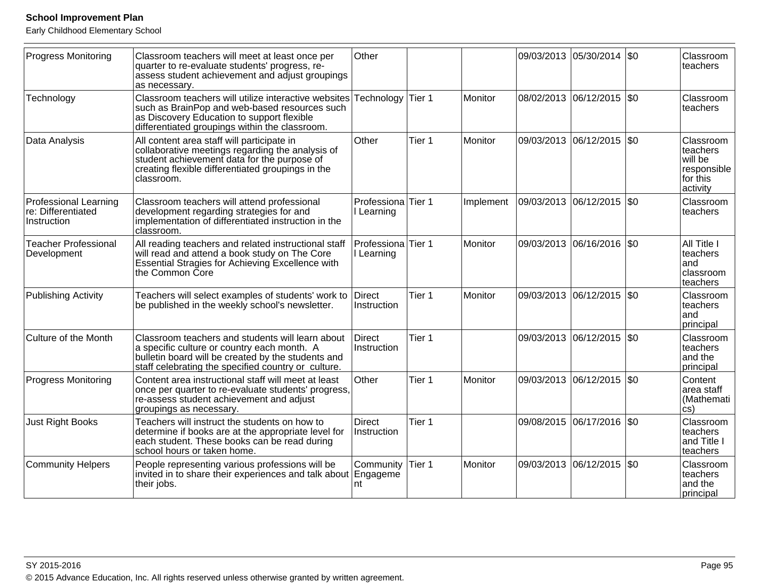Early Childhood Elementary School

| <b>Progress Monitoring</b>                                        | Classroom teachers will meet at least once per<br>quarter to re-evaluate students' progress, re-<br>assess student achievement and adjust groupings<br>as necessary.                                             | Other                                     |        |           |            | 09/03/2013 05/30/2014 \$0 |              | Classroom<br>teachers                                                   |
|-------------------------------------------------------------------|------------------------------------------------------------------------------------------------------------------------------------------------------------------------------------------------------------------|-------------------------------------------|--------|-----------|------------|---------------------------|--------------|-------------------------------------------------------------------------|
| Technology                                                        | Classroom teachers will utilize interactive websites<br>such as BrainPop and web-based resources such<br>as Discovery Education to support flexible<br>differentiated groupings within the classroom.            | Technology                                | Tier 1 | Monitor   |            | 08/02/2013 06/12/2015     | $ 30\rangle$ | Classroom<br>teachers                                                   |
| Data Analysis                                                     | All content area staff will participate in<br>collaborative meetings regarding the analysis of<br>student achievement data for the purpose of<br>creating flexible differentiated groupings in the<br>classroom. | Other                                     | Tier 1 | Monitor   |            | 09/03/2013 06/12/2015 \$0 |              | Classroom<br>teachers<br>will be<br>responsible<br>for this<br>activity |
| <b>Professional Learning</b><br>re: Differentiated<br>Instruction | Classroom teachers will attend professional<br>development regarding strategies for and<br>implementation of differentiated instruction in the<br>classroom.                                                     | Professiona Tier 1<br>Learning            |        | Implement |            | 09/03/2013 06/12/2015 \$0 |              | Classroom<br>teachers                                                   |
| <b>Teacher Professional</b><br>Development                        | All reading teachers and related instructional staff<br>will read and attend a book study on The Core<br>Essential Stragies for Achieving Excellence with<br>the Common Core                                     | Professiona <sup>Tier</sup> 1<br>Learning |        | Monitor   | 09/03/2013 | 06/16/2016                | l\$0         | All Title I<br>teachers<br>and<br>classroom<br>teachers                 |
| <b>Publishing Activity</b>                                        | Teachers will select examples of students' work to<br>be published in the weekly school's newsletter.                                                                                                            | <b>Direct</b><br>Instruction              | Tier 1 | Monitor   |            | 09/03/2013 06/12/2015 \$0 |              | Classroom<br>teachers<br>and<br>principal                               |
| Culture of the Month                                              | Classroom teachers and students will learn about<br>a specific culture or country each month. A<br>bulletin board will be created by the students and<br>staff celebrating the specified country or culture.     | Direct<br>Instruction                     | Tier 1 |           | 09/03/2013 | $ 06/12/2015 $ \$0        |              | Classroom<br>teachers<br>and the<br>principal                           |
| <b>Progress Monitoring</b>                                        | Content area instructional staff will meet at least<br>once per quarter to re-evaluate students' progress,<br>re-assess student achievement and adjust<br>groupings as necessary.                                | Other                                     | Tier 1 | Monitor   |            | 09/03/2013 06/12/2015 \$0 |              | Content<br>area staff<br>(Mathemati<br>$\overline{\text{cs}}$           |
| <b>Just Right Books</b>                                           | Teachers will instruct the students on how to<br>determine if books are at the appropriate level for<br>each student. These books can be read during<br>school hours or taken home.                              | <b>Direct</b><br>Instruction              | Tier 1 |           | 09/08/2015 | 06/17/2016   \$0          |              | Classroom<br>teachers<br>and Title I<br>teachers                        |
| <b>Community Helpers</b>                                          | People representing various professions will be<br>invited in to share their experiences and talk about Engageme<br>their jobs.                                                                                  | Community<br>nt                           | Tier 1 | Monitor   |            | 09/03/2013 06/12/2015 \$0 |              | Classroom<br>teachers<br>and the<br>principal                           |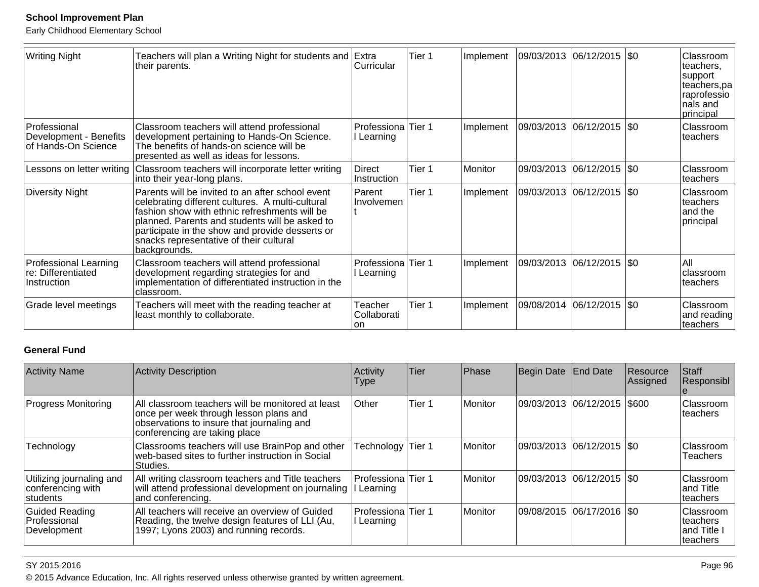Early Childhood Elementary School

| <b>Writing Night</b>                                              | Teachers will plan a Writing Night for students and Extra<br>their parents.                                                                                                                                                                                                                                           | Curricular                     | Tier 1 | Implement | 09/03/2013 | $ 06/12/2015 $ \$0          | Classroom<br>teachers,<br>support<br>teachers,pa<br>raprofessio<br>Inals and<br>principal |
|-------------------------------------------------------------------|-----------------------------------------------------------------------------------------------------------------------------------------------------------------------------------------------------------------------------------------------------------------------------------------------------------------------|--------------------------------|--------|-----------|------------|-----------------------------|-------------------------------------------------------------------------------------------|
| Professional<br>Development - Benefits<br>of Hands-On Science     | Classroom teachers will attend professional<br>development pertaining to Hands-On Science.<br>The benefits of hands-on science will be<br>presented as well as ideas for lessons.                                                                                                                                     | Professiona Tier 1<br>Learning |        | Implement |            | 09/03/2013 06/12/2015 \\$0  | Classroom<br>teachers                                                                     |
| Lessons on letter writing                                         | Classroom teachers will incorporate letter writing<br>into their year-long plans.                                                                                                                                                                                                                                     | Direct<br>Instruction          | Tier 1 | Monitor   |            | 09/03/2013 06/12/2015   \$0 | Classroom<br>teachers                                                                     |
| <b>Diversity Night</b>                                            | Parents will be invited to an after school event<br>celebrating different cultures. A multi-cultural<br>fashion show with ethnic refreshments will be<br>planned. Parents and students will be asked to<br>participate in the show and provide desserts or<br>snacks representative of their cultural<br>backgrounds. | Parent<br>Involvemen           | Tier 1 | Implement |            | 09/03/2013  06/12/2015  \$0 | Classroom<br>lteachers<br>and the<br>principal                                            |
| <b>Professional Learning</b><br>re: Differentiated<br>Instruction | Classroom teachers will attend professional<br>development regarding strategies for and<br>implementation of differentiated instruction in the<br>classroom.                                                                                                                                                          | Professiona Tier 1<br>Learning |        | Implement |            | 09/03/2013  06/12/2015  \$0 | All<br>Iclassroom<br>lteachers                                                            |
| Grade level meetings                                              | Teachers will meet with the reading teacher at<br>least monthly to collaborate.                                                                                                                                                                                                                                       | Teacher<br>Collaborati<br>lon  | Tier 1 | Implement | 09/08/2014 | $ 06/12/2015 $ \$0          | Classroom<br>and reading<br>Iteachers                                                     |

### **General Fund**

| <b>Activity Name</b>                                      | <b>Activity Description</b>                                                                                                                                                | Activity<br>Type                   | Tier   | <b>Phase</b>   | Begin Date End Date         | Resource<br>Assigned | Staff<br>Responsibl                                      |
|-----------------------------------------------------------|----------------------------------------------------------------------------------------------------------------------------------------------------------------------------|------------------------------------|--------|----------------|-----------------------------|----------------------|----------------------------------------------------------|
| <b>Progress Monitoring</b>                                | All classroom teachers will be monitored at least<br>once per week through lesson plans and<br>observations to insure that journaling and<br>conferencing are taking place | <b>Other</b>                       | Tier 1 | Monitor        | 09/03/2013 06/12/2015 5600  |                      | <b>IClassroom</b><br>Iteachers                           |
| Technology                                                | Classrooms teachers will use BrainPop and other<br>web-based sites to further instruction in Social<br>Studies.                                                            | Technology Tier 1                  |        | <b>Monitor</b> | 09/03/2013 06/12/2015   \$0 |                      | <b>Classroom</b><br><b>Teachers</b>                      |
| Utilizing journaling and<br>conferencing with<br>students | All writing classroom teachers and Title teachers<br>will attend professional development on journaling<br>and conferencing.                                               | Professiona Tier 1<br>I Learning   |        | Monitor        | 09/03/2013 06/12/2015   \$0 |                      | <b>Classroom</b><br>land Title<br>Iteachers              |
| <b>Guided Reading</b><br>Professional<br>Development      | All teachers will receive an overview of Guided<br>Reading, the twelve design features of LLI (Au,<br> 1997; Lyons 2003) and running records.                              | lProfessionalTier 1<br>II Learning |        | <b>Monitor</b> | 09/08/2015 06/17/2016 S0    |                      | <b>Classroom</b><br>Iteachers<br>land Title<br>Iteachers |

### SY 2015-2016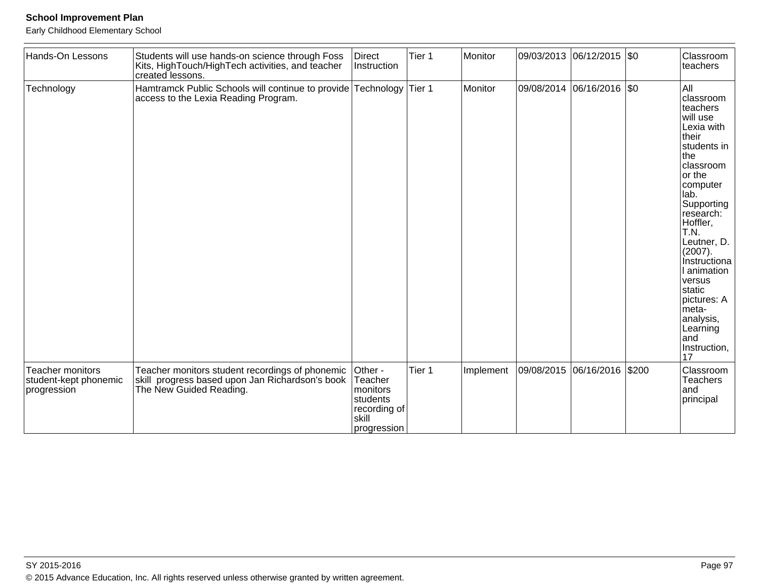Early Childhood Elementary School

| Hands-On Lessons                                                | Students will use hands-on science through Foss<br>Kits, HighTouch/HighTech activities, and teacher<br>created lessons.       | Direct<br>Instruction                                                              | Tier 1 | Monitor   |            | 09/03/2013 06/12/2015 \$0 |       | Classroom<br>teachers                                                                                                                                                                                                                                                                                                                                |
|-----------------------------------------------------------------|-------------------------------------------------------------------------------------------------------------------------------|------------------------------------------------------------------------------------|--------|-----------|------------|---------------------------|-------|------------------------------------------------------------------------------------------------------------------------------------------------------------------------------------------------------------------------------------------------------------------------------------------------------------------------------------------------------|
| Technology                                                      | Hamtramck Public Schools will continue to provide Technology<br>access to the Lexia Reading Program.                          |                                                                                    | Tier 1 | Monitor   | 09/08/2014 | 06/16/2016 \$0            |       | All<br>classroom<br>teachers<br>will use<br>Lexia with<br><b>Itheir</b><br>students in<br> the<br>classroom<br>or the<br>computer<br>lab.<br>Supporting<br>research:<br>Hoffler,<br>T.N.<br>Leutner, D.<br>(2007).<br>Instructiona<br>I animation<br>versus<br>static<br>pictures: A<br>meta-<br>analysis,<br>Learning<br>land<br>Instruction,<br>17 |
| <b>Teacher monitors</b><br>student-kept phonemic<br>progression | Teacher monitors student recordings of phonemic<br>skill progress based upon Jan Richardson's book<br>The New Guided Reading. | Other -<br>Teacher<br>monitors<br>students<br>recording of<br>skill<br>progression | Tier 1 | Implement |            | 09/08/2015 06/16/2016     | \$200 | Classroom<br>Teachers<br>land<br>principal                                                                                                                                                                                                                                                                                                           |